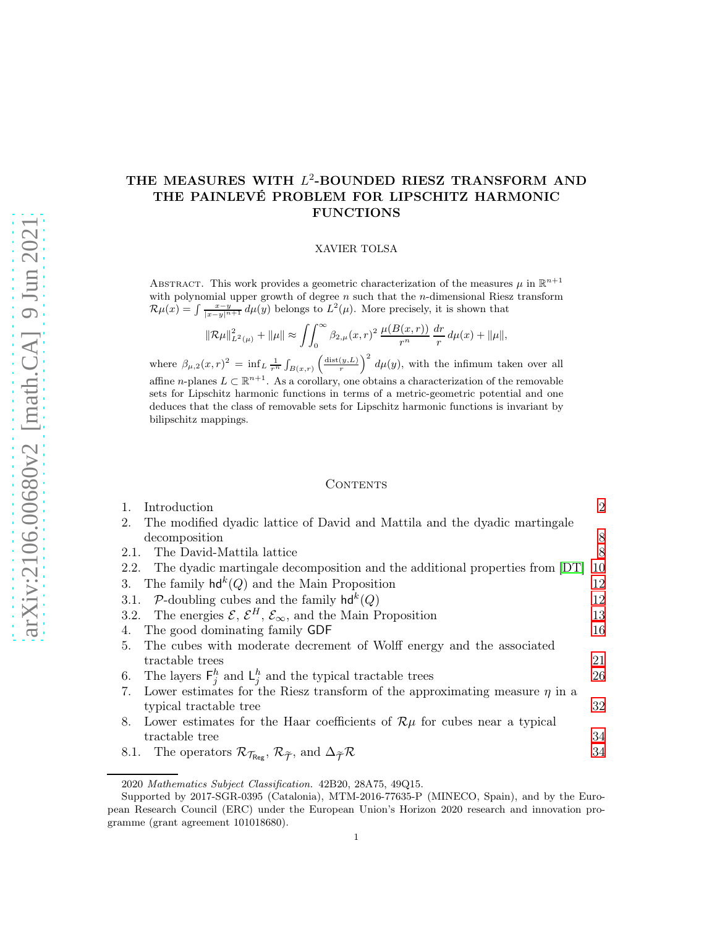# THE MEASURES WITH  $L^2$ -BOUNDED RIESZ TRANSFORM AND THE PAINLEVÉ PROBLEM FOR LIPSCHITZ HARMONIC FUNCTIONS

#### XAVIER TOLSA

ABSTRACT. This work provides a geometric characterization of the measures  $\mu$  in  $\mathbb{R}^{n+1}$ with polynomial upper growth of degree  $n$  such that the  $n$ -dimensional Riesz transform  $\mathcal{R}\mu(x) = \int \frac{x-y}{|x-y|^{n+1}} d\mu(y)$  belongs to  $L^2(\mu)$ . More precisely, it is shown that

$$
\|\mathcal{R}\mu\|_{L^2(\mu)}^2 + \|\mu\| \approx \int \int_0^\infty \beta_{2,\mu}(x,r)^2 \, \frac{\mu(B(x,r))}{r^n} \, \frac{dr}{r} \, d\mu(x) + \|\mu\|,
$$

where  $\beta_{\mu,2}(x,r)^2 = \inf_L \frac{1}{r^n} \int_{B(x,r)} \left(\frac{\text{dist}(y,L)}{r}\right)^2 d\mu(y)$ , with the infimum taken over all affine *n*-planes  $L \subset \mathbb{R}^{n+1}$ . As a corollary, one obtains a characterization of the removable sets for Lipschitz harmonic functions in terms of a metric-geometric potential and one deduces that the class of removable sets for Lipschitz harmonic functions is invariant by bilipschitz mappings.

#### CONTENTS

| 1.   | Introduction                                                                                                                                                | $\overline{2}$ |
|------|-------------------------------------------------------------------------------------------------------------------------------------------------------------|----------------|
| 2.   | The modified dyadic lattice of David and Mattila and the dyadic martingale                                                                                  |                |
|      | decomposition                                                                                                                                               | 8              |
| 2.1. | The David-Mattila lattice                                                                                                                                   | 8              |
|      | 2.2. The dyadic martingale decomposition and the additional properties from [DT]                                                                            | 10             |
|      | 3. The family $\mathsf{hd}^k(Q)$ and the Main Proposition                                                                                                   | 12             |
|      | 3.1. P-doubling cubes and the family $hd^k(Q)$                                                                                                              | 12             |
|      | 3.2. The energies $\mathcal{E}, \mathcal{E}^H, \mathcal{E}_{\infty}$ , and the Main Proposition                                                             | 13             |
| 4.   | The good dominating family GDF                                                                                                                              | 16             |
| 5.   | The cubes with moderate decrement of Wolff energy and the associated                                                                                        |                |
|      | tractable trees                                                                                                                                             | 21             |
| 6.   | The layers $F_j^h$ and $L_j^h$ and the typical tractable trees                                                                                              | 26             |
|      | 7. Lower estimates for the Riesz transform of the approximating measure $\eta$ in a                                                                         |                |
|      | typical tractable tree                                                                                                                                      | 32             |
| 8.   | Lower estimates for the Haar coefficients of $\mathcal{R}\mu$ for cubes near a typical                                                                      |                |
|      | tractable tree                                                                                                                                              | 34             |
| 8.1. | The operators $\mathcal{R}_{\mathcal{T}_{\text{Re}\varepsilon}}, \mathcal{R}_{\widetilde{\mathcal{T}}},$ and $\Delta_{\widetilde{\mathcal{T}}} \mathcal{R}$ | 34             |
|      |                                                                                                                                                             |                |

2020 Mathematics Subject Classification. 42B20, 28A75, 49Q15.

Supported by 2017-SGR-0395 (Catalonia), MTM-2016-77635-P (MINECO, Spain), and by the European Research Council (ERC) under the European Union's Horizon 2020 research and innovation programme (grant agreement 101018680).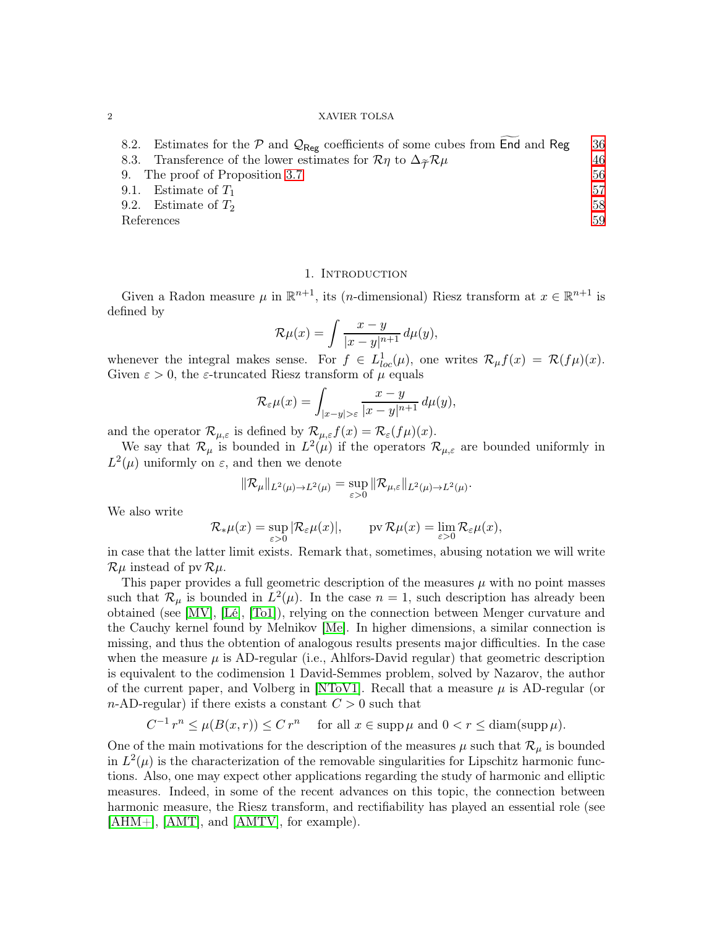| 8.2. Estimates for the $P$ and $Q_{\text{Reg}}$ coefficients of some cubes from End and Reg                 | 36 |
|-------------------------------------------------------------------------------------------------------------|----|
| 8.3. Transference of the lower estimates for $\mathcal{R}\eta$ to $\Delta_{\widetilde{\tau}}\mathcal{R}\mu$ | 46 |
| 9. The proof of Proposition 3.7                                                                             | 56 |
| 9.1. Estimate of $T_1$                                                                                      | 57 |
| 9.2. Estimate of $T_2$                                                                                      | 58 |
| References                                                                                                  |    |
|                                                                                                             |    |

## 1. INTRODUCTION

<span id="page-1-0"></span>Given a Radon measure  $\mu$  in  $\mathbb{R}^{n+1}$ , its (*n*-dimensional) Riesz transform at  $x \in \mathbb{R}^{n+1}$  is defined by

$$
\mathcal{R}\mu(x) = \int \frac{x-y}{|x-y|^{n+1}} d\mu(y),
$$

whenever the integral makes sense. For  $f \in L^1_{loc}(\mu)$ , one writes  $\mathcal{R}_{\mu}f(x) = \mathcal{R}(f\mu)(x)$ . Given  $\varepsilon > 0$ , the *ε*-truncated Riesz transform of  $\mu$  equals

$$
\mathcal{R}_{\varepsilon}\mu(x) = \int_{|x-y|>\varepsilon} \frac{x-y}{|x-y|^{n+1}} d\mu(y),
$$

and the operator  $\mathcal{R}_{\mu,\varepsilon}$  is defined by  $\mathcal{R}_{\mu,\varepsilon}f(x) = \mathcal{R}_{\varepsilon}(f\mu)(x)$ .

We say that  $\mathcal{R}_{\mu}$  is bounded in  $L^2(\mu)$  if the operators  $\mathcal{R}_{\mu,\varepsilon}$  are bounded uniformly in  $L^2(\mu)$  uniformly on  $\varepsilon$ , and then we denote

$$
\|\mathcal{R}_{\mu}\|_{L^2(\mu)\to L^2(\mu)} = \sup_{\varepsilon>0} \|\mathcal{R}_{\mu,\varepsilon}\|_{L^2(\mu)\to L^2(\mu)}.
$$

We also write

$$
\mathcal{R}_{*}\mu(x) = \sup_{\varepsilon>0} |\mathcal{R}_{\varepsilon}\mu(x)|, \qquad \text{pv } \mathcal{R}\mu(x) = \lim_{\varepsilon>0} \mathcal{R}_{\varepsilon}\mu(x),
$$

in case that the latter limit exists. Remark that, sometimes, abusing notation we will write  $\mathcal{R}\mu$  instead of pv  $\mathcal{R}\mu$ .

This paper provides a full geometric description of the measures  $\mu$  with no point masses such that  $\mathcal{R}_{\mu}$  is bounded in  $L^2(\mu)$ . In the case  $n=1$ , such description has already been obtained (see [\[MV\]](#page-59-0), [\[Lé\]](#page-59-1), [\[To1\]](#page-59-2)), relying on the connection between Menger curvature and the Cauchy kernel found by Melnikov [\[Me\]](#page-59-3). In higher dimensions, a similar connection is missing, and thus the obtention of analogous results presents major difficulties. In the case when the measure  $\mu$  is AD-regular (i.e., Ahlfors-David regular) that geometric description is equivalent to the codimension 1 David-Semmes problem, solved by Nazarov, the author of the current paper, and Volberg in [\[NToV1\]](#page-59-4). Recall that a measure  $\mu$  is AD-regular (or n-AD-regular) if there exists a constant  $C > 0$  such that

$$
C^{-1}r^n \le \mu(B(x,r)) \le C r^n \quad \text{ for all } x \in \text{supp}\,\mu \text{ and } 0 < r \le \text{diam}(\text{supp}\,\mu).
$$

One of the main motivations for the description of the measures  $\mu$  such that  $\mathcal{R}_{\mu}$  is bounded in  $L^2(\mu)$  is the characterization of the removable singularities for Lipschitz harmonic functions. Also, one may expect other applications regarding the study of harmonic and elliptic measures. Indeed, in some of the recent advances on this topic, the connection between harmonic measure, the Riesz transform, and rectifiability has played an essential role (see [\[AHM+\]](#page-58-2), [\[AMT\]](#page-58-3), and [\[AMTV\]](#page-58-4), for example).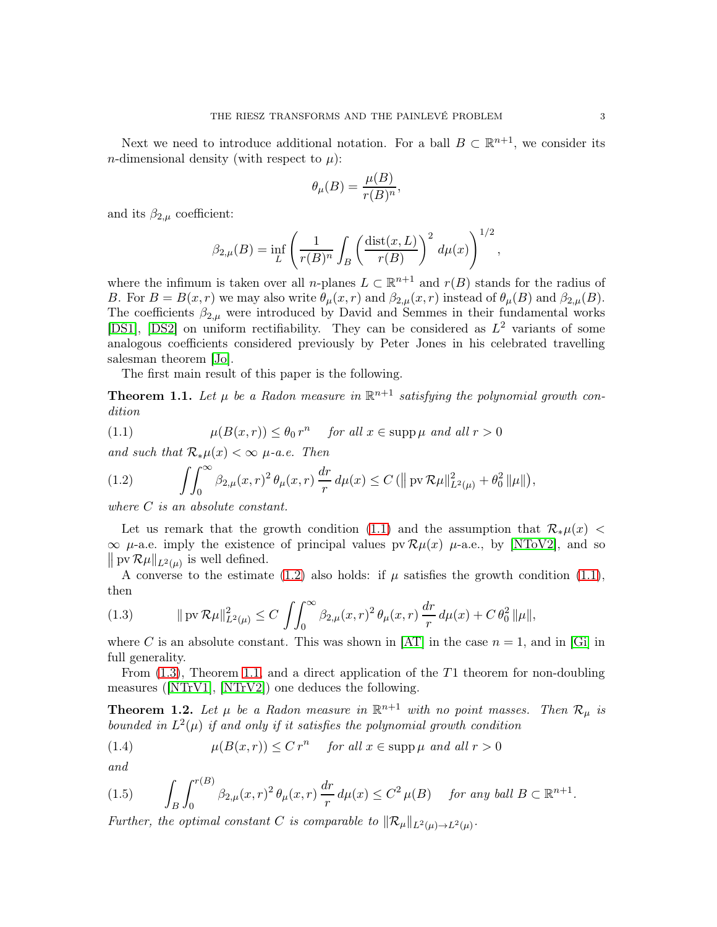Next we need to introduce additional notation. For a ball  $B \subset \mathbb{R}^{n+1}$ , we consider its *n*-dimensional density (with respect to  $\mu$ ):

$$
\theta_{\mu}(B) = \frac{\mu(B)}{r(B)^n},
$$

and its  $\beta_{2,\mu}$  coefficient:

$$
\beta_{2,\mu}(B) = \inf_L \left( \frac{1}{r(B)^n} \int_B \left( \frac{\text{dist}(x,L)}{r(B)} \right)^2 d\mu(x) \right)^{1/2},
$$

where the infimum is taken over all n-planes  $L \subset \mathbb{R}^{n+1}$  and  $r(B)$  stands for the radius of B. For  $B = B(x, r)$  we may also write  $\theta_{\mu}(x, r)$  and  $\beta_{2,\mu}(x, r)$  instead of  $\theta_{\mu}(B)$  and  $\beta_{2,\mu}(B)$ . The coefficients  $\beta_{2,\mu}$  were introduced by David and Semmes in their fundamental works [\[DS1\]](#page-58-5), [\[DS2\]](#page-58-6) on uniform rectifiability. They can be considered as  $L^2$  variants of some analogous coefficients considered previously by Peter Jones in his celebrated travelling salesman theorem [\[Jo\]](#page-59-5).

The first main result of this paper is the following.

<span id="page-2-3"></span>**Theorem 1.1.** Let  $\mu$  be a Radon measure in  $\mathbb{R}^{n+1}$  satisfying the polynomial growth con*dition*

<span id="page-2-0"></span>(1.1) 
$$
\mu(B(x,r)) \leq \theta_0 r^n \quad \text{for all } x \in \text{supp}\,\mu \text{ and all } r > 0
$$

*and such that*  $\mathcal{R}_{*}\mu(x) < \infty$   $\mu$ -*a.e.* Then

<span id="page-2-1"></span>(1.2) 
$$
\int \int_0^\infty \beta_{2,\mu}(x,r)^2 \,\theta_{\mu}(x,r) \,\frac{dr}{r} \,d\mu(x) \leq C \left( \|\operatorname{pv} \mathcal{R}\mu\|_{L^2(\mu)}^2 + \theta_0^2 \|\mu\| \right),
$$

*where* C *is an absolute constant.*

Let us remark that the growth condition [\(1.1\)](#page-2-0) and the assumption that  $\mathcal{R}_{\ast}\mu(x)$  $\infty$   $\mu$ -a.e. imply the existence of principal values pv  $\mathcal{R}\mu(x)$   $\mu$ -a.e., by [\[NToV2\]](#page-59-6), and so  $\|\,\mathrm{pv}\,\mathcal{R}\mu\|_{L^2(\mu)}$  is well defined.

A converse to the estimate [\(1.2\)](#page-2-1) also holds: if  $\mu$  satisfies the growth condition [\(1.1\)](#page-2-0), then

<span id="page-2-2"></span>(1.3) 
$$
\|\operatorname{pv} \mathcal{R}\mu\|_{L^2(\mu)}^2 \leq C \int \int_0^\infty \beta_{2,\mu}(x,r)^2 \theta_{\mu}(x,r) \frac{dr}{r} d\mu(x) + C \theta_0^2 \|\mu\|,
$$

where C is an absolute constant. This was shown in [\[AT\]](#page-58-7) in the case  $n = 1$ , and in [\[Gi\]](#page-58-8) in full generality.

From [\(1.3\)](#page-2-2), Theorem [1.1,](#page-2-3) and a direct application of the T1 theorem for non-doubling measures ([\[NTrV1\]](#page-59-7), [\[NTrV2\]](#page-59-8)) one deduces the following.

<span id="page-2-4"></span>**Theorem 1.2.** Let  $\mu$  be a Radon measure in  $\mathbb{R}^{n+1}$  with no point masses. Then  $\mathcal{R}_{\mu}$  is *bounded in*  $L^2(\mu)$  *if and only if it satisfies the polynomial growth condition* 

<span id="page-2-6"></span>(1.4) 
$$
\mu(B(x,r)) \leq C r^n \quad \text{for all } x \in \text{supp }\mu \text{ and all } r > 0
$$

*and*

<span id="page-2-5"></span>
$$
(1.5) \qquad \int_B \int_0^{r(B)} \beta_{2,\mu}(x,r)^2 \,\theta_{\mu}(x,r) \,\frac{dr}{r} \,d\mu(x) \le C^2 \,\mu(B) \quad \text{for any ball } B \subset \mathbb{R}^{n+1}.
$$

*Further, the optimal constant C is comparable to*  $\|\mathcal{R}_{\mu}\|_{L^2(\mu)\to L^2(\mu)}$ .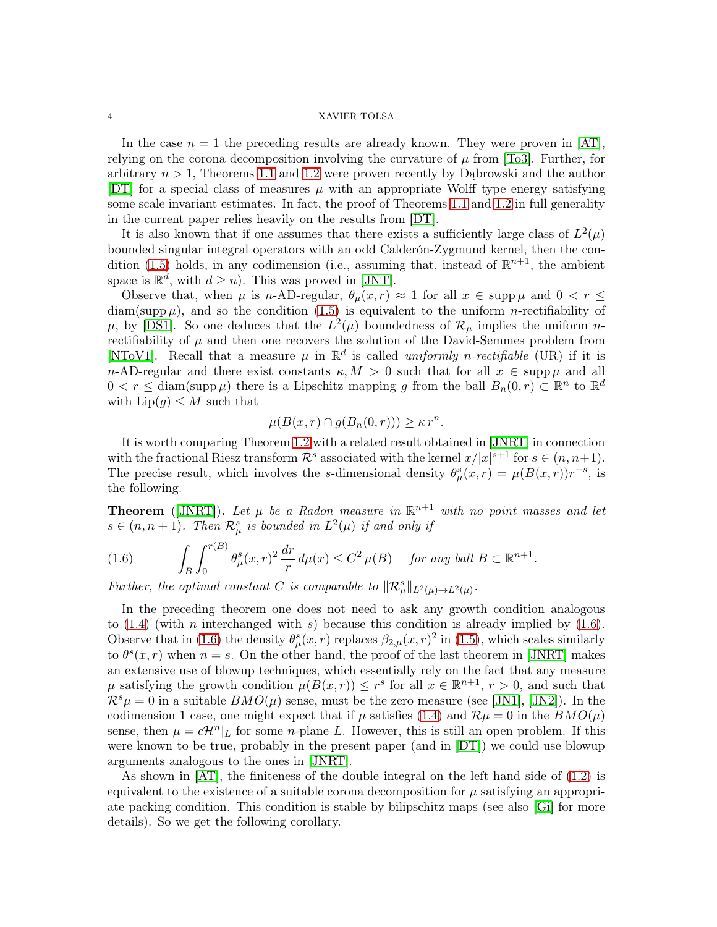In the case  $n = 1$  the preceding results are already known. They were proven in [\[AT\]](#page-58-7), relying on the corona decomposition involving the curvature of  $\mu$  from [\[To3\]](#page-59-9). Further, for arbitrary  $n > 1$ , Theorems [1.1](#page-2-3) and [1.2](#page-2-4) were proven recently by Dabrowski and the author [\[DT\]](#page-58-0) for a special class of measures  $\mu$  with an appropriate Wolff type energy satisfying some scale invariant estimates. In fact, the proof of Theorems [1.1](#page-2-3) and [1.2](#page-2-4) in full generality in the current paper relies heavily on the results from [\[DT\]](#page-58-0).

It is also known that if one assumes that there exists a sufficiently large class of  $L^2(\mu)$ bounded singular integral operators with an odd Calderón-Zygmund kernel, then the con-dition [\(1.5\)](#page-2-5) holds, in any codimension (i.e., assuming that, instead of  $\mathbb{R}^{n+1}$ , the ambient space is  $\mathbb{R}^d$ , with  $d \geq n$ ). This was proved in [\[JNT\]](#page-59-10).

Observe that, when  $\mu$  is n-AD-regular,  $\theta_{\mu}(x,r) \approx 1$  for all  $x \in \text{supp}\,\mu$  and  $0 < r \leq$  $diam(supp \mu)$ , and so the condition [\(1.5\)](#page-2-5) is equivalent to the uniform *n*-rectifiability of  $\mu$ , by [\[DS1\]](#page-58-5). So one deduces that the  $L^2(\mu)$  boundedness of  $\mathcal{R}_{\mu}$  implies the uniform nrectifiability of  $\mu$  and then one recovers the solution of the David-Semmes problem from [\[NToV1\]](#page-59-4). Recall that a measure  $\mu$  in  $\mathbb{R}^d$  is called *uniformly n-rectifiable* (UR) if it is n-AD-regular and there exist constants  $\kappa$ ,  $M > 0$  such that for all  $x \in \text{supp}\,\mu$  and all  $0 < r \leq \text{diam}(\text{supp }\mu)$  there is a Lipschitz mapping g from the ball  $B_n(0,r) \subset \mathbb{R}^n$  to  $\mathbb{R}^d$ with  $\text{Lip}(g) \leq M$  such that

$$
\mu(B(x,r) \cap g(B_n(0,r))) \geq \kappa r^n.
$$

It is worth comparing Theorem [1.2](#page-2-4) with a related result obtained in [\[JNRT\]](#page-59-11) in connection with the fractional Riesz transform  $\mathcal{R}^s$  associated with the kernel  $x/|x|^{s+1}$  for  $s \in (n, n+1)$ . The precise result, which involves the s-dimensional density  $\theta_{\mu}^{s}(x,r) = \mu(B(x,r))r^{-s}$ , is the following.

**Theorem** ([\[JNRT\]](#page-59-11)). Let  $\mu$  be a Radon measure in  $\mathbb{R}^{n+1}$  with no point masses and let  $s \in (n, n+1)$ . Then  $\mathcal{R}^s_\mu$  is bounded in  $L^2(\mu)$  if and only if

<span id="page-3-0"></span>(1.6) 
$$
\int_B \int_0^{r(B)} \theta_\mu^s(x,r)^2 \frac{dr}{r} d\mu(x) \le C^2 \mu(B) \quad \text{for any ball } B \subset \mathbb{R}^{n+1}.
$$

*Further, the optimal constant C is comparable to*  $\|\mathcal{R}_{\mu}^{s}\|_{L^{2}(\mu)\to L^{2}(\mu)}$ .

In the preceding theorem one does not need to ask any growth condition analogous to  $(1.4)$  (with *n* interchanged with *s*) because this condition is already implied by  $(1.6)$ . Observe that in [\(1.6\)](#page-3-0) the density  $\theta^s_\mu(x,r)$  replaces  $\beta_{2,\mu}(x,r)^2$  in [\(1.5\)](#page-2-5), which scales similarly to  $\theta^s(x,r)$  when  $n = s$ . On the other hand, the proof of the last theorem in [\[JNRT\]](#page-59-11) makes an extensive use of blowup techniques, which essentially rely on the fact that any measure  $\mu$  satisfying the growth condition  $\mu(B(x,r)) \leq r^s$  for all  $x \in \mathbb{R}^{n+1}$ ,  $r > 0$ , and such that  $\mathcal{R}^s \mu = 0$  in a suitable  $BMO(\mu)$  sense, must be the zero measure (see [\[JN1\]](#page-58-9), [\[JN2\]](#page-58-10)). In the codimension 1 case, one might expect that if  $\mu$  satisfies [\(1.4\)](#page-2-6) and  $\mathcal{R}\mu = 0$  in the  $BMO(\mu)$ sense, then  $\mu = c\mathcal{H}^n|_L$  for some *n*-plane L. However, this is still an open problem. If this were known to be true, probably in the present paper (and in [\[DT\]](#page-58-0)) we could use blowup arguments analogous to the ones in [\[JNRT\]](#page-59-11).

As shown in [\[AT\]](#page-58-7), the finiteness of the double integral on the left hand side of [\(1.2\)](#page-2-1) is equivalent to the existence of a suitable corona decomposition for  $\mu$  satisfying an appropriate packing condition. This condition is stable by bilipschitz maps (see also [\[Gi\]](#page-58-8) for more details). So we get the following corollary.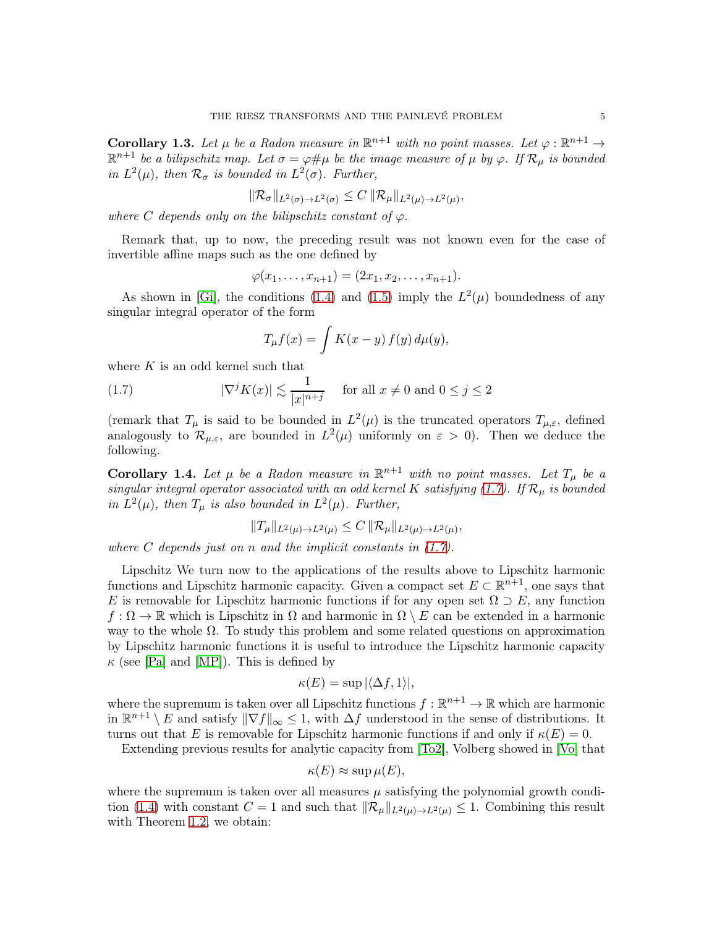**Corollary 1.3.** Let  $\mu$  be a Radon measure in  $\mathbb{R}^{n+1}$  with no point masses. Let  $\varphi : \mathbb{R}^{n+1} \to$  $\mathbb{R}^{n+1}$  *be a bilipschitz map. Let*  $\sigma = \varphi \# \mu$  *be the image measure of*  $\mu$  *by*  $\varphi$ *. If*  $\mathcal{R}_{\mu}$  *is bounded in*  $L^2(\mu)$ *, then*  $\mathcal{R}_{\sigma}$  *is bounded in*  $L^2(\sigma)$ *. Further,* 

$$
\|\mathcal{R}_{\sigma}\|_{L^2(\sigma)\to L^2(\sigma)} \leq C\,\|\mathcal{R}_{\mu}\|_{L^2(\mu)\to L^2(\mu)},
$$

*where* C *depends only on the bilipschitz constant of*  $\varphi$ *.* 

Remark that, up to now, the preceding result was not known even for the case of invertible affine maps such as the one defined by

$$
\varphi(x_1,\ldots,x_{n+1})=(2x_1,x_2,\ldots,x_{n+1}).
$$

As shown in [\[Gi\]](#page-58-8), the conditions [\(1.4\)](#page-2-6) and [\(1.5\)](#page-2-5) imply the  $L^2(\mu)$  boundedness of any singular integral operator of the form

<span id="page-4-0"></span>
$$
T_{\mu}f(x) = \int K(x - y) f(y) d\mu(y),
$$

where  $K$  is an odd kernel such that

(1.7) 
$$
|\nabla^j K(x)| \lesssim \frac{1}{|x|^{n+j}} \quad \text{for all } x \neq 0 \text{ and } 0 \le j \le 2
$$

(remark that  $T_{\mu}$  is said to be bounded in  $L^2(\mu)$  is the truncated operators  $T_{\mu,\varepsilon}$ , defined analogously to  $\mathcal{R}_{\mu,\varepsilon}$ , are bounded in  $L^2(\mu)$  uniformly on  $\varepsilon > 0$ ). Then we deduce the following.

Corollary 1.4. Let  $\mu$  be a Radon measure in  $\mathbb{R}^{n+1}$  with no point masses. Let  $T_{\mu}$  be a *singular integral operator associated with an odd kernel* K *satisfying* [\(1.7\)](#page-4-0)*.* If  $\mathcal{R}_{\mu}$  *is bounded* in  $L^2(\mu)$ , then  $T_{\mu}$  is also bounded in  $L^2(\mu)$ . Further,

$$
||T_{\mu}||_{L^2(\mu) \to L^2(\mu)} \leq C ||\mathcal{R}_{\mu}||_{L^2(\mu) \to L^2(\mu)},
$$

*where* C *depends just on* n *and the implicit constants in [\(1.7\)](#page-4-0).*

Lipschitz We turn now to the applications of the results above to Lipschitz harmonic functions and Lipschitz harmonic capacity. Given a compact set  $E \subset \mathbb{R}^{n+1}$ , one says that E is removable for Lipschitz harmonic functions if for any open set  $\Omega \supset E$ , any function  $f: \Omega \to \mathbb{R}$  which is Lipschitz in  $\Omega$  and harmonic in  $\Omega \setminus E$  can be extended in a harmonic way to the whole  $\Omega$ . To study this problem and some related questions on approximation by Lipschitz harmonic functions it is useful to introduce the Lipschitz harmonic capacity  $\kappa$  (see [\[Pa\]](#page-59-12) and [\[MP\]](#page-59-13)). This is defined by

$$
\kappa(E) = \sup |\langle \Delta f, 1 \rangle|,
$$

where the supremum is taken over all Lipschitz functions  $f : \mathbb{R}^{n+1} \to \mathbb{R}$  which are harmonic in  $\mathbb{R}^{n+1} \setminus E$  and satisfy  $\|\nabla f\|_{\infty} \leq 1$ , with  $\Delta f$  understood in the sense of distributions. It turns out that E is removable for Lipschitz harmonic functions if and only if  $\kappa(E) = 0$ .

Extending previous results for analytic capacity from [\[To2\]](#page-59-14), Volberg showed in [\[Vo\]](#page-59-15) that

$$
\kappa(E) \approx \sup \mu(E),
$$

where the supremum is taken over all measures  $\mu$  satisfying the polynomial growth condi-tion [\(1.4\)](#page-2-6) with constant  $C = 1$  and such that  $\|\mathcal{R}_{\mu}\|_{L^2(\mu) \to L^2(\mu)} \leq 1$ . Combining this result with Theorem [1.2,](#page-2-4) we obtain: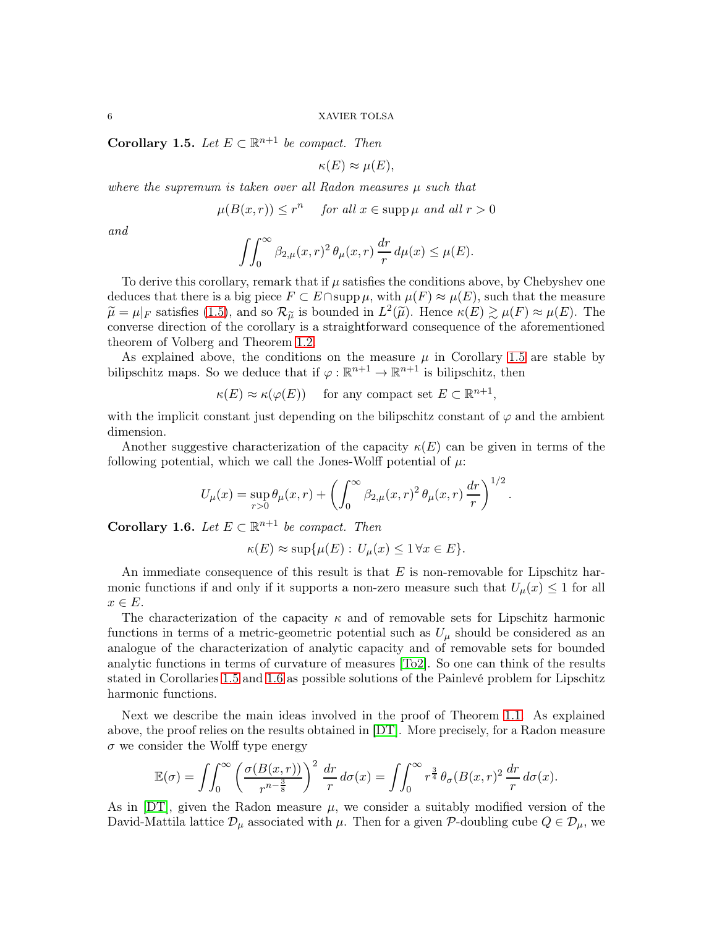<span id="page-5-0"></span>Corollary 1.5. Let  $E \subset \mathbb{R}^{n+1}$  be compact. Then

$$
\kappa(E) \approx \mu(E),
$$

*where the supremum is taken over all Radon measures* µ *such that*

 $\mu(B(x,r)) \leq r^n$  for all  $x \in \text{supp }\mu$  and all  $r > 0$ 

*and*

$$
\iint_0^\infty \beta_{2,\mu}(x,r)^2 \,\theta_\mu(x,r)\,\frac{dr}{r}\,d\mu(x) \le \mu(E).
$$

To derive this corollary, remark that if  $\mu$  satisfies the conditions above, by Chebyshev one deduces that there is a big piece  $F \subset E \cap \text{supp}\,\mu$ , with  $\mu(F) \approx \mu(E)$ , such that the measure  $\widetilde{\mu} = \mu|_{F}$  satisfies [\(1.5\)](#page-2-5), and so  $\mathcal{R}_{\widetilde{\mu}}$  is bounded in  $L^{2}(\widetilde{\mu})$ . Hence  $\kappa(E) \gtrsim \mu(F) \approx \mu(E)$ . The converse direction of the corollary is a straightforward consequence of the aforementioned theorem of Volberg and Theorem [1.2.](#page-2-4)

As explained above, the conditions on the measure  $\mu$  in Corollary [1.5](#page-5-0) are stable by bilipschitz maps. So we deduce that if  $\varphi : \mathbb{R}^{n+1} \to \mathbb{R}^{n+1}$  is bilipschitz, then

 $\kappa(E) \approx \kappa(\varphi(E))$  for any compact set  $E \subset \mathbb{R}^{n+1}$ ,

with the implicit constant just depending on the bilipschitz constant of  $\varphi$  and the ambient dimension.

Another suggestive characterization of the capacity  $\kappa(E)$  can be given in terms of the following potential, which we call the Jones-Wolff potential of  $\mu$ :

$$
U_{\mu}(x) = \sup_{r>0} \theta_{\mu}(x,r) + \left(\int_0^{\infty} \beta_{2,\mu}(x,r)^2 \theta_{\mu}(x,r) \frac{dr}{r}\right)^{1/2}.
$$

<span id="page-5-1"></span>**Corollary 1.6.** *Let*  $E \subset \mathbb{R}^{n+1}$  *be compact. Then* 

$$
\kappa(E) \approx \sup \{ \mu(E) : U_{\mu}(x) \le 1 \,\forall x \in E \}.
$$

An immediate consequence of this result is that  $E$  is non-removable for Lipschitz harmonic functions if and only if it supports a non-zero measure such that  $U_{\mu}(x) \leq 1$  for all  $x \in E$ .

The characterization of the capacity  $\kappa$  and of removable sets for Lipschitz harmonic functions in terms of a metric-geometric potential such as  $U_{\mu}$  should be considered as an analogue of the characterization of analytic capacity and of removable sets for bounded analytic functions in terms of curvature of measures [\[To2\]](#page-59-14). So one can think of the results stated in Corollaries [1.5](#page-5-0) and [1.6](#page-5-1) as possible solutions of the Painlevé problem for Lipschitz harmonic functions.

Next we describe the main ideas involved in the proof of Theorem [1.1.](#page-2-3) As explained above, the proof relies on the results obtained in [\[DT\]](#page-58-0). More precisely, for a Radon measure  $\sigma$  we consider the Wolff type energy

$$
\mathbb{E}(\sigma) = \iint_0^\infty \left( \frac{\sigma(B(x,r))}{r^{n-\frac{3}{8}}} \right)^2 \frac{dr}{r} d\sigma(x) = \iint_0^\infty r^{\frac{3}{4}} \theta_\sigma(B(x,r)^2 \frac{dr}{r} d\sigma(x).
$$

As in  $DT$ , given the Radon measure  $\mu$ , we consider a suitably modified version of the David-Mattila lattice  $\mathcal{D}_{\mu}$  associated with  $\mu$ . Then for a given P-doubling cube  $Q \in \mathcal{D}_{\mu}$ , we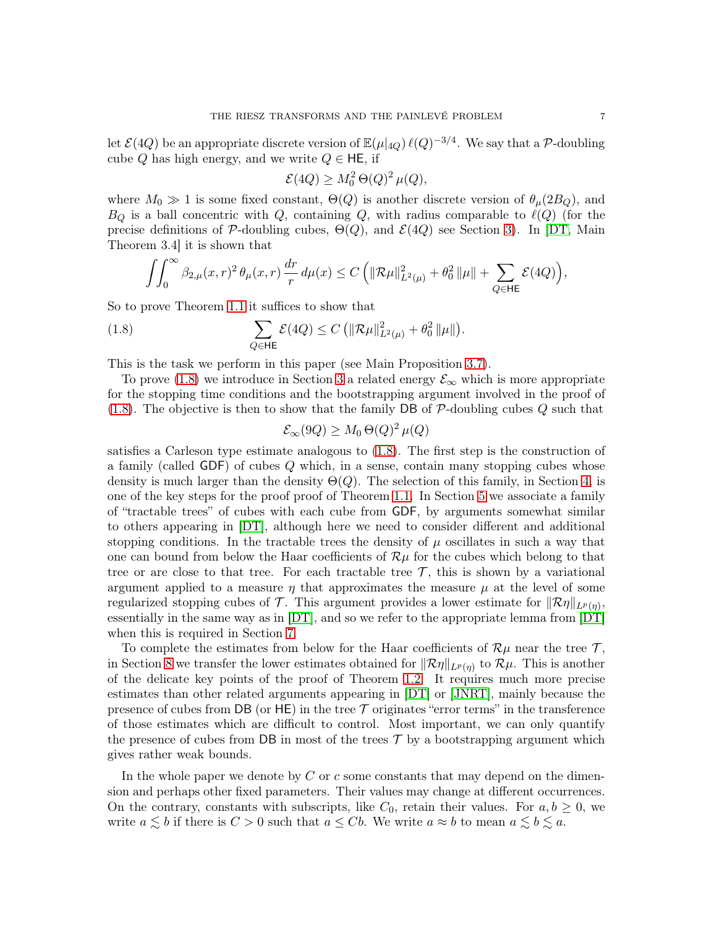let  $\mathcal{E}(4Q)$  be an appropriate discrete version of  $\mathbb{E}(\mu|_{4Q}) \, \ell(Q)^{-3/4}$ . We say that a P-doubling cube Q has high energy, and we write  $Q \in \mathsf{HE}$ , if

$$
\mathcal{E}(4Q) \ge M_0^2 \Theta(Q)^2 \,\mu(Q),
$$

where  $M_0 \gg 1$  is some fixed constant,  $\Theta(Q)$  is another discrete version of  $\theta_\mu(2B_Q)$ , and  $B_Q$  is a ball concentric with Q, containing Q, with radius comparable to  $\ell(Q)$  (for the precise definitions of P-doubling cubes,  $\Theta(Q)$ , and  $\mathcal{E}(4Q)$  see Section [3\)](#page-11-0). In [\[DT,](#page-58-0) Main Theorem 3.4] it is shown that

$$
\int\!\!\!\int_0^\infty \beta_{2,\mu}(x,r)^2\,\theta_\mu(x,r)\,\frac{dr}r\,d\mu(x)\leq C\,\Big(\|\mathcal R\mu\|_{L^2(\mu)}^2+\theta_0^2\,\|\mu\|+\sum_{Q\in\mathsf{HE}}\mathcal E(4Q)\Big),
$$

So to prove Theorem [1.1](#page-2-3) it suffices to show that

(1.8) 
$$
\sum_{Q \in \mathsf{HE}} \mathcal{E}(4Q) \leq C \left( \|\mathcal{R}\mu\|_{L^2(\mu)}^2 + \theta_0^2 \|\mu\| \right).
$$

This is the task we perform in this paper (see Main Proposition [3.7\)](#page-14-0).

To prove [\(1.8\)](#page-6-0) we introduce in Section [3](#page-11-0) a related energy  $\mathcal{E}_{\infty}$  which is more appropriate for the stopping time conditions and the bootstrapping argument involved in the proof of [\(1.8\)](#page-6-0). The objective is then to show that the family DB of  $P$ -doubling cubes  $Q$  such that

<span id="page-6-0"></span>
$$
\mathcal{E}_{\infty}(9Q) \ge M_0 \Theta(Q)^2 \,\mu(Q)
$$

satisfies a Carleson type estimate analogous to [\(1.8\)](#page-6-0). The first step is the construction of a family (called GDF) of cubes Q which, in a sense, contain many stopping cubes whose density is much larger than the density  $\Theta(Q)$ . The selection of this family, in Section [4,](#page-15-0) is one of the key steps for the proof proof of Theorem [1.1.](#page-2-3) In Section [5](#page-20-0) we associate a family of "tractable trees" of cubes with each cube from GDF, by arguments somewhat similar to others appearing in [\[DT\]](#page-58-0), although here we need to consider different and additional stopping conditions. In the tractable trees the density of  $\mu$  oscillates in such a way that one can bound from below the Haar coefficients of  $\mathcal{R}\mu$  for the cubes which belong to that tree or are close to that tree. For each tractable tree  $\mathcal{T}$ , this is shown by a variational argument applied to a measure  $\eta$  that approximates the measure  $\mu$  at the level of some regularized stopping cubes of  $\mathcal{T}$ . This argument provides a lower estimate for  $\|\mathcal{R}\eta\|_{L^p(\eta)},$ essentially in the same way as in [\[DT\]](#page-58-0), and so we refer to the appropriate lemma from [\[DT\]](#page-58-0) when this is required in Section [7.](#page-31-0)

To complete the estimates from below for the Haar coefficients of  $\mathcal{R}\mu$  near the tree T, in Section [8](#page-33-0) we transfer the lower estimates obtained for  $\|\mathcal{R}\eta\|_{L^p(\eta)}$  to  $\mathcal{R}\mu$ . This is another of the delicate key points of the proof of Theorem [1.2.](#page-2-4) It requires much more precise estimates than other related arguments appearing in [\[DT\]](#page-58-0) or [\[JNRT\]](#page-59-11), mainly because the presence of cubes from DB (or HE) in the tree  $\mathcal T$  originates "error terms" in the transference of those estimates which are difficult to control. Most important, we can only quantify the presence of cubes from DB in most of the trees  $\mathcal T$  by a bootstrapping argument which gives rather weak bounds.

In the whole paper we denote by  $C$  or  $c$  some constants that may depend on the dimension and perhaps other fixed parameters. Their values may change at different occurrences. On the contrary, constants with subscripts, like  $C_0$ , retain their values. For  $a, b \geq 0$ , we write  $a \lesssim b$  if there is  $C > 0$  such that  $a \leq Cb$ . We write  $a \approx b$  to mean  $a \lesssim b \lesssim a$ .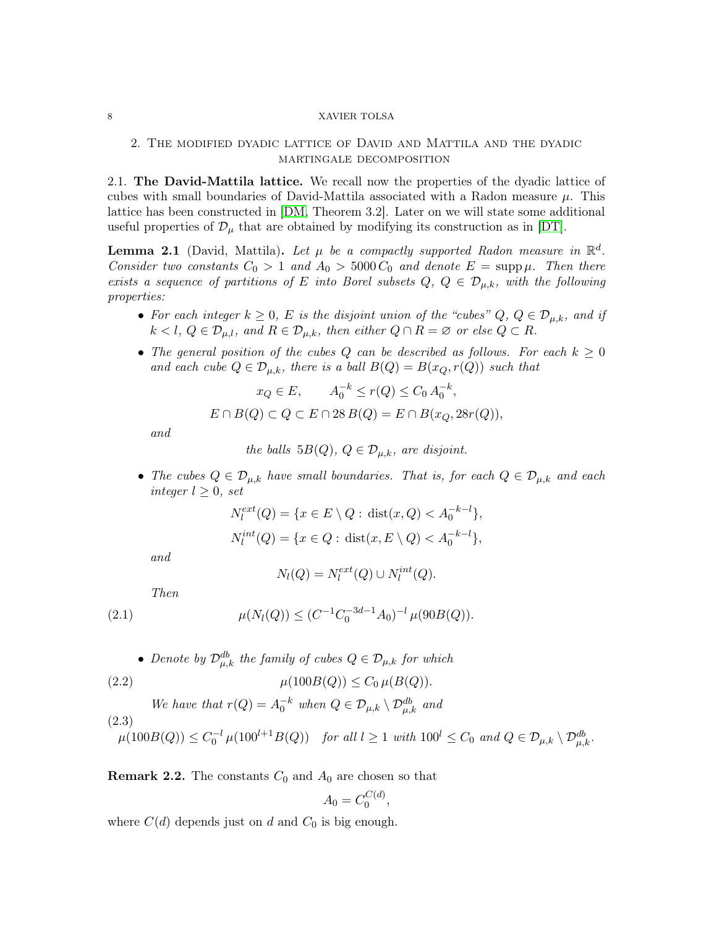# <span id="page-7-0"></span>2. The modified dyadic lattice of David and Mattila and the dyadic martingale decomposition

<span id="page-7-1"></span>2.1. The David-Mattila lattice. We recall now the properties of the dyadic lattice of cubes with small boundaries of David-Mattila associated with a Radon measure  $\mu$ . This lattice has been constructed in [\[DM,](#page-58-11) Theorem 3.2]. Later on we will state some additional useful properties of  $\mathcal{D}_{\mu}$  that are obtained by modifying its construction as in [\[DT\]](#page-58-0).

<span id="page-7-4"></span>**Lemma 2.1** (David, Mattila). Let  $\mu$  be a compactly supported Radon measure in  $\mathbb{R}^d$ . *Consider two constants*  $C_0 > 1$  *and*  $A_0 > 5000 C_0$  *and denote*  $E = \text{supp }\mu$ . Then there *exists a sequence of partitions of* E *into Borel subsets*  $Q, Q \in \mathcal{D}_{\mu,k}$ *, with the following properties:*

- For each integer  $k \geq 0$ , E is the disjoint union of the "cubes"  $Q, Q \in \mathcal{D}_{\mu,k}$ , and if  $k < l, Q \in \mathcal{D}_{\mu,l}$ *, and*  $R \in \mathcal{D}_{\mu,k}$ *, then either*  $Q \cap R = \emptyset$  *or else*  $Q \subset R$ *.*
- The general position of the cubes  $Q$  can be described as follows. For each  $k \geq 0$ *and each cube*  $Q \in \mathcal{D}_{\mu,k}$ *, there is a ball*  $B(Q) = B(x_Q, r(Q))$  *such that*

$$
x_Q \in E
$$
,  $A_0^{-k} \le r(Q) \le C_0 A_0^{-k}$ ,  
 $E \cap B(Q) \subset Q \subset E \cap 28 B(Q) = E \cap B(x_Q, 28r(Q)),$ 

*and*

the balls 
$$
5B(Q)
$$
,  $Q \in \mathcal{D}_{\mu,k}$ , are disjoint.

• *The cubes*  $Q \in \mathcal{D}_{\mu,k}$  *have small boundaries. That is, for each*  $Q \in \mathcal{D}_{\mu,k}$  *and each integer*  $l \geq 0$ *, set* 

$$
N_l^{ext}(Q) = \{x \in E \setminus Q : \text{dist}(x, Q) < A_0^{-k-l}\},
$$
\n
$$
N_l^{int}(Q) = \{x \in Q : \text{dist}(x, E \setminus Q) < A_0^{-k-l}\},
$$

*and*

<span id="page-7-3"></span><span id="page-7-2"></span>
$$
N_l(Q) = N_l^{ext}(Q) \cup N_l^{int}(Q).
$$

*Then*

(2.1) 
$$
\mu(N_l(Q)) \leq (C^{-1}C_0^{-3d-1}A_0)^{-l} \mu(90B(Q)).
$$

• Denote by  $\mathcal{D}_{\mu,k}^{db}$  the family of cubes  $Q \in \mathcal{D}_{\mu,k}$  for which

(2.2) 
$$
\mu(100B(Q)) \le C_0 \,\mu(B(Q)).
$$

*We have that*  $r(Q) = A_0^{-k}$  when  $Q \in \mathcal{D}_{\mu,k} \setminus \mathcal{D}_{\mu,k}^{db}$  and (2.3)  $\mu(100B(Q)) \leq C_0^{-l} \mu(100^{l+1}B(Q))$  *for all*  $l \geq 1$  *with*  $100^{l} \leq C_0$  *and*  $Q \in \mathcal{D}_{\mu,k} \setminus \mathcal{D}_{\mu,k}^{db}$ *.* 

**Remark 2.2.** The constants  $C_0$  and  $A_0$  are chosen so that

$$
A_0 = C_0^{C(d)},
$$

where  $C(d)$  depends just on d and  $C_0$  is big enough.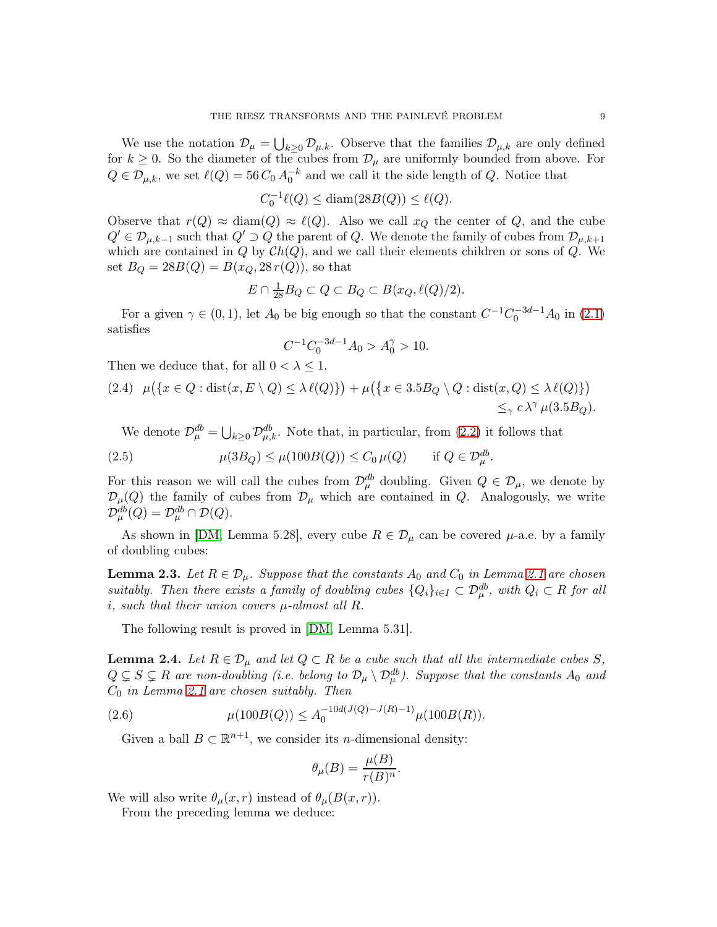We use the notation  $\mathcal{D}_{\mu} = \bigcup_{k \geq 0} \mathcal{D}_{\mu,k}$ . Observe that the families  $\mathcal{D}_{\mu,k}$  are only defined for  $k \geq 0$ . So the diameter of the cubes from  $\mathcal{D}_{\mu}$  are uniformly bounded from above. For  $Q \in \mathcal{D}_{\mu,k}$ , we set  $\ell(Q) = 56 C_0 A_0^{-k}$  and we call it the side length of Q. Notice that

$$
C_0^{-1}\ell(Q) \le \text{diam}(28B(Q)) \le \ell(Q).
$$

Observe that  $r(Q) \approx \text{diam}(Q) \approx \ell(Q)$ . Also we call  $x_Q$  the center of Q, and the cube  $Q' \in \mathcal{D}_{\mu,k-1}$  such that  $Q' \supset Q$  the parent of Q. We denote the family of cubes from  $\mathcal{D}_{\mu,k+1}$ which are contained in  $Q$  by  $Ch(Q)$ , and we call their elements children or sons of  $Q$ . We set  $B_Q = 28B(Q) = B(x_Q, 28r(Q))$ , so that

$$
E \cap \frac{1}{28} B_Q \subset Q \subset B_Q \subset B(x_Q, \ell(Q)/2).
$$

For a given  $\gamma \in (0,1)$ , let  $A_0$  be big enough so that the constant  $C^{-1}C_0^{-3d-1}A_0$  in  $(2.1)$ satisfies

$$
C^{-1}C_0^{-3d-1}A_0 > A_0^{\gamma} > 10.
$$

Then we deduce that, for all  $0 < \lambda \leq 1$ ,

$$
(2.4) \mu({x \in Q : \text{dist}(x, E \setminus Q) \le \lambda \ell(Q)}) + \mu({x \in 3.5B_Q \setminus Q : \text{dist}(x, Q) \le \lambda \ell(Q)})
$$
  

$$
\le_{\gamma} c \lambda^{\gamma} \mu(3.5B_Q).
$$

We denote  $\mathcal{D}_{\mu}^{db} = \bigcup_{k \geq 0} \mathcal{D}_{\mu,k}^{db}$ . Note that, in particular, from [\(2.2\)](#page-7-3) it follows that

(2.5) 
$$
\mu(3B_Q) \leq \mu(100B(Q)) \leq C_0 \mu(Q) \quad \text{if } Q \in \mathcal{D}_{\mu}^{db}.
$$

For this reason we will call the cubes from  $\mathcal{D}_{\mu}^{db}$  doubling. Given  $Q \in \mathcal{D}_{\mu}$ , we denote by  $\mathcal{D}_{\mu}(Q)$  the family of cubes from  $\mathcal{D}_{\mu}$  which are contained in Q. Analogously, we write  $\mathcal{D}_{\mu}^{db}(Q) = \mathcal{D}_{\mu}^{db} \cap \mathcal{D}(Q).$ 

As shown in [\[DM,](#page-58-11) Lemma 5.28], every cube  $R \in \mathcal{D}_{\mu}$  can be covered  $\mu$ -a.e. by a family of doubling cubes:

**Lemma 2.3.** Let  $R \in \mathcal{D}_{\mu}$ . Suppose that the constants  $A_0$  and  $C_0$  in Lemma [2.1](#page-7-4) are chosen *suitably. Then there exists a family of doubling cubes*  $\{Q_i\}_{i\in I} \subset \mathcal{D}_{\mu}^{db}$ , with  $Q_i \subset R$  *for all* i*, such that their union covers* µ*-almost all* R*.*

The following result is proved in [\[DM,](#page-58-11) Lemma 5.31].

<span id="page-8-0"></span>**Lemma 2.4.** Let  $R \in \mathcal{D}_{\mu}$  and let  $Q \subset R$  be a cube such that all the intermediate cubes S,  $Q \subsetneq S \subsetneq R$  are non-doubling (i.e. belong to  $\mathcal{D}_\mu \setminus \mathcal{D}_\mu^{db}$ ). Suppose that the constants  $A_0$  and C<sup>0</sup> *in Lemma [2.1](#page-7-4) are chosen suitably. Then*

(2.6) 
$$
\mu(100B(Q)) \leq A_0^{-10d(J(Q)-J(R)-1)} \mu(100B(R)).
$$

Given a ball  $B \subset \mathbb{R}^{n+1}$ , we consider its *n*-dimensional density:

$$
\theta_{\mu}(B) = \frac{\mu(B)}{r(B)^n}.
$$

We will also write  $\theta_{\mu}(x,r)$  instead of  $\theta_{\mu}(B(x,r))$ .

From the preceding lemma we deduce: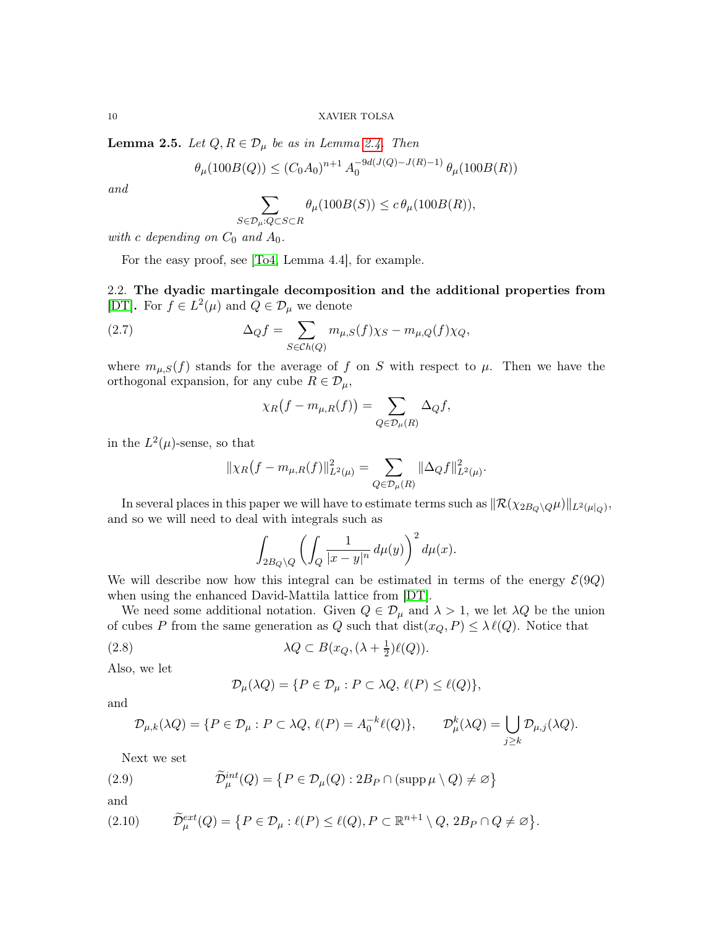**Lemma 2.5.** *Let*  $Q, R \in \mathcal{D}_{\mu}$  *be as in Lemma [2.4.](#page-8-0) Then* 

$$
\theta_{\mu}(100B(Q)) \le (C_0 A_0)^{n+1} A_0^{-9d(J(Q)-J(R)-1)} \theta_{\mu}(100B(R))
$$

*and*

$$
\sum_{S \in \mathcal{D}_{\mu}: Q \subset S \subset R} \theta_{\mu}(100B(S)) \leq c \theta_{\mu}(100B(R)),
$$

*with* c depending on  $C_0$  *and*  $A_0$ *.* 

For the easy proof, see [\[To4,](#page-59-16) Lemma 4.4], for example.

<span id="page-9-0"></span>2.2. The dyadic martingale decomposition and the additional properties from [\[DT\]](#page-58-0). For  $f \in L^2(\mu)$  and  $Q \in \mathcal{D}_\mu$  we denote

(2.7) 
$$
\Delta_Q f = \sum_{S \in Ch(Q)} m_{\mu,S}(f) \chi_S - m_{\mu,Q}(f) \chi_Q,
$$

where  $m_{\mu,S}(f)$  stands for the average of f on S with respect to  $\mu$ . Then we have the orthogonal expansion, for any cube  $R \in \mathcal{D}_{\mu}$ ,

$$
\chi_R(f - m_{\mu,R}(f)) = \sum_{Q \in \mathcal{D}_{\mu}(R)} \Delta_Q f,
$$

in the  $L^2(\mu)$ -sense, so that

$$
\|\chi_R(f - m_{\mu,R}(f))\|_{L^2(\mu)}^2 = \sum_{Q \in \mathcal{D}_{\mu}(R)} \|\Delta_Q f\|_{L^2(\mu)}^2.
$$

In several places in this paper we will have to estimate terms such as  $\|\mathcal{R}(\chi_{2B_Q\setminus Q}\mu)\|_{L^2(\mu|_Q)},$ and so we will need to deal with integrals such as

$$
\int_{2B_Q\backslash Q}\left(\int_Q\frac{1}{|x-y|^n}\,d\mu(y)\right)^2d\mu(x).
$$

We will describe now how this integral can be estimated in terms of the energy  $\mathcal{E}(9Q)$ when using the enhanced David-Mattila lattice from [\[DT\]](#page-58-0).

We need some additional notation. Given  $Q \in \mathcal{D}_{\mu}$  and  $\lambda > 1$ , we let  $\lambda Q$  be the union of cubes P from the same generation as Q such that  $dist(x_Q, P) \leq \lambda \ell(Q)$ . Notice that

(2.8) 
$$
\lambda Q \subset B(x_Q, (\lambda + \frac{1}{2})\ell(Q)).
$$

Also, we let

$$
\mathcal{D}_{\mu}(\lambda Q) = \{ P \in \mathcal{D}_{\mu} : P \subset \lambda Q, \, \ell(P) \le \ell(Q) \},
$$

and

$$
\mathcal{D}_{\mu,k}(\lambda Q) = \{ P \in \mathcal{D}_{\mu} : P \subset \lambda Q, \, \ell(P) = A_0^{-k} \ell(Q) \}, \qquad \mathcal{D}_{\mu}^k(\lambda Q) = \bigcup_{j \ge k} \mathcal{D}_{\mu,j}(\lambda Q).
$$

Next we set

(2.9) 
$$
\widetilde{\mathcal{D}}_{\mu}^{int}(Q) = \left\{ P \in \mathcal{D}_{\mu}(Q) : 2B_P \cap (\text{supp}\,\mu \setminus Q) \neq \varnothing \right\}
$$

and

(2.10) 
$$
\widetilde{\mathcal{D}}_{\mu}^{ext}(Q) = \{ P \in \mathcal{D}_{\mu} : \ell(P) \leq \ell(Q), P \subset \mathbb{R}^{n+1} \setminus Q, 2B_P \cap Q \neq \varnothing \}.
$$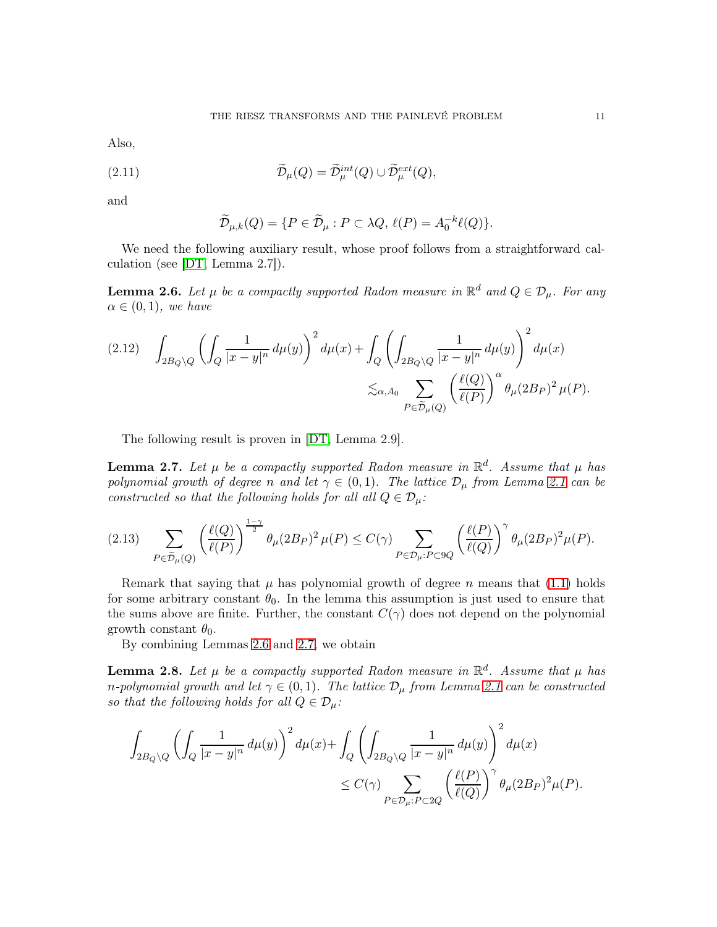Also,

(2.11) 
$$
\widetilde{\mathcal{D}}_{\mu}(Q) = \widetilde{\mathcal{D}}_{\mu}^{int}(Q) \cup \widetilde{\mathcal{D}}_{\mu}^{ext}(Q),
$$

and

$$
\widetilde{\mathcal{D}}_{\mu,k}(Q) = \{ P \in \widetilde{\mathcal{D}}_{\mu} : P \subset \lambda Q, \, \ell(P) = A_0^{-k} \ell(Q) \}.
$$

We need the following auxiliary result, whose proof follows from a straightforward calculation (see [\[DT,](#page-58-0) Lemma 2.7]).

<span id="page-10-0"></span>**Lemma 2.6.** Let  $\mu$  be a compactly supported Radon measure in  $\mathbb{R}^d$  and  $Q \in \mathcal{D}_{\mu}$ . For any  $\alpha \in (0,1)$ *, we have* 

$$
(2.12) \quad \int_{2B_Q\backslash Q} \left( \int_Q \frac{1}{|x-y|^n} d\mu(y) \right)^2 d\mu(x) + \int_Q \left( \int_{2B_Q\backslash Q} \frac{1}{|x-y|^n} d\mu(y) \right)^2 d\mu(x)
$$

$$
\lesssim_{\alpha, A_0} \sum_{P \in \widetilde{\mathcal{D}}_{\mu}(Q)} \left( \frac{\ell(Q)}{\ell(P)} \right)^{\alpha} \theta_{\mu}(2B_P)^2 \mu(P).
$$

The following result is proven in [\[DT,](#page-58-0) Lemma 2.9].

<span id="page-10-1"></span>**Lemma 2.7.** Let  $\mu$  be a compactly supported Radon measure in  $\mathbb{R}^d$ . Assume that  $\mu$  has *polynomial growth of degree n and let*  $\gamma \in (0,1)$ *. The lattice*  $\mathcal{D}_{\mu}$  *from Lemma [2.1](#page-7-4) can be constructed so that the following holds for all all*  $Q \in \mathcal{D}_{\mu}$ *:* 

$$
(2.13)\quad \sum_{P\in \tilde{\mathcal{D}}_{\mu}(Q)}\left(\frac{\ell(Q)}{\ell(P)}\right)^{\frac{1-\gamma}{2}}\theta_{\mu}(2B_P)^2\,\mu(P)\leq C(\gamma)\sum_{P\in \mathcal{D}_{\mu}: P\subset 9Q}\left(\frac{\ell(P)}{\ell(Q)}\right)^{\gamma}\theta_{\mu}(2B_P)^2\mu(P).
$$

Remark that saying that  $\mu$  has polynomial growth of degree n means that [\(1.1\)](#page-2-0) holds for some arbitrary constant  $\theta_0$ . In the lemma this assumption is just used to ensure that the sums above are finite. Further, the constant  $C(\gamma)$  does not depend on the polynomial growth constant  $\theta_0$ .

By combining Lemmas [2.6](#page-10-0) and [2.7,](#page-10-1) we obtain

<span id="page-10-2"></span>**Lemma 2.8.** Let  $\mu$  be a compactly supported Radon measure in  $\mathbb{R}^d$ . Assume that  $\mu$  has *n*-polynomial growth and let  $\gamma \in (0,1)$ . The lattice  $\mathcal{D}_{\mu}$  from Lemma [2.1](#page-7-4) can be constructed *so that the following holds for all*  $Q \in \mathcal{D}_{\mu}$ *:* 

$$
\begin{aligned} \int_{2B_Q\backslash Q} \left(\int_Q \frac{1}{|x-y|^n} \, d\mu(y)\right)^2 d\mu(x) + \int_Q \left(\int_{2B_Q\backslash Q} \frac{1}{|x-y|^n} \, d\mu(y)\right)^2 d\mu(x) \\ &\leq C(\gamma) \sum_{P\in \mathcal{D}_\mu: P\subset 2Q} \left(\frac{\ell(P)}{\ell(Q)}\right)^\gamma \theta_\mu(2B_P)^2 \mu(P). \end{aligned}
$$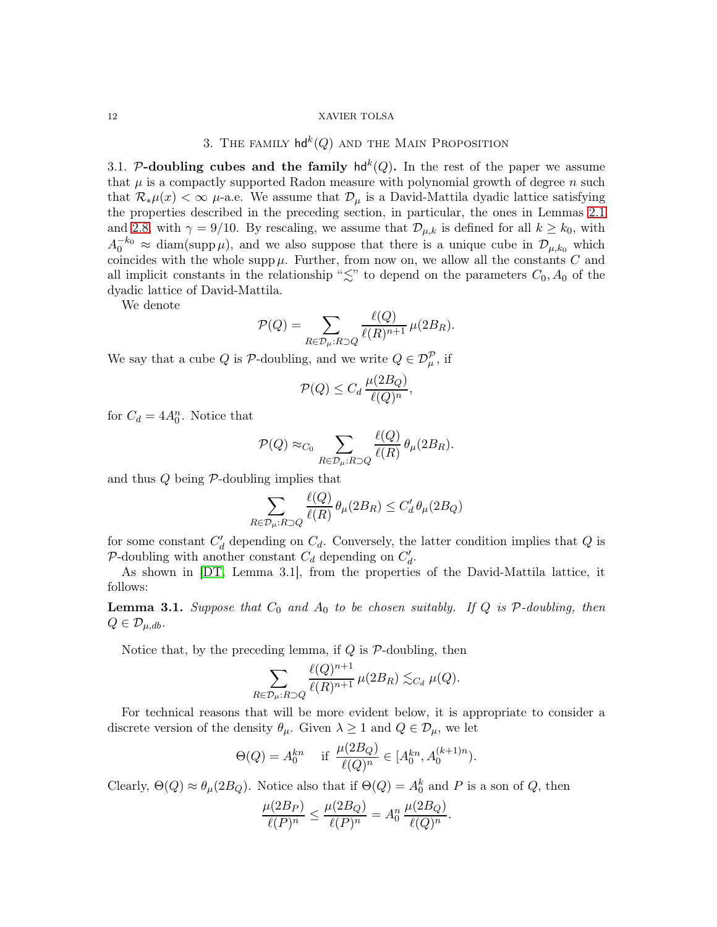# 3. The family  $\mathsf{hd}^k(Q)$  and the Main Proposition

<span id="page-11-1"></span><span id="page-11-0"></span>3.1. P-doubling cubes and the family  $hd^k(Q)$ . In the rest of the paper we assume that  $\mu$  is a compactly supported Radon measure with polynomial growth of degree n such that  $\mathcal{R}_{*}\mu(x) < \infty$   $\mu$ -a.e. We assume that  $\mathcal{D}_{\mu}$  is a David-Mattila dyadic lattice satisfying the properties described in the preceding section, in particular, the ones in Lemmas [2.1](#page-7-4) and [2.8,](#page-10-2) with  $\gamma = 9/10$ . By rescaling, we assume that  $\mathcal{D}_{\mu,k}$  is defined for all  $k \geq k_0$ , with  $A_0^{-k_0} \approx \text{diam}(\text{supp}\,\mu)$ , and we also suppose that there is a unique cube in  $\mathcal{D}_{\mu,k_0}$  which coincides with the whole supp  $\mu$ . Further, from now on, we allow all the constants  $C$  and all implicit constants in the relationship " $\lesssim$ " to depend on the parameters  $C_0$ ,  $A_0$  of the dyadic lattice of David-Mattila.

We denote

$$
\mathcal{P}(Q) = \sum_{R \in \mathcal{D}_{\mu}: R \supset Q} \frac{\ell(Q)}{\ell(R)^{n+1}} \mu(2B_R).
$$

We say that a cube Q is  $\mathcal{P}\text{-doubling}$ , and we write  $Q \in \mathcal{D}_{\mu}^{\mathcal{P}}$ , if

$$
\mathcal{P}(Q) \le C_d \, \frac{\mu(2B_Q)}{\ell(Q)^n},
$$

for  $C_d = 4A_0^n$ . Notice that

$$
\mathcal{P}(Q) \approx_{C_0} \sum_{R \in \mathcal{D}_{\mu}:R \supset Q} \frac{\ell(Q)}{\ell(R)} \theta_{\mu}(2B_R).
$$

and thus  $Q$  being  $P$ -doubling implies that

$$
\sum_{R \in \mathcal{D}_{\mu}: R \supset Q} \frac{\ell(Q)}{\ell(R)} \theta_{\mu}(2B_R) \le C_d' \theta_{\mu}(2B_Q)
$$

for some constant  $C'_d$  depending on  $C_d$ . Conversely, the latter condition implies that Q is P-doubling with another constant  $C_d$  depending on  $C'_d$ .

As shown in [\[DT,](#page-58-0) Lemma 3.1], from the properties of the David-Mattila lattice, it follows:

**Lemma 3.1.** Suppose that  $C_0$  and  $A_0$  to be chosen suitably. If  $Q$  is  $P$ -doubling, then  $Q \in \mathcal{D}_{\mu, db}$ .

Notice that, by the preceding lemma, if  $Q$  is  $P$ -doubling, then

$$
\sum_{R \in \mathcal{D}_{\mu}: R \supset Q} \frac{\ell(Q)^{n+1}}{\ell(R)^{n+1}} \mu(2B_R) \lesssim_{C_d} \mu(Q).
$$

For technical reasons that will be more evident below, it is appropriate to consider a discrete version of the density  $\theta_{\mu}$ . Given  $\lambda \geq 1$  and  $Q \in \mathcal{D}_{\mu}$ , we let

$$
\Theta(Q) = A_0^{kn} \quad \text{ if } \frac{\mu(2B_Q)}{\ell(Q)^n} \in [A_0^{kn}, A_0^{(k+1)n}).
$$

Clearly,  $\Theta(Q) \approx \theta_{\mu}(2B_Q)$ . Notice also that if  $\Theta(Q) = A_0^k$  and P is a son of Q, then

$$
\frac{\mu(2B_P)}{\ell(P)^n} \le \frac{\mu(2B_Q)}{\ell(P)^n} = A_0^n \, \frac{\mu(2B_Q)}{\ell(Q)^n}.
$$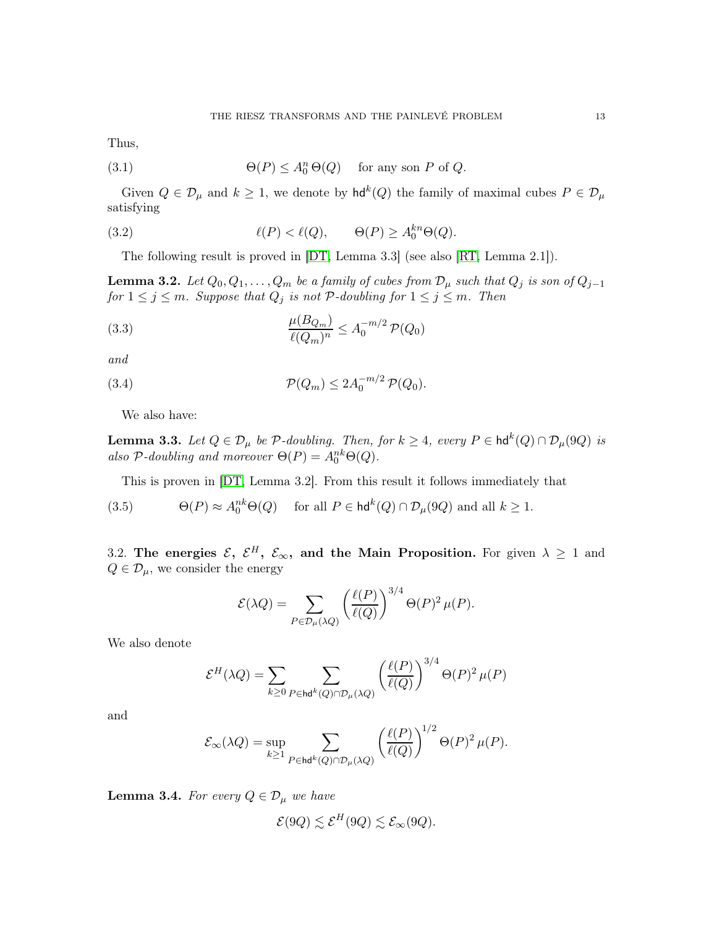Thus,

(3.1) 
$$
\Theta(P) \le A_0^n \Theta(Q) \quad \text{for any son } P \text{ of } Q.
$$

Given  $Q \in \mathcal{D}_{\mu}$  and  $k \geq 1$ , we denote by  $\mathsf{hd}^k(Q)$  the family of maximal cubes  $P \in \mathcal{D}_{\mu}$ satisfying

(3.2) 
$$
\ell(P) < \ell(Q), \qquad \Theta(P) \ge A_0^{kn} \Theta(Q).
$$

The following result is proved in [\[DT,](#page-58-0) Lemma 3.3] (see also [\[RT,](#page-59-17) Lemma 2.1]).

<span id="page-12-3"></span>**Lemma 3.2.** *Let*  $Q_0, Q_1, \ldots, Q_m$  *be a family of cubes from*  $\mathcal{D}_{\mu}$  *such that*  $Q_j$  *is son of*  $Q_{j-1}$  $for\ 1\leq j\leq m$ . Suppose that  $Q_j$  is not  $\mathcal P\text{-}doubling$  for  $1\leq j\leq m$ . Then

(3.3) 
$$
\frac{\mu(B_{Q_m})}{\ell(Q_m)^n} \leq A_0^{-m/2} \mathcal{P}(Q_0)
$$

*and*

(3.4) 
$$
\mathcal{P}(Q_m) \leq 2A_0^{-m/2} \mathcal{P}(Q_0).
$$

We also have:

**Lemma 3.3.** Let  $Q \in \mathcal{D}_{\mu}$  be  $\mathcal{P}\text{-}doubling$ . Then, for  $k \geq 4$ , every  $P \in \text{hd}^k(Q) \cap \mathcal{D}_{\mu}(9Q)$  is also  $P$ -doubling and moreover  $\Theta(P) = A_0^{nk} \Theta(Q)$ .

<span id="page-12-2"></span>This is proven in [\[DT,](#page-58-0) Lemma 3.2]. From this result it follows immediately that

(3.5) 
$$
\Theta(P) \approx A_0^{nk} \Theta(Q) \quad \text{ for all } P \in \mathsf{hd}^k(Q) \cap \mathcal{D}_\mu(9Q) \text{ and all } k \ge 1.
$$

<span id="page-12-0"></span>3.2. The energies  $\mathcal{E}, \ \mathcal{E}^H, \ \mathcal{E}_{\infty}$ , and the Main Proposition. For given  $\lambda \geq 1$  and  $Q \in \mathcal{D}_{\mu}$ , we consider the energy

$$
\mathcal{E}(\lambda Q) = \sum_{P \in \mathcal{D}_{\mu}(\lambda Q)} \left( \frac{\ell(P)}{\ell(Q)} \right)^{3/4} \Theta(P)^2 \,\mu(P).
$$

We also denote

$$
\mathcal{E}^{H}(\lambda Q) = \sum_{k \ge 0} \sum_{P \in \mathsf{hd}^{k}(Q) \cap \mathcal{D}_{\mu}(\lambda Q)} \left(\frac{\ell(P)}{\ell(Q)}\right)^{3/4} \Theta(P)^{2} \mu(P)
$$

and

$$
\mathcal{E}_\infty(\lambda Q)=\sup_{k\geq 1}\sum_{P\in\mathrm{hd}^k(Q)\cap\mathcal{D}_\mu(\lambda Q)}\left(\frac{\ell(P)}{\ell(Q)}\right)^{1/2}\Theta(P)^2\,\mu(P).
$$

<span id="page-12-1"></span>**Lemma 3.4.** *For every*  $Q \in \mathcal{D}_{\mu}$  *we have* 

$$
\mathcal{E}(9Q) \lesssim \mathcal{E}^H(9Q) \lesssim \mathcal{E}_{\infty}(9Q).
$$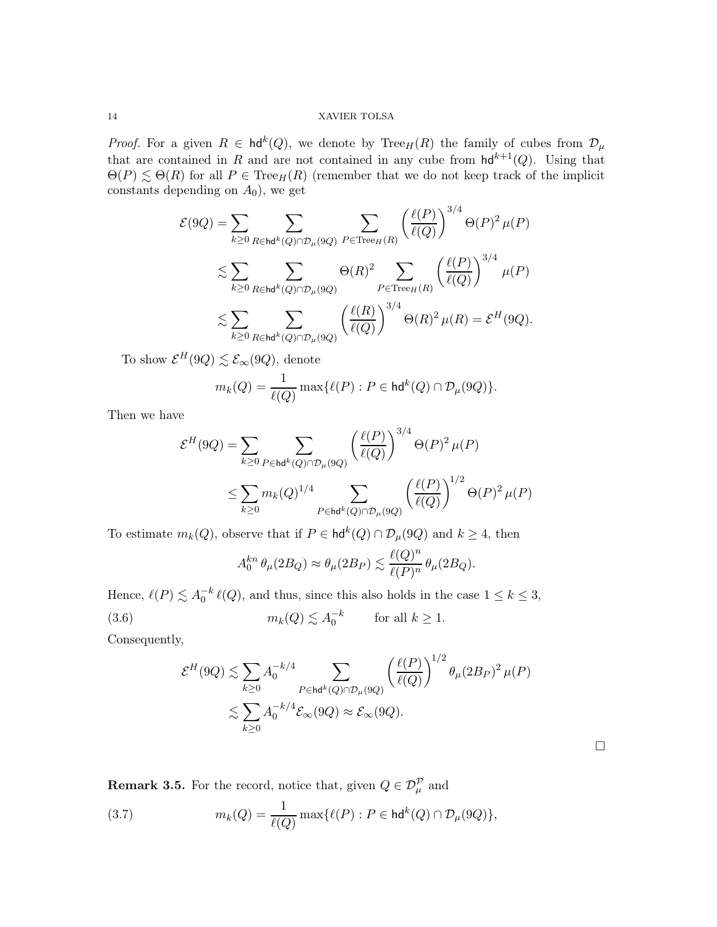*Proof.* For a given  $R \in \text{hd}^k(Q)$ , we denote by  $\text{Tree}_H(R)$  the family of cubes from  $\mathcal{D}_{\mu}$ that are contained in R and are not contained in any cube from  $\mathsf{hd}^{k+1}(Q)$ . Using that  $\Theta(P) \lesssim \Theta(R)$  for all  $P \in \text{Tree}_H(R)$  (remember that we do not keep track of the implicit constants depending on  $A_0$ ), we get

$$
\mathcal{E}(9Q) = \sum_{k \ge 0} \sum_{R \in \text{hd}^k(Q) \cap \mathcal{D}_{\mu}(9Q)} \sum_{P \in \text{Tree}_H(R)} \left(\frac{\ell(P)}{\ell(Q)}\right)^{3/4} \Theta(P)^2 \,\mu(P)
$$
  
\$\lesssim \sum\_{k \ge 0} \sum\_{R \in \text{hd}^k(Q) \cap \mathcal{D}\_{\mu}(9Q)} \Theta(R)^2 \sum\_{P \in \text{Tree}\_H(R)} \left(\frac{\ell(P)}{\ell(Q)}\right)^{3/4} \mu(P)\$  
\$\lesssim \sum\_{k \ge 0} \sum\_{R \in \text{hd}^k(Q) \cap \mathcal{D}\_{\mu}(9Q)} \left(\frac{\ell(R)}{\ell(Q)}\right)^{3/4} \Theta(R)^2 \,\mu(R) = \mathcal{E}^H(9Q).

To show  $\mathcal{E}^H(9Q) \lesssim \mathcal{E}_{\infty}(9Q)$ , denote

$$
m_k(Q) = \frac{1}{\ell(Q)} \max\{\ell(P) : P \in \mathsf{hd}^k(Q) \cap \mathcal{D}_\mu(9Q)\}.
$$

Then we have

$$
\begin{split} \mathcal{E}^H(9Q) &= \sum_{k\geq 0} \sum_{P\in\mathsf{hd}^k(Q)\cap\mathcal{D}_\mu(9Q)} \left(\frac{\ell(P)}{\ell(Q)}\right)^{3/4} \Theta(P)^2 \,\mu(P) \\ &\leq \sum_{k\geq 0} m_k(Q)^{1/4} \sum_{P\in\mathsf{hd}^k(Q)\cap\mathcal{D}_\mu(9Q)} \left(\frac{\ell(P)}{\ell(Q)}\right)^{1/2} \Theta(P)^2 \,\mu(P) \end{split}
$$

To estimate  $m_k(Q)$ , observe that if  $P \in \text{hd}^k(Q) \cap \mathcal{D}_{\mu}(9Q)$  and  $k \geq 4$ , then

<span id="page-13-0"></span>
$$
A_0^{kn}\,\theta_\mu(2B_Q)\approx \theta_\mu(2B_P)\lesssim \frac{\ell(Q)^n}{\ell(P)^n}\,\theta_\mu(2B_Q).
$$

Hence,  $\ell(P) \lesssim A_0^{-k} \ell(Q)$ , and thus, since this also holds in the case  $1 \leq k \leq 3$ , (3.6)  $m_k(Q) \lesssim A_0^{-k}$  for all  $k \ge 1$ .

Consequently,

$$
\mathcal{E}^{H}(9Q) \lesssim \sum_{k\geq 0} A_0^{-k/4} \sum_{P \in \text{hd}^k(Q) \cap \mathcal{D}_{\mu}(9Q)} \left(\frac{\ell(P)}{\ell(Q)}\right)^{1/2} \theta_{\mu}(2B_P)^2 \,\mu(P)
$$
  

$$
\lesssim \sum_{k\geq 0} A_0^{-k/4} \mathcal{E}_{\infty}(9Q) \approx \mathcal{E}_{\infty}(9Q).
$$

 $\Box$ 

**Remark 3.5.** For the record, notice that, given  $Q \in \mathcal{D}_{\mu}^{\mathcal{P}}$  and

(3.7) 
$$
m_k(Q) = \frac{1}{\ell(Q)} \max\{\ell(P) : P \in \mathsf{hd}^k(Q) \cap \mathcal{D}_\mu(9Q)\},
$$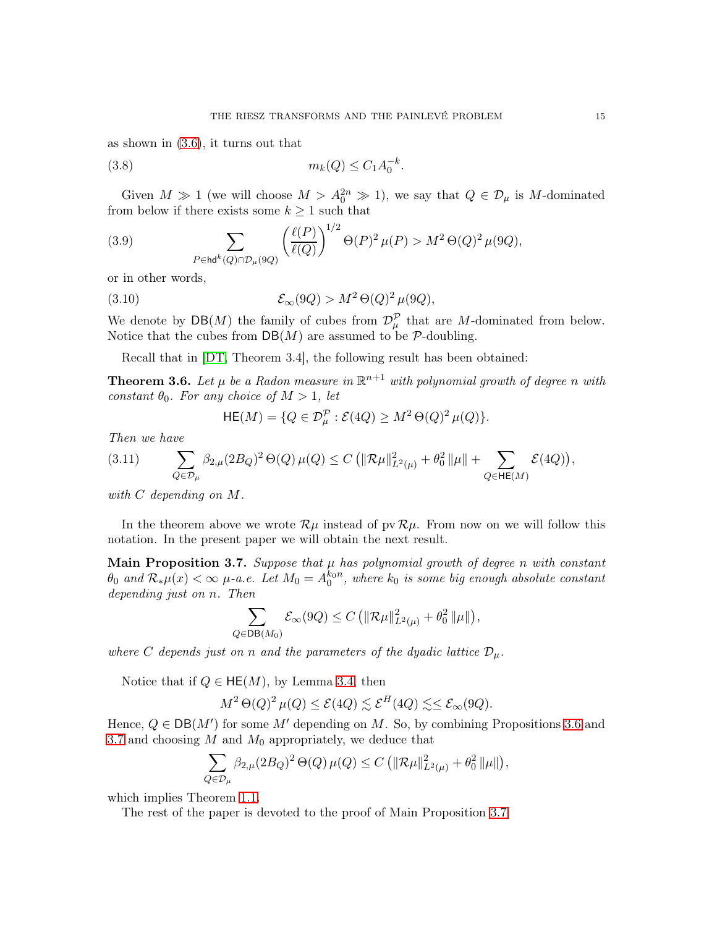as shown in [\(3.6\)](#page-13-0), it turns out that

<span id="page-14-3"></span>(3.8) 
$$
m_k(Q) \le C_1 A_0^{-k}.
$$

Given  $M \gg 1$  (we will choose  $M > A_0^{2n} \gg 1$ ), we say that  $Q \in \mathcal{D}_{\mu}$  is M-dominated from below if there exists some  $k \geq 1$  such that

<span id="page-14-2"></span>(3.9) 
$$
\sum_{P \in \text{hd}^k(Q) \cap \mathcal{D}_\mu(9Q)} \left( \frac{\ell(P)}{\ell(Q)} \right)^{1/2} \Theta(P)^2 \mu(P) > M^2 \Theta(Q)^2 \mu(9Q),
$$

or in other words,

(3.10) 
$$
\mathcal{E}_{\infty}(9Q) > M^2 \Theta(Q)^2 \mu(9Q),
$$

We denote by  $\mathsf{DB}(M)$  the family of cubes from  $\mathcal{D}_{\mu}^{\mathcal{P}}$  that are M-dominated from below. Notice that the cubes from  $DB(M)$  are assumed to be P-doubling.

Recall that in [\[DT,](#page-58-0) Theorem 3.4], the following result has been obtained:

<span id="page-14-1"></span>**Theorem 3.6.** Let  $\mu$  be a Radon measure in  $\mathbb{R}^{n+1}$  with polynomial growth of degree n with *constant*  $\theta_0$ *. For any choice of*  $M > 1$ *, let* 

$$
\mathsf{HE}(M) = \{ Q \in \mathcal{D}_{\mu}^{\mathcal{P}} : \mathcal{E}(4Q) \ge M^2 \Theta(Q)^2 \,\mu(Q) \}.
$$

*Then we have*

$$
(3.11) \qquad \sum_{Q \in \mathcal{D}_{\mu}} \beta_{2,\mu}(2B_Q)^2 \, \Theta(Q) \, \mu(Q) \le C \left( \|\mathcal{R}\mu\|_{L^2(\mu)}^2 + \theta_0^2 \, \|\mu\| + \sum_{Q \in \mathsf{HE}(M)} \mathcal{E}(4Q) \right),
$$

*with* C *depending on* M*.*

In the theorem above we wrote  $\mathcal{R}\mu$  instead of pv  $\mathcal{R}\mu$ . From now on we will follow this notation. In the present paper we will obtain the next result.

<span id="page-14-0"></span>Main Proposition 3.7. *Suppose that* µ *has polynomial growth of degree* n *with constant*  $\theta_0$  and  $\mathcal{R}_*\mu(x) < \infty$   $\mu$ -a.e. Let  $M_0 = A_0^{k_0 n}$ , where  $k_0$  is some big enough absolute constant *depending just on* n*. Then*

$$
\sum_{Q \in \mathsf{DB}(M_0)} \mathcal{E}_{\infty}(9Q) \le C \left( \|\mathcal{R}\mu\|_{L^2(\mu)}^2 + \theta_0^2 \|\mu\| \right),\,
$$

*where* C *depends just on* n *and the parameters of the dyadic lattice*  $\mathcal{D}_{\mu}$ .

Notice that if  $Q \in \mathsf{HE}(M)$ , by Lemma [3.4,](#page-12-1) then

$$
M^2 \Theta(Q)^2 \mu(Q) \leq \mathcal{E}(4Q) \lesssim \mathcal{E}^H(4Q) \lesssim \mathcal{E}_{\infty}(9Q).
$$

Hence,  $Q \in DB(M')$  for some M' depending on M. So, by combining Propositions [3.6](#page-14-1) and [3.7](#page-14-0) and choosing  $M$  and  $M_0$  appropriately, we deduce that

$$
\sum_{Q \in \mathcal{D}_{\mu}} \beta_{2,\mu} (2B_Q)^2 \, \Theta(Q) \, \mu(Q) \leq C \left( \|\mathcal{R}\mu\|_{L^2(\mu)}^2 + \theta_0^2 \, \|\mu\| \right),
$$

which implies Theorem [1.1.](#page-2-3)

The rest of the paper is devoted to the proof of Main Proposition [3.7.](#page-14-0)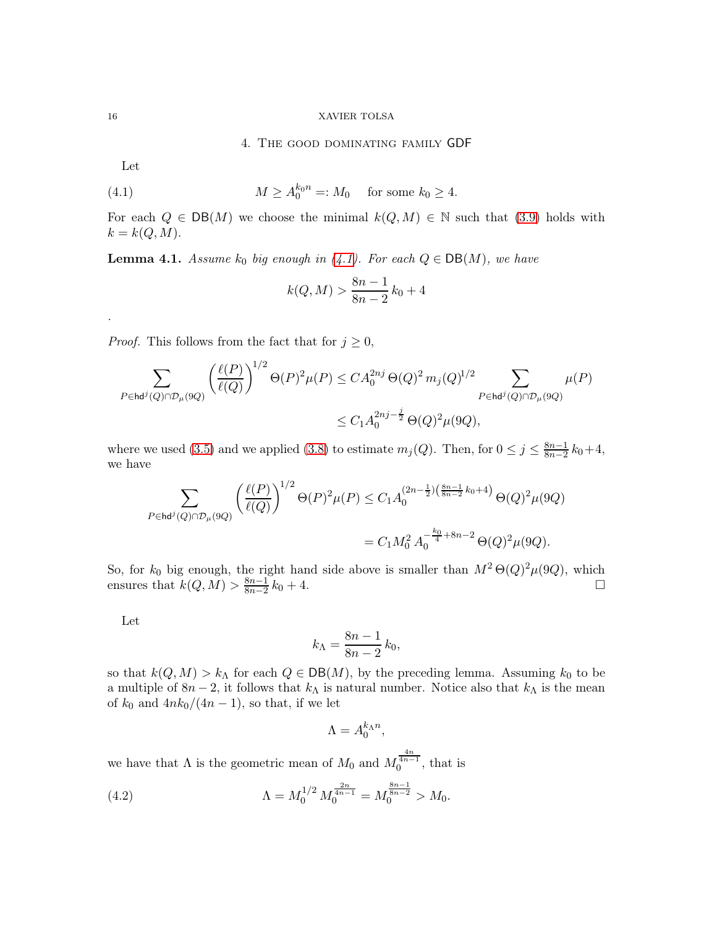<span id="page-15-1"></span>4. The good dominating family GDF

Let

(4.1) 
$$
M \ge A_0^{k_0 n} =: M_0
$$
 for some  $k_0 \ge 4$ .

For each  $Q \in DB(M)$  we choose the minimal  $k(Q, M) \in \mathbb{N}$  such that [\(3.9\)](#page-14-2) holds with  $k = k(Q, M).$ 

**Lemma 4.1.** *Assume*  $k_0$  *big enough in* [\(4.1\)](#page-15-1)*. For each*  $Q \in DB(M)$ *, we have* 

$$
k(Q, M) > \frac{8n-1}{8n-2}k_0 + 4
$$

*Proof.* This follows from the fact that for  $j \geq 0$ ,

$$
\sum_{P \in \text{hd}^j(Q) \cap \mathcal{D}_{\mu}(9Q)} \left( \frac{\ell(P)}{\ell(Q)} \right)^{1/2} \Theta(P)^2 \mu(P) \leq C A_0^{2nj} \Theta(Q)^2 m_j(Q)^{1/2} \sum_{P \in \text{hd}^j(Q) \cap \mathcal{D}_{\mu}(9Q)} \mu(P)
$$
  

$$
\leq C_1 A_0^{2nj - \frac{j}{2}} \Theta(Q)^2 \mu(9Q),
$$

where we used [\(3.5\)](#page-12-2) and we applied [\(3.8\)](#page-14-3) to estimate  $m_j(Q)$ . Then, for  $0 \leq j \leq \frac{8n-1}{8n-2}$  $\frac{8n-1}{8n-2}k_0+4,$ we have

$$
\sum_{P \in \mathsf{hd}^j(Q) \cap \mathcal{D}_{\mu}(9Q)} \left( \frac{\ell(P)}{\ell(Q)} \right)^{1/2} \Theta(P)^2 \mu(P) \le C_1 A_0^{(2n - \frac{1}{2})(\frac{8n - 1}{8n - 2}k_0 + 4)} \Theta(Q)^2 \mu(9Q)
$$

$$
= C_1 M_0^2 A_0^{-\frac{k_0}{4} + 8n - 2} \Theta(Q)^2 \mu(9Q).
$$

So, for  $k_0$  big enough, the right hand side above is smaller than  $M^2 \Theta(Q)^2 \mu(Q)$ , which ensures that  $k(Q, M) > \frac{8n-1}{8n-2}$  $\frac{8n-1}{8n-2}k_0+4.$ 

Let

$$
k_{\Lambda} = \frac{8n-1}{8n-2}k_0,
$$

so that  $k(Q, M) > k<sub>\Lambda</sub>$  for each  $Q \in DB(M)$ , by the preceding lemma. Assuming  $k_0$  to be a multiple of  $8n-2$ , it follows that  $k_{\Lambda}$  is natural number. Notice also that  $k_{\Lambda}$  is the mean of  $k_0$  and  $4nk_0/(4n-1)$ , so that, if we let

<span id="page-15-2"></span>
$$
\Lambda = A_0^{k_{\Lambda}n},
$$

we have that  $\Lambda$  is the geometric mean of  $M_0$  and  $M_0^{\frac{4n}{4n-1}}$ , that is

(4.2) 
$$
\Lambda = M_0^{1/2} M_0^{\frac{2n}{4n-1}} = M_0^{\frac{8n-1}{8n-2}} > M_0.
$$

<span id="page-15-0"></span>

*.*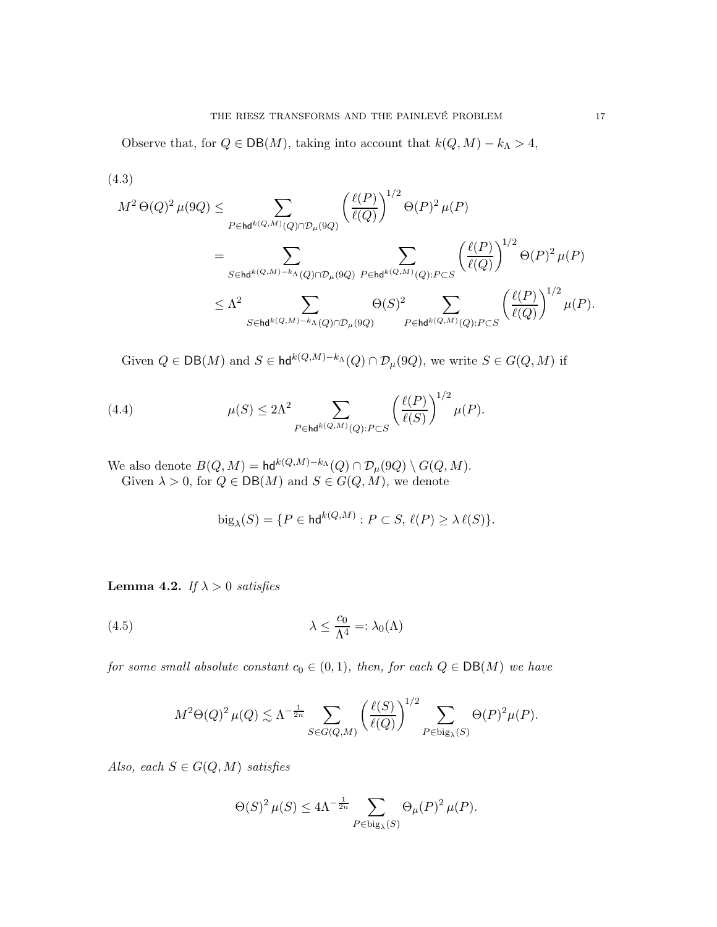Observe that, for  $Q \in DB(M)$ , taking into account that  $k(Q, M) - k<sub>\Lambda</sub> > 4$ ,

<span id="page-16-0"></span>(4.3)  
\n
$$
M^{2} \Theta(Q)^{2} \mu(9Q) \leq \sum_{P \in \text{hd}^{k(Q,M)}(Q) \cap \mathcal{D}_{\mu}(9Q)} \left(\frac{\ell(P)}{\ell(Q)}\right)^{1/2} \Theta(P)^{2} \mu(P)
$$
\n
$$
= \sum_{S \in \text{hd}^{k(Q,M)-k_{\Lambda}(Q) \cap \mathcal{D}_{\mu}(9Q)}} \sum_{P \in \text{hd}^{k(Q,M)}(Q): P \subset S} \left(\frac{\ell(P)}{\ell(Q)}\right)^{1/2} \Theta(P)^{2} \mu(P)
$$
\n
$$
\leq \Lambda^{2} \sum_{S \in \text{hd}^{k(Q,M)-k_{\Lambda}(Q) \cap \mathcal{D}_{\mu}(9Q)}} \Theta(S)^{2} \sum_{P \in \text{hd}^{k(Q,M)}(Q): P \subset S} \left(\frac{\ell(P)}{\ell(Q)}\right)^{1/2} \mu(P).
$$

Given  $Q \in \mathsf{DB}(M)$  and  $S \in \mathsf{hd}^{k(Q,M)-k_{\Lambda}}(Q) \cap \mathcal{D}_{\mu}(9Q)$ , we write  $S \in G(Q,M)$  if

(4.4) 
$$
\mu(S) \leq 2\Lambda^2 \sum_{P \in \mathsf{hd}^{k(Q,M)}(Q): P \subset S} \left(\frac{\ell(P)}{\ell(S)}\right)^{1/2} \mu(P).
$$

We also denote  $B(Q, M) = \text{hd}^{k(Q, M)-k_{\Lambda}}(Q) \cap \mathcal{D}_{\mu}(9Q) \setminus G(Q, M).$ Given  $\lambda > 0$ , for  $Q \in DB(M)$  and  $S \in G(Q, M)$ , we denote

<span id="page-16-2"></span><span id="page-16-1"></span>
$$
\text{big}_{\lambda}(S) = \{ P \in \text{hd}^{k(Q,M)} : P \subset S, \, \ell(P) \ge \lambda \, \ell(S) \}.
$$

<span id="page-16-3"></span>Lemma 4.2. *If*  $\lambda > 0$  *satisfies* 

(4.5) 
$$
\lambda \leq \frac{c_0}{\Lambda^4} =: \lambda_0(\Lambda)
$$

*for some small absolute constant*  $c_0 \in (0,1)$ *, then, for each*  $Q \in \text{DB}(M)$  *we have* 

$$
M^2\Theta(Q)^2 \mu(Q) \lesssim \Lambda^{-\frac{1}{2n}} \sum_{S \in G(Q,M)} \left(\frac{\ell(S)}{\ell(Q)}\right)^{1/2} \sum_{P \in \text{big}_{\lambda}(S)} \Theta(P)^2 \mu(P).
$$

*Also, each*  $S \in G(Q, M)$  *satisfies* 

$$
\Theta(S)^2 \,\mu(S) \le 4\Lambda^{-\frac{1}{2n}} \sum_{P \in \text{big}_{\lambda}(S)} \Theta_{\mu}(P)^2 \,\mu(P).
$$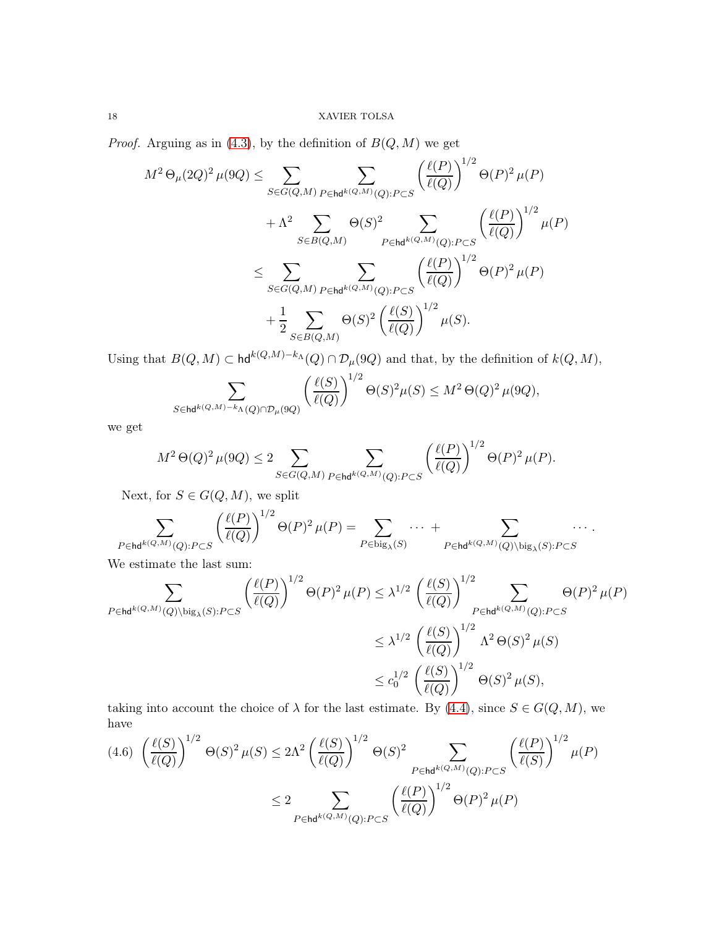*Proof.* Arguing as in [\(4.3\)](#page-16-0), by the definition of  $B(Q, M)$  we get

$$
M^{2} \Theta_{\mu}(2Q)^{2} \mu(9Q) \leq \sum_{S \in G(Q,M)} \sum_{P \in \text{hd}^{k(Q,M)}(Q): P \subset S} \left(\frac{\ell(P)}{\ell(Q)}\right)^{1/2} \Theta(P)^{2} \mu(P)
$$
  
+  $\Lambda^{2} \sum_{S \in B(Q,M)} \Theta(S)^{2} \sum_{P \in \text{hd}^{k(Q,M)}(Q): P \subset S} \left(\frac{\ell(P)}{\ell(Q)}\right)^{1/2} \mu(P)$   

$$
\leq \sum_{S \in G(Q,M)} \sum_{P \in \text{hd}^{k(Q,M)}(Q): P \subset S} \left(\frac{\ell(P)}{\ell(Q)}\right)^{1/2} \Theta(P)^{2} \mu(P)
$$
  
+  $\frac{1}{2} \sum_{S \in B(Q,M)} \Theta(S)^{2} \left(\frac{\ell(S)}{\ell(Q)}\right)^{1/2} \mu(S).$ 

Using that  $B(Q, M) \subset \text{hd}^{k(Q,M)-k_A}(Q) \cap \mathcal{D}_{\mu}(9Q)$  and that, by the definition of  $k(Q, M)$ ,

$$
\sum_{S \in \text{hd}^{k(Q,M)-k_{\Lambda}(Q)\cap \mathcal{D}_{\mu}(9Q)}} \left(\frac{\ell(S)}{\ell(Q)}\right)^{1/2} \Theta(S)^2 \mu(S) \leq M^2 \Theta(Q)^2 \mu(9Q),
$$

we get

$$
M^2\,\Theta(Q)^2\,\mu(9Q) \leq 2\sum_{S\in G(Q,M)} \sum_{P\in \text{hd}^{k(Q,M)}(Q): P\subset S} \left(\frac{\ell(P)}{\ell(Q)}\right)^{1/2} \Theta(P)^2\,\mu(P).
$$

Next, for  $S \in G(Q, M)$ , we split

$$
\sum_{P \in \mathsf{hd}^{k(Q,M)}(Q): P \subset S} \left( \frac{\ell(P)}{\ell(Q)} \right)^{1/2} \Theta(P)^2 \,\mu(P) = \sum_{P \in \mathsf{big}_{\lambda}(S)} \cdots + \sum_{P \in \mathsf{hd}^{k(Q,M)}(Q) \backslash \mathsf{big}_{\lambda}(S): P \subset S} \cdots.
$$

We estimate the last sum:

$$
\begin{split} \sum_{P \in \mathsf{hd}^{k(Q,M)}(Q) \backslash \mathrm{big}_{\lambda}(S): P \subset S} \left(\frac{\ell(P)}{\ell(Q)}\right)^{1/2} &\Theta(P)^2 \,\mu(P) \leq \lambda^{1/2} \, \left(\frac{\ell(S)}{\ell(Q)}\right)^{1/2} \sum_{P \in \mathsf{hd}^{k(Q,M)}(Q): P \subset S} \Theta(P)^2 \,\mu(P) \\ &\leq \lambda^{1/2} \, \left(\frac{\ell(S)}{\ell(Q)}\right)^{1/2} \Lambda^2 \, \Theta(S)^2 \,\mu(S) \\ &\leq c_0^{1/2} \, \left(\frac{\ell(S)}{\ell(Q)}\right)^{1/2} \, \Theta(S)^2 \,\mu(S), \end{split}
$$

taking into account the choice of  $\lambda$  for the last estimate. By  $(4.4)$ , since  $S \in G(Q, M)$ , we have

<span id="page-17-0"></span>
$$
(4.6)\ \left(\frac{\ell(S)}{\ell(Q)}\right)^{1/2}\Theta(S)^{2}\,\mu(S) \le 2\Lambda^{2}\left(\frac{\ell(S)}{\ell(Q)}\right)^{1/2}\Theta(S)^{2}\sum_{P\in\mathsf{hd}^{k(Q,M)}(Q):P\subset S}\left(\frac{\ell(P)}{\ell(S)}\right)^{1/2}\mu(P)
$$

$$
\le 2\sum_{P\in\mathsf{hd}^{k(Q,M)}(Q):P\subset S}\left(\frac{\ell(P)}{\ell(Q)}\right)^{1/2}\Theta(P)^{2}\,\mu(P)
$$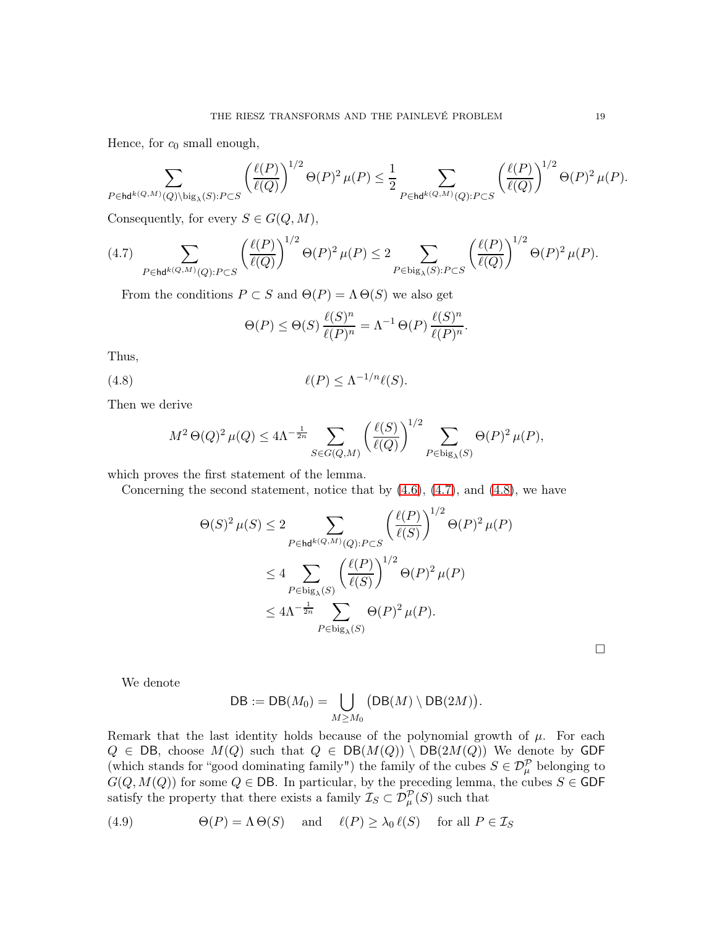Hence, for  $c_0$  small enough,

$$
\sum_{P\in\mathrm{hd}^{k(Q,M)}(Q)\backslash\mathrm{big}_{\lambda}(S):P\subset S}\left(\frac{\ell(P)}{\ell(Q)}\right)^{1/2}\Theta(P)^2\,\mu(P)\leq \frac{1}{2}\sum_{P\in\mathrm{hd}^{k(Q,M)}(Q):P\subset S}\left(\frac{\ell(P)}{\ell(Q)}\right)^{1/2}\Theta(P)^2\,\mu(P).
$$

Consequently, for every  $S \in G(Q, M)$ ,

<span id="page-18-0"></span>
$$
(4.7) \sum_{P \in \text{hd}^{k(Q,M)}(Q): P \subset S} \left(\frac{\ell(P)}{\ell(Q)}\right)^{1/2} \Theta(P)^2 \,\mu(P) \le 2 \sum_{P \in \text{big}_{\lambda}(S): P \subset S} \left(\frac{\ell(P)}{\ell(Q)}\right)^{1/2} \Theta(P)^2 \,\mu(P).
$$

From the conditions  $P \subset S$  and  $\Theta(P) = \Lambda \Theta(S)$  we also get

<span id="page-18-1"></span>
$$
\Theta(P) \le \Theta(S) \frac{\ell(S)^n}{\ell(P)^n} = \Lambda^{-1} \Theta(P) \frac{\ell(S)^n}{\ell(P)^n}.
$$

Thus,

(4.8) 
$$
\ell(P) \leq \Lambda^{-1/n} \ell(S).
$$

Then we derive

$$
M^{2} \Theta(Q)^{2} \mu(Q) \le 4\Lambda^{-\frac{1}{2n}} \sum_{S \in G(Q,M)} \left( \frac{\ell(S)}{\ell(Q)} \right)^{1/2} \sum_{P \in \text{big}_{\lambda}(S)} \Theta(P)^{2} \mu(P),
$$

which proves the first statement of the lemma.

Concerning the second statement, notice that by  $(4.6)$ ,  $(4.7)$ , and  $(4.8)$ , we have

$$
\Theta(S)^2 \mu(S) \le 2 \sum_{P \in \mathsf{hd}^{k(Q,M)}(Q): P \subset S} \left( \frac{\ell(P)}{\ell(S)} \right)^{1/2} \Theta(P)^2 \mu(P)
$$
  

$$
\le 4 \sum_{P \in \text{big}_{\lambda}(S)} \left( \frac{\ell(P)}{\ell(S)} \right)^{1/2} \Theta(P)^2 \mu(P)
$$
  

$$
\le 4\Lambda^{-\frac{1}{2n}} \sum_{P \in \text{big}_{\lambda}(S)} \Theta(P)^2 \mu(P).
$$

 $\Box$ 

We denote

$$
\mathsf{DB} := \mathsf{DB}(M_0) = \bigcup_{M \geq M_0} \big( \mathsf{DB}(M) \setminus \mathsf{DB}(2M) \big).
$$

Remark that the last identity holds because of the polynomial growth of  $\mu$ . For each  $Q \in DB$ , choose  $M(Q)$  such that  $Q \in DB(M(Q)) \setminus DB(2M(Q))$  We denote by GDF (which stands for "good dominating family") the family of the cubes  $S \in \mathcal{D}_{\mu}^{\mathcal{P}}$  belonging to  $G(Q, M(Q))$  for some  $Q \in \mathsf{DB}$ . In particular, by the preceding lemma, the cubes  $S \in \mathsf{GDF}$ satisfy the property that there exists a family  $\mathcal{I}_S \subset \mathcal{D}_{\mu}^{\mathcal{P}}(S)$  such that

<span id="page-18-2"></span>(4.9) 
$$
\Theta(P) = \Lambda \Theta(S) \quad \text{and} \quad \ell(P) \ge \lambda_0 \, \ell(S) \quad \text{for all } P \in \mathcal{I}_S
$$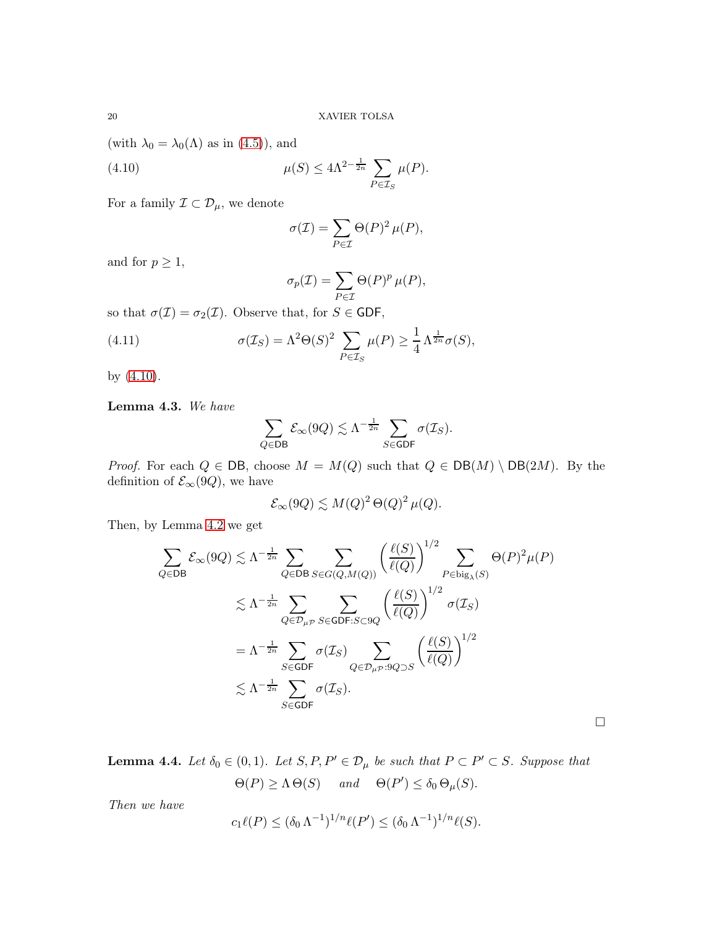(with  $\lambda_0 = \lambda_0(\Lambda)$  as in [\(4.5\)](#page-16-2)), and

(4.10) 
$$
\mu(S) \le 4\Lambda^{2-\frac{1}{2n}} \sum_{P \in \mathcal{I}_S} \mu(P).
$$

For a family  $\mathcal{I} \subset \mathcal{D}_{\mu}$ , we denote

<span id="page-19-0"></span>
$$
\sigma(\mathcal{I}) = \sum_{P \in \mathcal{I}} \Theta(P)^2 \,\mu(P),
$$

and for  $p \geq 1$ ,

<span id="page-19-1"></span>
$$
\sigma_p(\mathcal{I}) = \sum_{P \in \mathcal{I}} \Theta(P)^p \,\mu(P),
$$

so that  $\sigma(\mathcal{I}) = \sigma_2(\mathcal{I})$ . Observe that, for  $S \in \mathsf{GDF}$ ,

(4.11) 
$$
\sigma(\mathcal{I}_S) = \Lambda^2 \Theta(S)^2 \sum_{P \in \mathcal{I}_S} \mu(P) \ge \frac{1}{4} \Lambda^{\frac{1}{2n}} \sigma(S),
$$

by [\(4.10\)](#page-19-0).

<span id="page-19-2"></span>Lemma 4.3. *We have*

$$
\sum_{Q \in \mathsf{DB}} \mathcal{E}_{\infty}(9Q) \lesssim \Lambda^{-\frac{1}{2n}} \sum_{S \in \mathsf{GDF}} \sigma(\mathcal{I}_S).
$$

*Proof.* For each  $Q \in DB$ , choose  $M = M(Q)$  such that  $Q \in DB(M) \setminus DB(2M)$ . By the definition of  $\mathcal{E}_{\infty}(9Q)$ , we have

$$
\mathcal{E}_{\infty}(9Q) \lesssim M(Q)^2 \Theta(Q)^2 \mu(Q).
$$

Then, by Lemma [4.2](#page-16-3) we get

$$
\sum_{Q \in DB} \mathcal{E}_{\infty}(9Q) \lesssim \Lambda^{-\frac{1}{2n}} \sum_{Q \in DB} \sum_{S \in G(Q,M(Q))} \left(\frac{\ell(S)}{\ell(Q)}\right)^{1/2} \sum_{P \in \text{big}_{\lambda}(S)} \Theta(P)^2 \mu(P)
$$
  

$$
\lesssim \Lambda^{-\frac{1}{2n}} \sum_{Q \in \mathcal{D}_{\mu\mathcal{P}}} \sum_{S \in \text{GDF}: S \subset 9Q} \left(\frac{\ell(S)}{\ell(Q)}\right)^{1/2} \sigma(\mathcal{I}_S)
$$
  

$$
= \Lambda^{-\frac{1}{2n}} \sum_{S \in \text{GDF}} \sigma(\mathcal{I}_S) \sum_{Q \in \mathcal{D}_{\mu\mathcal{P}}: 9Q \supset S} \left(\frac{\ell(S)}{\ell(Q)}\right)^{1/2}
$$
  

$$
\lesssim \Lambda^{-\frac{1}{2n}} \sum_{S \in \text{GDF}} \sigma(\mathcal{I}_S).
$$

 $\Box$ 

**Lemma 4.4.** Let  $\delta_0 \in (0,1)$ . Let  $S, P, P' \in \mathcal{D}_{\mu}$  be such that  $P \subset P' \subset S$ . Suppose that

$$
\Theta(P) \ge \Lambda \Theta(S) \quad \text{and} \quad \Theta(P') \le \delta_0 \Theta_{\mu}(S).
$$

*Then we have*

$$
c_1 \ell(P) \le (\delta_0 \Lambda^{-1})^{1/n} \ell(P') \le (\delta_0 \Lambda^{-1})^{1/n} \ell(S).
$$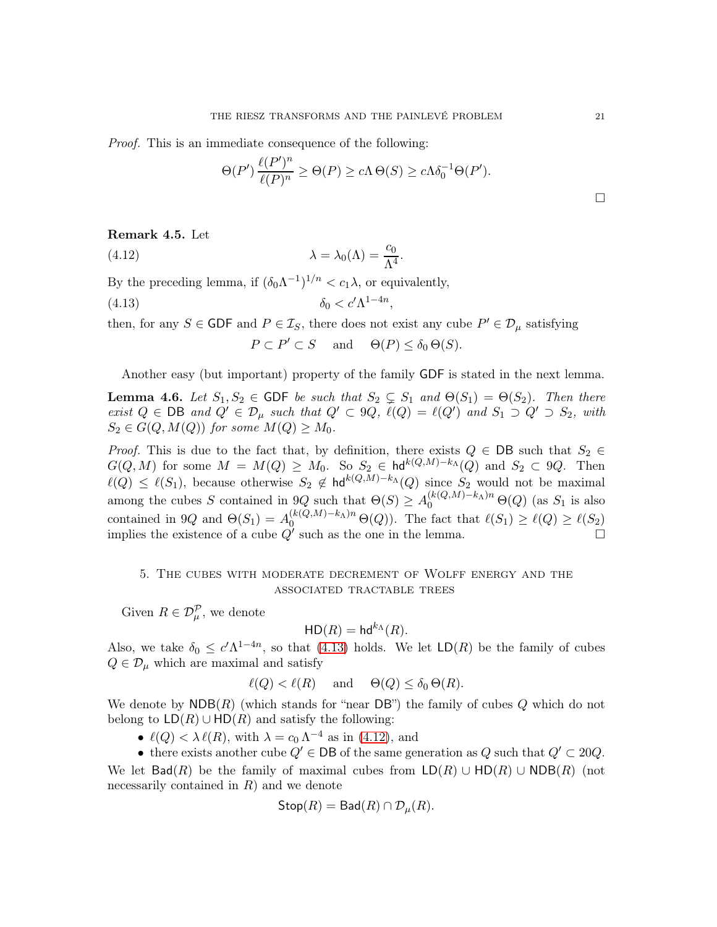*Proof.* This is an immediate consequence of the following:

$$
\Theta(P') \frac{\ell(P')^n}{\ell(P)^n} \ge \Theta(P) \ge c\Lambda \Theta(S) \ge c\Lambda \delta_0^{-1} \Theta(P').
$$

### <span id="page-20-3"></span>Remark 4.5. Let

(4.12) 
$$
\lambda = \lambda_0(\Lambda) = \frac{c_0}{\Lambda^4}.
$$

By the preceding lemma, if  $(\delta_0 \Lambda^{-1})^{1/n} < c_1 \lambda$ , or equivalently,

$$
(4.13)\t\t \t\t \delta_0 < c' \Lambda^{1-4n},
$$

then, for any  $S \in GDF$  and  $P \in \mathcal{I}_S$ , there does not exist any cube  $P' \in \mathcal{D}_{\mu}$  satisfying

<span id="page-20-2"></span><span id="page-20-1"></span>
$$
P \subset P' \subset S
$$
 and  $\Theta(P) \leq \delta_0 \Theta(S)$ .

Another easy (but important) property of the family GDF is stated in the next lemma.

<span id="page-20-4"></span>**Lemma 4.6.** *Let*  $S_1, S_2 \in$  GDF *be such that*  $S_2 \subsetneq S_1$  *and*  $\Theta(S_1) = \Theta(S_2)$ *. Then there exist*  $Q \in \text{DB}$  *and*  $Q' \in \mathcal{D}_{\mu}$  *such that*  $Q' \subset \mathcal{Q}_Q$ ,  $\ell(Q) = \ell(Q')$  *and*  $S_1 \supset Q' \supset S_2$ *, with*  $S_2 \in G(Q, M(Q))$  for some  $M(Q) \geq M_0$ .

*Proof.* This is due to the fact that, by definition, there exists  $Q \in DB$  such that  $S_2 \in$  $G(Q, M)$  for some  $M = M(Q) \geq M_0$ . So  $S_2 \in \text{hd}^{k(Q,M)-k}(\Lambda(Q))$  and  $S_2 \subset Q$ . Then  $\ell(Q) \leq \ell(S_1)$ , because otherwise  $S_2 \notin \text{hd}^{k(Q,M)-k_A}(Q)$  since  $S_2$  would not be maximal among the cubes S contained in 9Q such that  $\Theta(S) \geq A_0^{(k(Q,M)-k_{\Lambda})n} \Theta(Q)$  (as  $S_1$  is also contained in 9Q and  $\Theta(S_1) = A_0^{(k(Q,M)-k_{\Lambda})n} \Theta(Q)$ . The fact that  $\ell(S_1) \geq \ell(Q) \geq \ell(S_2)$ implies the existence of a cube  $Q'$  such as the one in the lemma.

# <span id="page-20-0"></span>5. The cubes with moderate decrement of Wolff energy and the associated tractable trees

Given  $R \in \mathcal{D}_{\mu}^{\mathcal{P}},$  we denote

$$
\mathsf{HD}(R) = \mathsf{hd}^{k_{\Lambda}}(R).
$$

Also, we take  $\delta_0 \leq c' \Lambda^{1-4n}$ , so that [\(4.13\)](#page-20-1) holds. We let  $LD(R)$  be the family of cubes  $Q \in \mathcal{D}_{\mu}$  which are maximal and satisfy

 $\ell(Q) < \ell(R)$  and  $\Theta(Q) \leq \delta_0 \Theta(R)$ .

We denote by  $NDB(R)$  (which stands for "near DB") the family of cubes Q which do not belong to  $LD(R) \cup HD(R)$  and satisfy the following:

•  $\ell(Q) < \lambda \ell(R)$ , with  $\lambda = c_0 \Lambda^{-4}$  as in [\(4.12\)](#page-20-2), and

• there exists another cube  $Q' \in \mathsf{DB}$  of the same generation as  $Q$  such that  $Q' \subset 20Q$ . We let  $Bad(R)$  be the family of maximal cubes from  $LD(R) \cup HD(R)$  (not necessarily contained in  $R$ ) and we denote

$$
\mathsf{Stop}(R) = \mathsf{Bad}(R) \cap \mathcal{D}_{\mu}(R).
$$

 $\Box$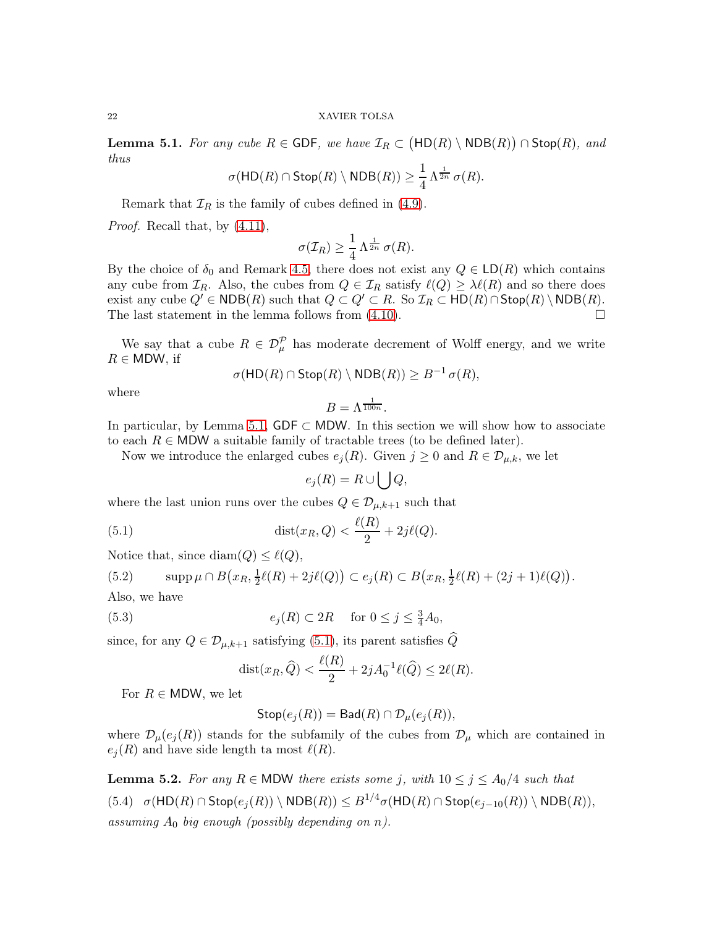<span id="page-21-0"></span>Lemma 5.1. *For any cube*  $R \in GDF$ , we have  $\mathcal{I}_R \subset (\text{HD}(R) \setminus \text{NDB}(R)) \cap \text{Stop}(R)$ , and *thus*

$$
\sigma(\mathsf{HD}(R) \cap \mathsf{Stop}(R) \setminus \mathsf{NDB}(R)) \geq \frac{1}{4} \Lambda^{\frac{1}{2n}} \sigma(R).
$$

Remark that  $\mathcal{I}_R$  is the family of cubes defined in [\(4.9\)](#page-18-2).

*Proof.* Recall that, by [\(4.11\)](#page-19-1),

$$
\sigma(\mathcal{I}_R) \geq \frac{1}{4} \Lambda^{\frac{1}{2n}} \sigma(R).
$$

By the choice of  $\delta_0$  and Remark [4.5,](#page-20-3) there does not exist any  $Q \in \mathsf{LD}(R)$  which contains any cube from  $\mathcal{I}_R$ . Also, the cubes from  $Q \in \mathcal{I}_R$  satisfy  $\ell(Q) \geq \lambda \ell(R)$  and so there does exist any cube  $Q' \in \text{NDB}(R)$  such that  $Q \subset Q' \subset R$ . So  $\mathcal{I}_R \subset \text{HD}(R) \cap \text{Stop}(R) \setminus \text{NDB}(R)$ . The last statement in the lemma follows from  $(4.10)$ .

We say that a cube  $R \in \mathcal{D}_{\mu}^{\mathcal{P}}$  has moderate decrement of Wolff energy, and we write  $R \in MDW$ , if

$$
\sigma(\mathsf{HD}(R) \cap \mathsf{Stop}(R) \setminus \mathsf{NDB}(R)) \geq B^{-1} \sigma(R),
$$

where

$$
B=\Lambda^{\frac{1}{100n}}.
$$

In particular, by Lemma [5.1,](#page-21-0) GDF  $\subset$  MDW. In this section we will show how to associate to each  $R \in MDW$  a suitable family of tractable trees (to be defined later).

Now we introduce the enlarged cubes  $e_i(R)$ . Given  $j \geq 0$  and  $R \in \mathcal{D}_{\mu,k}$ , we let

<span id="page-21-1"></span>
$$
e_j(R) = R \cup \bigcup Q,
$$

where the last union runs over the cubes  $Q \in \mathcal{D}_{\mu,k+1}$  such that

(5.1) 
$$
\text{dist}(x_R, Q) < \frac{\ell(R)}{2} + 2j\ell(Q).
$$

Notice that, since  $\text{diam}(Q) \leq \ell(Q)$ ,

(5.2) 
$$
\mathrm{supp}\,\mu \cap B(x_R, \tfrac{1}{2}\ell(R) + 2j\ell(Q)) \subset e_j(R) \subset B(x_R, \tfrac{1}{2}\ell(R) + (2j+1)\ell(Q)).
$$

Also, we have

(5.3) 
$$
e_j(R) \subset 2R \quad \text{for } 0 \le j \le \frac{3}{4}A_0,
$$

since, for any  $Q \in \mathcal{D}_{\mu,k+1}$  satisfying [\(5.1\)](#page-21-1), its parent satisfies  $\widehat{Q}$ 

<span id="page-21-2"></span>
$$
dist(x_R, \widehat{Q}) < \frac{\ell(R)}{2} + 2jA_0^{-1}\ell(\widehat{Q}) \le 2\ell(R).
$$

For  $R \in \text{MDW}$ , we let

$$
\mathsf{Stop}(e_j(R)) = \mathsf{Bad}(R) \cap \mathcal{D}_{\mu}(e_j(R)),
$$

where  $\mathcal{D}_{\mu}(e_j(R))$  stands for the subfamily of the cubes from  $\mathcal{D}_{\mu}$  which are contained in  $e_i(R)$  and have side length ta most  $\ell(R)$ .

<span id="page-21-4"></span><span id="page-21-3"></span>**Lemma 5.2.** For any  $R \in \text{MDW}$  there exists some j, with  $10 \leq j \leq A_0/4$  such that  $(5.4)$   $\sigma(\mathsf{HD}(R) \cap \mathsf{Stop}(e_j(R)) \setminus \mathsf{NDB}(R)) \leq B^{1/4} \sigma(\mathsf{HD}(R) \cap \mathsf{Stop}(e_{j-10}(R)) \setminus \mathsf{NDB}(R)),$ *assuming* A<sup>0</sup> *big enough (possibly depending on* n*).*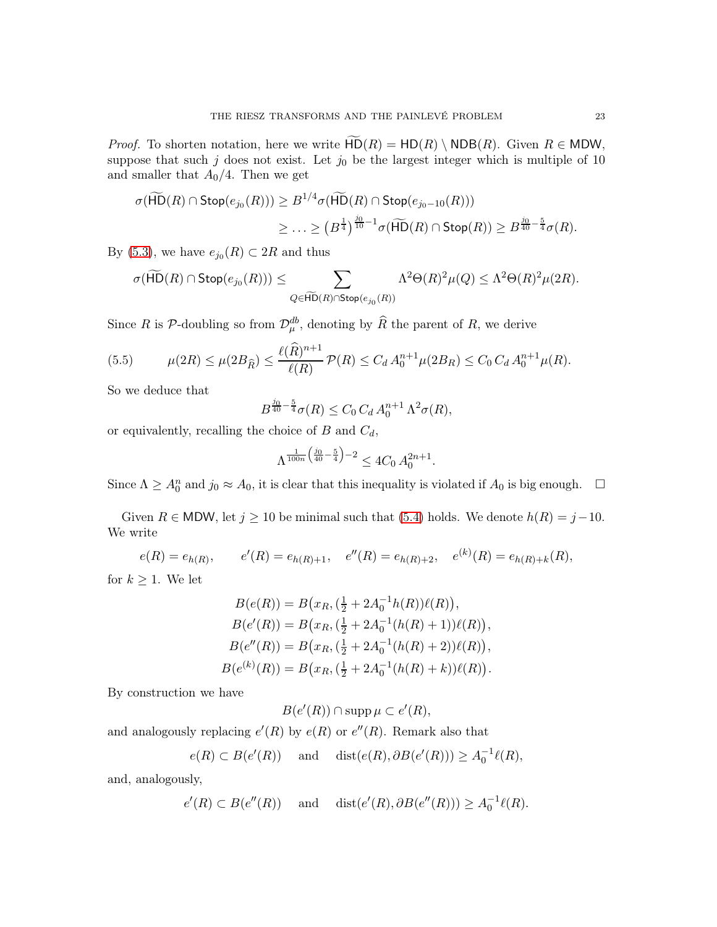*Proof.* To shorten notation, here we write  $\widetilde{HD}(R) = HD(R) \setminus NDB(R)$ . Given  $R \in MDW$ , suppose that such  $j$  does not exist. Let  $j_0$  be the largest integer which is multiple of 10 and smaller that  $A_0/4$ . Then we get

$$
\sigma(\widetilde{\mathsf{HD}}(R) \cap \mathsf{Stop}(e_{j_0}(R))) \geq B^{1/4} \sigma(\widetilde{\mathsf{HD}}(R) \cap \mathsf{Stop}(e_{j_0-10}(R)))
$$
  

$$
\geq \ldots \geq (B^{\frac{1}{4}})^{\frac{j_0}{10}-1} \sigma(\widetilde{\mathsf{HD}}(R) \cap \mathsf{Stop}(R)) \geq B^{\frac{j_0}{40}-\frac{5}{4}} \sigma(R).
$$

By [\(5.3\)](#page-21-2), we have  $e_{j_0}(R) \subset 2R$  and thus

$$
\sigma(\widetilde{\mathsf{HD}}(R) \cap \mathsf{Stop}(e_{j_0}(R))) \leq \sum_{Q \in \widetilde{\mathsf{HD}}(R) \cap \mathsf{Stop}(e_{j_0}(R))} \Lambda^2 \Theta(R)^2 \mu(Q) \leq \Lambda^2 \Theta(R)^2 \mu(2R).
$$

Since R is  $P$ -doubling so from  $\mathcal{D}_{\mu}^{db}$ , denoting by  $\widehat{R}$  the parent of R, we derive

(5.5) 
$$
\mu(2R) \le \mu(2B_{\widehat{R}}) \le \frac{\ell(\widehat{R})^{n+1}}{\ell(R)} \mathcal{P}(R) \le C_d A_0^{n+1} \mu(2B_R) \le C_0 C_d A_0^{n+1} \mu(R).
$$

So we deduce that

$$
B^{\frac{j_0}{40} - \frac{5}{4}} \sigma(R) \le C_0 C_d A_0^{n+1} \Lambda^2 \sigma(R),
$$

or equivalently, recalling the choice of  $B$  and  $C_d$ ,

$$
\Lambda^{\frac{1}{100n}\left(\frac{j_0}{40}-\frac{5}{4}\right)-2}\leq 4C_0\, A_0^{2n+1}.
$$

Since  $\Lambda \geq A_0^n$  and  $j_0 \approx A_0$ , it is clear that this inequality is violated if  $A_0$  is big enough.  $\Box$ 

Given  $R \in MDW$ , let  $j \ge 10$  be minimal such that [\(5.4\)](#page-21-3) holds. We denote  $h(R) = j - 10$ . We write

$$
e(R) = e_{h(R)}, \qquad e'(R) = e_{h(R)+1}, \quad e''(R) = e_{h(R)+2}, \quad e^{(k)}(R) = e_{h(R)+k}(R),
$$

for  $k \geq 1$ . We let

$$
B(e(R)) = B\left(x_R, \left(\frac{1}{2} + 2A_0^{-1}h(R)\right)\ell(R)\right),
$$
  
\n
$$
B(e'(R)) = B\left(x_R, \left(\frac{1}{2} + 2A_0^{-1}(h(R) + 1)\right)\ell(R)\right),
$$
  
\n
$$
B(e''(R)) = B\left(x_R, \left(\frac{1}{2} + 2A_0^{-1}(h(R) + 2)\right)\ell(R)\right),
$$
  
\n
$$
B(e^{(k)}(R)) = B\left(x_R, \left(\frac{1}{2} + 2A_0^{-1}(h(R) + k)\right)\ell(R)\right).
$$

By construction we have

 $B(e'(R)) \cap \operatorname{supp} \mu \subset e'(R),$ 

and analogously replacing  $e'(R)$  by  $e(R)$  or  $e''(R)$ . Remark also that

$$
e(R) \subset B(e'(R))
$$
 and  $dist(e(R), \partial B(e'(R))) \geq A_0^{-1} \ell(R)$ ,

and, analogously,

$$
e'(R) \subset B(e''(R))
$$
 and  $dist(e'(R), \partial B(e''(R))) \geq A_0^{-1}\ell(R)$ .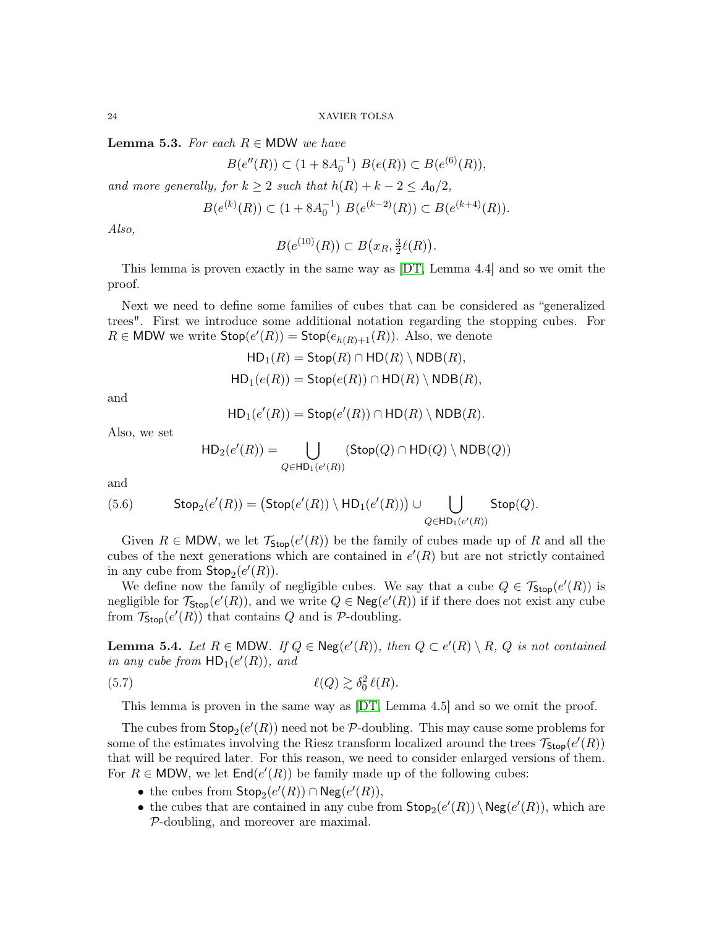<span id="page-23-0"></span>**Lemma 5.3.** *For each*  $R \in \text{MDW}$  *we have* 

$$
B(e''(R)) \subset (1 + 8A_0^{-1}) \ B(e(R)) \subset B(e^{(6)}(R)),
$$

*and more generally, for*  $k \geq 2$  *such that*  $h(R) + k - 2 \leq A_0/2$ ,

$$
B(e^{(k)}(R)) \subset (1 + 8A_0^{-1}) B(e^{(k-2)}(R)) \subset B(e^{(k+4)}(R)).
$$

*Also,*

$$
B(e^{(10)}(R)) \subset B\big(x_R, \frac{3}{2}\ell(R)\big).
$$

This lemma is proven exactly in the same way as [\[DT,](#page-58-0) Lemma 4.4] and so we omit the proof.

Next we need to define some families of cubes that can be considered as "generalized trees". First we introduce some additional notation regarding the stopping cubes. For  $R \in \text{MDW}$  we write  $\text{Stop}(e'(R)) = \text{Stop}(e_{h(R)+1}(R))$ . Also, we denote

$$
\mathsf{HD}_1(R) = \mathsf{Stop}(R) \cap \mathsf{HD}(R) \setminus \mathsf{NDB}(R),
$$
  

$$
\mathsf{HD}_1(e(R)) = \mathsf{Stop}(e(R)) \cap \mathsf{HD}(R) \setminus \mathsf{NDB}(R),
$$

and

$$
\mathsf{HD}_1(e'(R)) = \mathsf{Stop}(e'(R)) \cap \mathsf{HD}(R) \setminus \mathsf{NDB}(R).
$$

Also, we set

<span id="page-23-2"></span>
$$
\mathsf{HD}_2(e'(R)) = \bigcup_{Q \in \mathsf{HD}_1(e'(R))} (\mathsf{Stop}(Q) \cap \mathsf{HD}(Q) \setminus \mathsf{NDB}(Q))
$$

and

(5.6) 
$$
\mathsf{Stop}_2(e'(R)) = \big(\mathsf{Stop}(e'(R)) \setminus \mathsf{HD}_1(e'(R))\big) \cup \bigcup_{Q \in \mathsf{HD}_1(e'(R))} \mathsf{Stop}(Q).
$$

Given  $R \in \text{MDW}$ , we let  $\mathcal{T}_{\text{Stop}}(e'(R))$  be the family of cubes made up of R and all the cubes of the next generations which are contained in  $e'(R)$  but are not strictly contained in any cube from  $\mathsf{Stop}_2(e'(R))$ .

We define now the family of negligible cubes. We say that a cube  $Q \in \mathcal{T}_{\text{Stop}}(e'(R))$  is negligible for  $\mathcal{T}_{\text{Stop}}(e'(R))$ , and we write  $Q \in \text{Neg}(e'(R))$  if if there does not exist any cube from  $\mathcal{T}_{\mathsf{Stop}}(e'(R))$  that contains Q and is P-doubling.

<span id="page-23-1"></span>**Lemma 5.4.** Let  $R \in \text{MDW}$ . If  $Q \in \text{Neg}(e'(R))$ , then  $Q \subset e'(R) \setminus R$ ,  $Q$  is not contained *in any cube from*  $HD_1(e'(R))$ *, and* 

(5.7) 
$$
\ell(Q) \gtrsim \delta_0^2 \ell(R).
$$

This lemma is proven in the same way as [\[DT,](#page-58-0) Lemma 4.5] and so we omit the proof.

The cubes from  $\mathsf{Stop}_2(e'(R))$  need not be  $\mathcal{P}\text{-doubling}$ . This may cause some problems for some of the estimates involving the Riesz transform localized around the trees  $\mathcal{T}_{\mathsf{Stop}}(e'(R))$ that will be required later. For this reason, we need to consider enlarged versions of them. For  $R \in \text{MDW}$ , we let  $\text{End}(e'(R))$  be family made up of the following cubes:

- the cubes from  $\mathsf{Stop}_2(e'(R)) \cap \mathsf{Neg}(e'(R)),$
- the cubes that are contained in any cube from  $\mathsf{Stop}_2(e'(R)) \setminus \mathsf{Neg}(e'(R))$ , which are P-doubling, and moreover are maximal.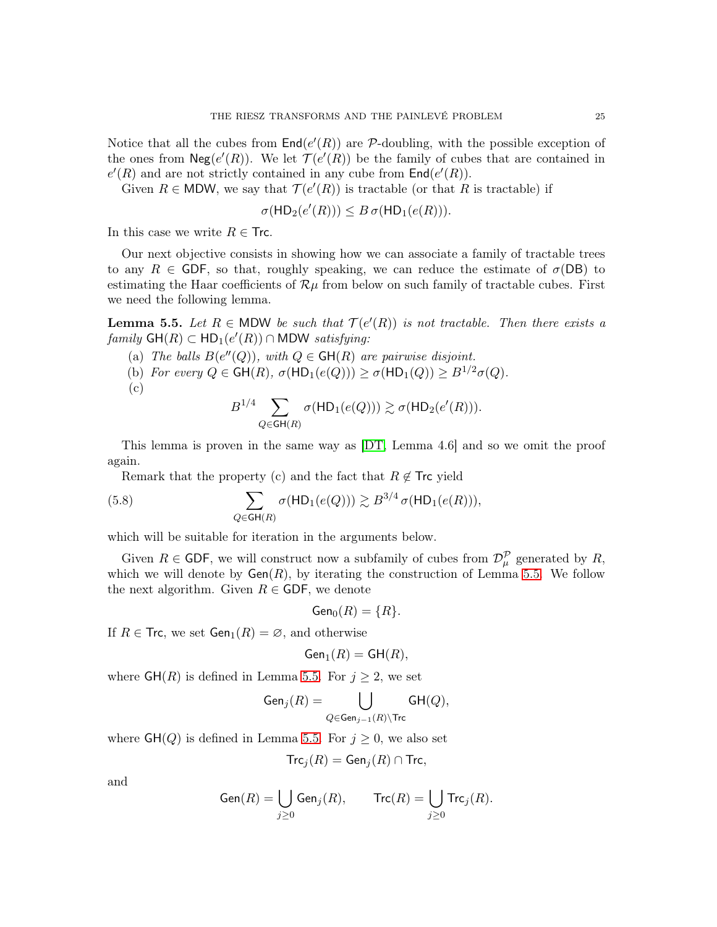Notice that all the cubes from  $\text{End}(e'(R))$  are P-doubling, with the possible exception of the ones from  $\mathsf{Neg}(e'(R))$ . We let  $\mathcal{T}(e'(R))$  be the family of cubes that are contained in  $e'(R)$  and are not strictly contained in any cube from  $\textsf{End}(e'(R)).$ 

Given  $R \in MDW$ , we say that  $\mathcal{T}(e'(R))$  is tractable (or that R is tractable) if

$$
\sigma(\mathsf{HD}_2(e'(R))) \leq B \sigma(\mathsf{HD}_1(e(R))).
$$

In this case we write  $R \in$  Trc.

Our next objective consists in showing how we can associate a family of tractable trees to any  $R \in$  GDF, so that, roughly speaking, we can reduce the estimate of  $\sigma(DB)$  to estimating the Haar coefficients of  $\mathcal{R}\mu$  from below on such family of tractable cubes. First we need the following lemma.

<span id="page-24-0"></span>**Lemma 5.5.** Let  $R \in \text{MDW}$  be such that  $\mathcal{T}(e'(R))$  is not tractable. Then there exists a  $family \text{ GH}(R) \subset \text{HD}_1(e'(R)) \cap \text{MDW}$  *satisfying*:

- (a) *The balls*  $B(e''(Q))$ *, with*  $Q \in \mathsf{GH}(R)$  *are pairwise disjoint.*
- (b) *For every*  $Q \in \mathsf{GH}(R)$ ,  $\sigma(\mathsf{HD}_1(e(Q))) \geq \sigma(\mathsf{HD}_1(Q)) \geq B^{1/2}\sigma(Q)$ .

$$
\rm (c)
$$

$$
B^{1/4} \sum_{Q \in \mathsf{GH}(R)} \sigma(\mathsf{HD}_1(e(Q))) \gtrsim \sigma(\mathsf{HD}_2(e'(R))).
$$

This lemma is proven in the same way as [\[DT,](#page-58-0) Lemma 4.6] and so we omit the proof again.

Remark that the property (c) and the fact that  $R \notin \mathsf{Trc}$  yield

(5.8) 
$$
\sum_{Q \in \mathsf{GH}(R)} \sigma(\mathsf{HD}_1(e(Q))) \gtrsim B^{3/4} \sigma(\mathsf{HD}_1(e(R))),
$$

which will be suitable for iteration in the arguments below.

Given  $R \in$  GDF, we will construct now a subfamily of cubes from  $\mathcal{D}_{\mu}^{\mathcal{P}}$  generated by R, which we will denote by  $Gen(R)$ , by iterating the construction of Lemma [5.5.](#page-24-0) We follow the next algorithm. Given  $R \in$  GDF, we denote

$$
\mathsf{Gen}_0(R) = \{R\}.
$$

If  $R \in \textsf{Trc}$ , we set  $\textsf{Gen}_1(R) = \emptyset$ , and otherwise

$$
\mathsf{Gen}_1(R) = \mathsf{GH}(R),
$$

where  $GH(R)$  is defined in Lemma [5.5.](#page-24-0) For  $j \geq 2$ , we set

$$
\mathsf{Gen}_j(R) = \bigcup_{Q \in \mathsf{Gen}_{j-1}(R) \backslash \mathsf{Trc}} \mathsf{GH}(Q),
$$

where  $GH(Q)$  is defined in Lemma [5.5.](#page-24-0) For  $j \geq 0$ , we also set

$$
\mathsf{Trc}_j(R) = \mathsf{Gen}_j(R) \cap \mathsf{Trc},
$$

and

$$
\operatorname{Gen}(R)=\bigcup_{j\geq 0}\operatorname{Gen}_j(R),\qquad \operatorname{Trc}(R)=\bigcup_{j\geq 0}\operatorname{Trc}_j(R).
$$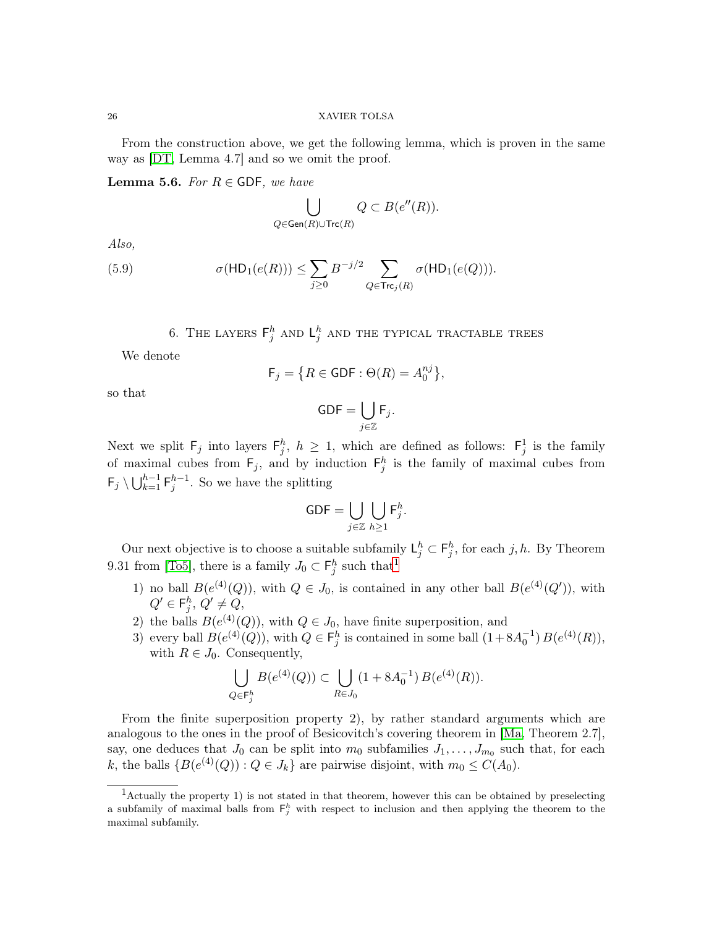From the construction above, we get the following lemma, which is proven in the same way as [\[DT,](#page-58-0) Lemma 4.7] and so we omit the proof.

<span id="page-25-2"></span>**Lemma 5.6.** *For*  $R \in$  GDF, we have

$$
\bigcup_{Q \in \mathsf{Gen}(R) \cup \mathsf{Trc}(R)} Q \subset B(e''(R)).
$$

*Also,*

(5.9) 
$$
\sigma(\mathsf{HD}_1(e(R))) \leq \sum_{j\geq 0} B^{-j/2} \sum_{Q \in \mathsf{Trc}_j(R)} \sigma(\mathsf{HD}_1(e(Q))).
$$

6. THE LAYERS  $\mathsf{F}^h_j$  and  $\mathsf{L}^h_j$  and the typical tractable trees

<span id="page-25-0"></span>We denote

$$
\mathsf{F}_j = \left\{ R \in \mathsf{GDF} : \Theta(R) = A_0^{nj} \right\},\
$$

so that

$$
\mathsf{GDF} = \bigcup_{j \in \mathbb{Z}} \mathsf{F}_j.
$$

Next we split  $F_j$  into layers  $F_j^h$ ,  $h \geq 1$ , which are defined as follows:  $F_j^1$  is the family of maximal cubes from  $F_j$ , and by induction  $F_j^h$  is the family of maximal cubes from  $\mathsf{F}_j \setminus \bigcup_{k=1}^{h-1} \mathsf{F}_j^{h-1}$ . So we have the splitting

$$
\mathsf{GDF} = \bigcup_{j \in \mathbb{Z}} \bigcup_{h \ge 1} \mathsf{F}^h_j.
$$

Our next objective is to choose a suitable subfamily  $\mathsf{L}_j^h \subset \mathsf{F}_j^h$ , for each j, h. By Theorem 9.31 from [\[To5\]](#page-59-18), there is a family  $J_0 \subset \mathsf{F}_j^h$  such that<sup>[1](#page-25-1)</sup>

- 1) no ball  $B(e^{(4)}(Q))$ , with  $Q \in J_0$ , is contained in any other ball  $B(e^{(4)}(Q'))$ , with  $Q' \in \mathsf{F}_j^h$ ,  $Q' \neq Q$ ,
- 2) the balls  $B(e^{(4)}(Q))$ , with  $Q \in J_0$ , have finite superposition, and
- 3) every ball  $B(e^{(4)}(Q))$ , with  $Q \in \mathsf{F}_j^h$  is contained in some ball  $(1+8A_0^{-1})B(e^{(4)}(R))$ , with  $R \in J_0$ . Consequently,

$$
\bigcup_{Q \in \mathsf{F}_{j}^{h}} B(e^{(4)}(Q)) \subset \bigcup_{R \in J_{0}} (1 + 8A_{0}^{-1}) B(e^{(4)}(R)).
$$

From the finite superposition property 2), by rather standard arguments which are analogous to the ones in the proof of Besicovitch's covering theorem in [\[Ma,](#page-59-19) Theorem 2.7], say, one deduces that  $J_0$  can be split into  $m_0$  subfamilies  $J_1, \ldots, J_{m_0}$  such that, for each k, the balls  $\{B(e^{(4)}(Q)) : Q \in J_k\}$  are pairwise disjoint, with  $m_0 \le C(A_0)$ .

<span id="page-25-1"></span><sup>1</sup>Actually the property 1) is not stated in that theorem, however this can be obtained by preselecting a subfamily of maximal balls from  $F_j^h$  with respect to inclusion and then applying the theorem to the maximal subfamily.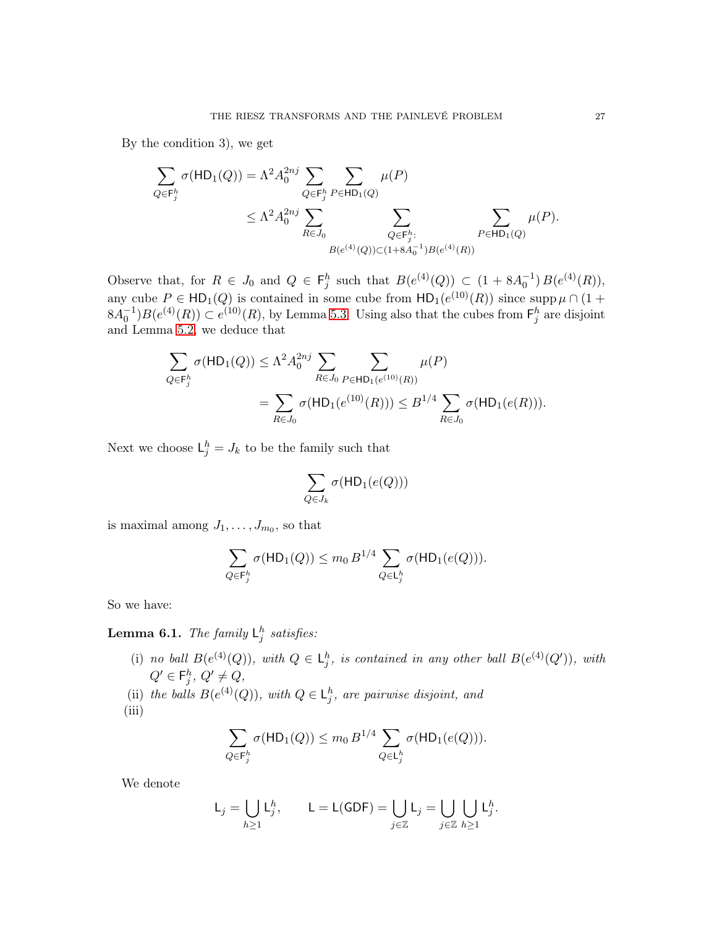By the condition 3), we get

$$
\sum_{Q \in \mathsf{F}_{j}^{h}} \sigma(\mathsf{HD}_{1}(Q)) = \Lambda^{2} A_{0}^{2nj} \sum_{Q \in \mathsf{F}_{j}^{h}} \sum_{P \in \mathsf{HD}_{1}(Q)} \mu(P)
$$
\n
$$
\leq \Lambda^{2} A_{0}^{2nj} \sum_{R \in J_{0}} \sum_{\substack{Q \in \mathsf{F}_{j}^{h}: \\B(e^{(4)}(Q)) \subset (1+8A_{0}^{-1})B(e^{(4)}(R))}} \sum_{P \in \mathsf{HD}_{1}(Q)} \mu(P).
$$

Observe that, for  $R \in J_0$  and  $Q \in \mathsf{F}_j^h$  such that  $B(e^{(4)}(Q)) \subset (1 + 8A_0^{-1}) B(e^{(4)}(R)),$ any cube  $P \in \mathsf{HD}_1(Q)$  is contained in some cube from  $\mathsf{HD}_1(e^{(10)}(R))$  since  $\mathrm{supp}\,\mu \cap (1 +$  $8A_0^{-1}$ ,  $B(e^{(4)}(R)) \subset e^{(10)}(R)$ , by Lemma [5.3.](#page-23-0) Using also that the cubes from  $\mathsf{F}_j^h$  are disjoint and Lemma [5.2,](#page-21-4) we deduce that

$$
\sum_{Q \in \mathsf{F}_{j}^{h}} \sigma(\mathsf{HD}_{1}(Q)) \leq \Lambda^{2} A_{0}^{2nj} \sum_{R \in J_{0}} \sum_{P \in \mathsf{HD}_{1}(e^{(10)}(R))} \mu(P)
$$
  
= 
$$
\sum_{R \in J_{0}} \sigma(\mathsf{HD}_{1}(e^{(10)}(R))) \leq B^{1/4} \sum_{R \in J_{0}} \sigma(\mathsf{HD}_{1}(e(R))).
$$

Next we choose  $L_j^h = J_k$  to be the family such that

$$
\sum_{Q \in J_k} \sigma(\mathsf{HD}_1(e(Q)))
$$

is maximal among  $J_1, \ldots, J_{m_0}$ , so that

$$
\sum_{Q \in \mathsf{F}_j^h} \sigma(\mathsf{HD}_1(Q)) \le m_0 B^{1/4} \sum_{Q \in \mathsf{L}_j^h} \sigma(\mathsf{HD}_1(e(Q))).
$$

So we have:

<span id="page-26-0"></span>**Lemma 6.1.** The family  $L_j^h$  satisfies:

- (i) *no ball*  $B(e^{(4)}(Q))$ *, with*  $Q \in L_j^h$ *, is contained in any other ball*  $B(e^{(4)}(Q'))$ *, with*  $Q' \in \mathsf{F}_j^h, \ Q' \neq Q,$
- (ii) the balls  $B(e^{(4)}(Q))$ , with  $Q \in L_j^h$ , are pairwise disjoint, and
- $(iii)$

$$
\sum_{Q \in \mathsf{F}_j^h} \sigma(\mathsf{HD}_1(Q)) \le m_0 B^{1/4} \sum_{Q \in \mathsf{L}_j^h} \sigma(\mathsf{HD}_1(e(Q))).
$$

We denote

$$
\mathsf{L}_j = \bigcup_{h \ge 1} \mathsf{L}_j^h, \qquad \mathsf{L} = \mathsf{L}(\mathsf{GDF}) = \bigcup_{j \in \mathbb{Z}} \mathsf{L}_j = \bigcup_{j \in \mathbb{Z}} \bigcup_{h \ge 1} \mathsf{L}_j^h.
$$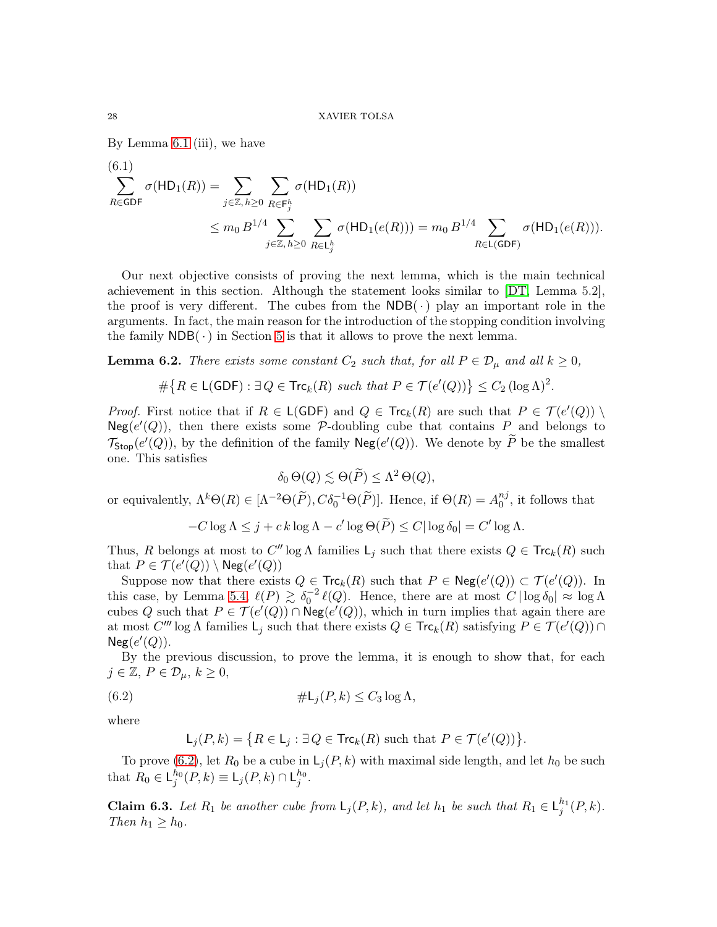By Lemma [6.1](#page-26-0) (iii), we have

<span id="page-27-1"></span>(6.1)  
\n
$$
\sum_{R \in \text{GDF}} \sigma(\text{HD}_1(R)) = \sum_{j \in \mathbb{Z}, h \ge 0} \sum_{R \in \text{F}_j^h} \sigma(\text{HD}_1(R))
$$
\n
$$
\le m_0 B^{1/4} \sum_{j \in \mathbb{Z}, h \ge 0} \sum_{R \in \text{L}_j^h} \sigma(\text{HD}_1(e(R))) = m_0 B^{1/4} \sum_{R \in \text{L(GDF)}} \sigma(\text{HD}_1(e(R))).
$$

Our next objective consists of proving the next lemma, which is the main technical achievement in this section. Although the statement looks similar to [\[DT,](#page-58-0) Lemma 5.2], the proof is very different. The cubes from the  $NDB(\cdot)$  play an important role in the arguments. In fact, the main reason for the introduction of the stopping condition involving the family  $NDB(\cdot)$  in Section [5](#page-20-0) is that it allows to prove the next lemma.

<span id="page-27-2"></span>**Lemma 6.2.** *There exists some constant*  $C_2$  *such that, for all*  $P \in \mathcal{D}_{\mu}$  *and all*  $k \geq 0$ *,* 

$$
\#\big\{R\in\mathsf{L}(\mathsf{GDF}): \exists\,Q\in\mathsf{Trc}_k(R)\,\,\text{such that}\,\,P\in\mathcal{T}(e'(Q))\big\}\leq C_2\,(\log\Lambda)^2.
$$

*Proof.* First notice that if  $R \in L(GDF)$  and  $Q \in Trc_k(R)$  are such that  $P \in \mathcal{T}(e'(Q))$  $Neg(e'(Q))$ , then there exists some P-doubling cube that contains P and belongs to  $\mathcal{T}_{\textsf{Stop}}(e'(Q))$ , by the definition of the family  $\mathsf{Neg}(e'(Q))$ . We denote by  $\widetilde{P}$  be the smallest one. This satisfies

$$
\delta_0 \Theta(Q) \lesssim \Theta(\widetilde{P}) \leq \Lambda^2 \Theta(Q),
$$

or equivalently,  $\Lambda^k \Theta(R) \in [\Lambda^{-2} \Theta(\tilde{P}), C \delta_0^{-1} \Theta(\tilde{P})]$ . Hence, if  $\Theta(R) = A_0^{nj}$  $_{0}^{nj}$ , it follows that

$$
-C\log\Lambda \leq j + c k \log\Lambda - c' \log\Theta(\widetilde{P}) \leq C|\log\delta_0| = C' \log\Lambda.
$$

Thus, R belongs at most to  $C'' \log \Lambda$  families  $\mathsf{L}_j$  such that there exists  $Q \in \mathsf{Trc}_k(R)$  such that  $P \in \mathcal{T}(e'(Q)) \setminus \mathsf{Neg}(e'(Q))$ 

Suppose now that there exists  $Q \in \text{Trc}_k(R)$  such that  $P \in \text{Neg}(e'(Q)) \subset \mathcal{T}(e'(Q))$ . In this case, by Lemma [5.4,](#page-23-1)  $\ell(P) \gtrsim \delta_0^{-2} \ell(Q)$ . Hence, there are at most  $C | \log \delta_0 | \approx \log \Lambda$ cubes Q such that  $P \in \mathcal{T}(e'(Q)) \cap \text{Neg}(e'(Q))$ , which in turn implies that again there are at most  $C'''$  log  $\Lambda$  families  $\mathsf{L}_j$  such that there exists  $Q \in \mathsf{Trc}_k(R)$  satisfying  $P \in \mathcal{T}(e'(Q)) \cap$  $Neg(e'(Q)).$ 

By the previous discussion, to prove the lemma, it is enough to show that, for each  $j \in \mathbb{Z}, P \in \mathcal{D}_{\mu}, k \geq 0,$ 

(6.2) 
$$
\#L_j(P,k) \leq C_3 \log \Lambda,
$$

where

<span id="page-27-0"></span>
$$
\mathsf{L}_j(P,k) = \big\{ R \in \mathsf{L}_j : \exists\, Q \in \mathsf{Trc}_k(R) \text{ such that } P \in \mathcal{T}(e'(Q)) \big\}.
$$

To prove [\(6.2\)](#page-27-0), let  $R_0$  be a cube in  $\mathsf{L}_j(P, k)$  with maximal side length, and let  $h_0$  be such that  $R_0 \in \mathsf{L}_j^{h_0}(P,k) \equiv \mathsf{L}_j(P,k) \cap \mathsf{L}_j^{h_0}$ .

**Claim 6.3.** Let  $R_1$  be another cube from  $\mathsf{L}_j(P, k)$ , and let  $h_1$  be such that  $R_1 \in \mathsf{L}_j^{h_1}(P, k)$ . *Then*  $h_1 \geq h_0$ *.*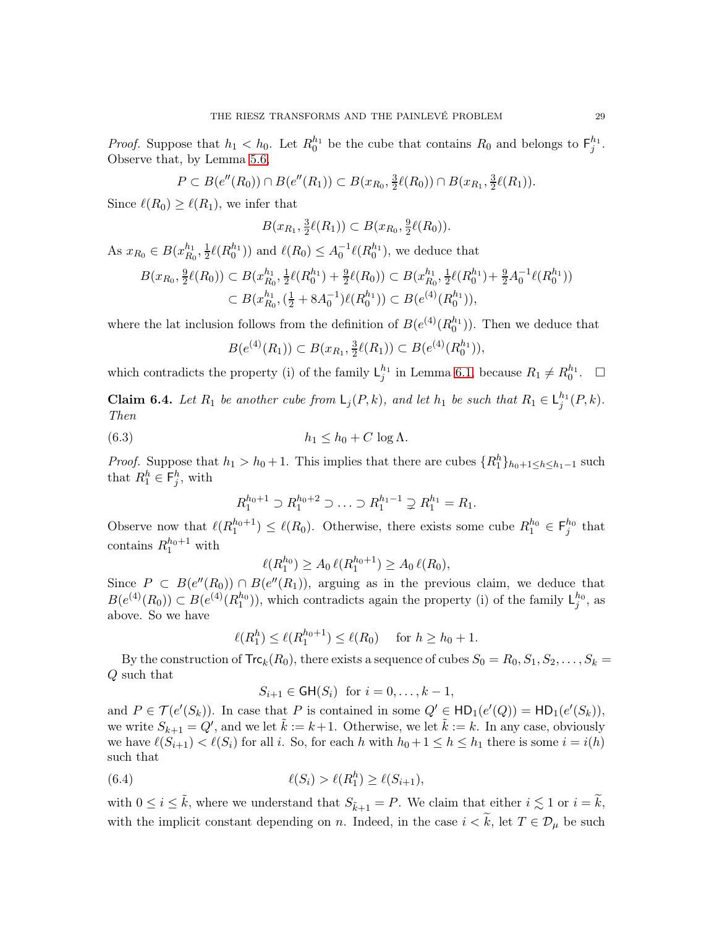*Proof.* Suppose that  $h_1 < h_0$ . Let  $R_0^{h_1}$  be the cube that contains  $R_0$  and belongs to  $\mathsf{F}_j^{h_1}$ . Observe that, by Lemma [5.6,](#page-25-2)

$$
P \subset B(e''(R_0)) \cap B(e''(R_1)) \subset B(x_{R_0}, \frac{3}{2}\ell(R_0)) \cap B(x_{R_1}, \frac{3}{2}\ell(R_1)).
$$

Since  $\ell(R_0) \geq \ell(R_1)$ , we infer that

$$
B(x_{R_1}, \frac{3}{2}\ell(R_1)) \subset B(x_{R_0}, \frac{9}{2}\ell(R_0)).
$$

As  $x_{R_0} \in B(x_{R_0}^{h_1})$  $\frac{h_1}{R_0},\frac{1}{2}$  $\frac{1}{2}\ell(R_0^{h_1})$  and  $\ell(R_0) \leq A_0^{-1}\ell(R_0^{h_1})$ , we deduce that

$$
B(x_{R_0}, \frac{9}{2}\ell(R_0)) \subset B(x_{R_0}^{h_1}, \frac{1}{2}\ell(R_0^{h_1}) + \frac{9}{2}\ell(R_0)) \subset B(x_{R_0}^{h_1}, \frac{1}{2}\ell(R_0^{h_1}) + \frac{9}{2}A_0^{-1}\ell(R_0^{h_1}))
$$
  

$$
\subset B(x_{R_0}^{h_1}, (\frac{1}{2} + 8A_0^{-1})\ell(R_0^{h_1})) \subset B(e^{(4)}(R_0^{h_1})),
$$

where the lat inclusion follows from the definition of  $B(e^{(4)}(R_0^{h_1}))$ . Then we deduce that

$$
B(e^{(4)}(R_1)) \subset B(x_{R_1}, \frac{3}{2}\ell(R_1)) \subset B(e^{(4)}(R_0^{h_1})),
$$

which contradicts the property (i) of the family  $L_j^{h_1}$  in Lemma [6.1,](#page-26-0) because  $R_1 \neq R_0^{h_1}$ .  $\Box$ 

**Claim 6.4.** *Let*  $R_1$  *be another cube from*  $\mathsf{L}_j(P, k)$ *, and let*  $h_1$  *be such that*  $R_1 \in \mathsf{L}_j^{h_1}(P, k)$ *. Then*

(6.3) 
$$
h_1 \leq h_0 + C \log \Lambda.
$$

*Proof.* Suppose that  $h_1 > h_0 + 1$ . This implies that there are cubes  $\{R_1^h\}_{h_0+1 \leq h \leq h_1-1}$  such that  $R_1^h \in \mathsf{F}_j^h$ , with

<span id="page-28-0"></span>
$$
R_1^{h_0+1} \supset R_1^{h_0+2} \supset \ldots \supset R_1^{h_1-1} \supsetneq R_1^{h_1} = R_1.
$$

Observe now that  $\ell(R_1^{h_0+1}) \leq \ell(R_0)$ . Otherwise, there exists some cube  $R_1^{h_0} \in \mathsf{F}_j^{h_0}$  that contains  $R_1^{h_0+1}$  with

$$
\ell(R_1^{h_0}) \ge A_0 \,\ell(R_1^{h_0+1}) \ge A_0 \,\ell(R_0),
$$

Since  $P \subset B(e''(R_0)) \cap B(e''(R_1))$ , arguing as in the previous claim, we deduce that  $B(e^{(4)}(R_0)) \subset B(e^{(4)}(R_1^{h_0}))$ , which contradicts again the property (i) of the family  $\mathsf{L}_j^{h_0}$ , as above. So we have

$$
\ell(R_1^h) \le \ell(R_1^{h_0+1}) \le \ell(R_0)
$$
 for  $h \ge h_0 + 1$ .

By the construction of  $\text{Trc}_k(R_0)$ , there exists a sequence of cubes  $S_0 = R_0, S_1, S_2, \ldots, S_k =$ Q such that

<span id="page-28-1"></span>
$$
S_{i+1} \in \mathsf{GH}(S_i) \ \text{ for } i = 0, \ldots, k-1,
$$

and  $P \in \mathcal{T}(e'(S_k))$ . In case that P is contained in some  $Q' \in \mathsf{HD}_1(e'(Q)) = \mathsf{HD}_1(e'(S_k)),$ we write  $S_{k+1} = Q'$ , and we let  $\tilde{k} := k+1$ . Otherwise, we let  $\tilde{k} := k$ . In any case, obviously we have  $\ell(S_{i+1}) < \ell(S_i)$  for all i. So, for each h with  $h_0 + 1 \leq h \leq h_1$  there is some  $i = i(h)$ such that

(6.4) 
$$
\ell(S_i) > \ell(R_1^h) \geq \ell(S_{i+1}),
$$

with  $0 \leq i \leq \tilde{k}$ , where we understand that  $S_{\tilde{k}+1} = P$ . We claim that either  $i \lesssim 1$  or  $i = \tilde{k}$ , with the implicit constant depending on n. Indeed, in the case  $i < \tilde{k}$ , let  $T \in \mathcal{D}_{\mu}$  be such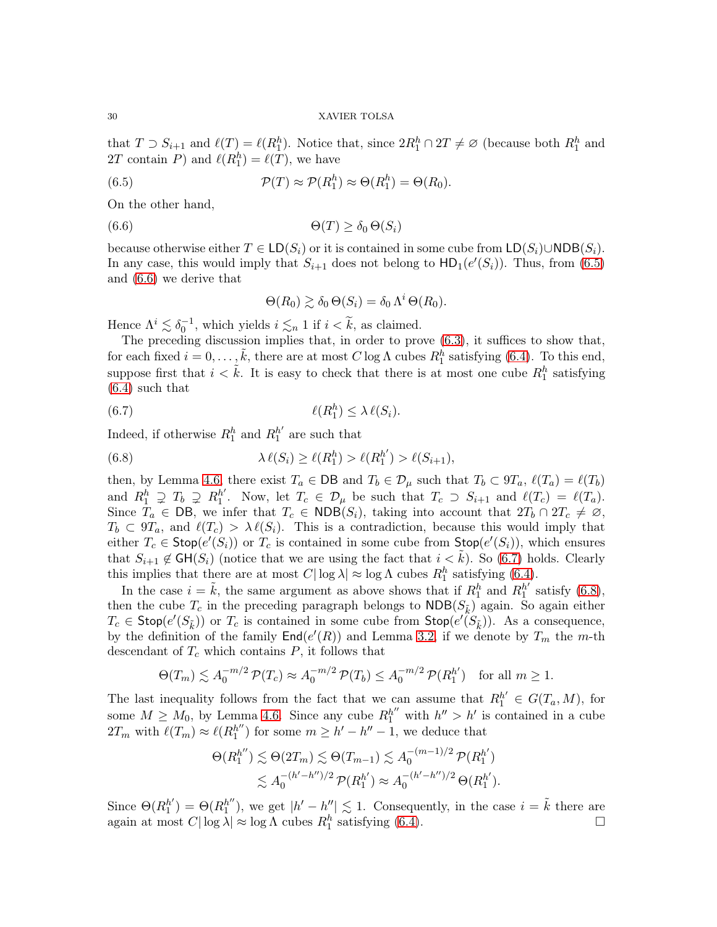that  $T \supset S_{i+1}$  and  $\ell(T) = \ell(R_1^h)$ . Notice that, since  $2R_1^h \cap 2T \neq \emptyset$  (because both  $R_1^h$  and 2T contain P) and  $\ell(R_1^h) = \ell(T)$ , we have

(6.5) 
$$
\mathcal{P}(T) \approx \mathcal{P}(R_1^h) \approx \Theta(R_1^h) = \Theta(R_0).
$$

On the other hand,

$$
(6.6) \qquad \qquad \Theta(T) \ge \delta_0 \,\Theta(S_i)
$$

because otherwise either  $T \in LD(S_i)$  or it is contained in some cube from  $LD(S_i) \cup NDB(S_i)$ . In any case, this would imply that  $S_{i+1}$  does not belong to  $HD_1(e'(S_i))$ . Thus, from [\(6.5\)](#page-29-0) and [\(6.6\)](#page-29-1) we derive that

<span id="page-29-2"></span><span id="page-29-1"></span><span id="page-29-0"></span>
$$
\Theta(R_0) \gtrsim \delta_0 \,\Theta(S_i) = \delta_0 \,\Lambda^i \,\Theta(R_0).
$$

Hence  $\Lambda^i \lesssim \delta_0^{-1}$ , which yields  $i \lesssim_n 1$  if  $i < \tilde{k}$ , as claimed.

The preceding discussion implies that, in order to prove [\(6.3\)](#page-28-0), it suffices to show that, for each fixed  $i = 0, \ldots, \tilde{k}$ , there are at most C log  $\Lambda$  cubes  $R_1^h$  satisfying [\(6.4\)](#page-28-1). To this end, suppose first that  $i < \tilde{k}$ . It is easy to check that there is at most one cube  $R_1^h$  satisfying [\(6.4\)](#page-28-1) such that

(6.7) ℓ(R h 1 ) ≤ λ ℓ(Si).

Indeed, if otherwise  $R_1^h$  and  $R_1^{h'}$  $h'_{1}$  are such that

<span id="page-29-3"></span>(6.8) 
$$
\lambda \ell(S_i) \geq \ell(R_1^h) > \ell(R_1^{h'}) > \ell(S_{i+1}),
$$

then, by Lemma [4.6,](#page-20-4) there exist  $T_a \in \text{DB}$  and  $T_b \in \mathcal{D}_\mu$  such that  $T_b \subset 9T_a$ ,  $\ell(T_a) = \ell(T_b)$ and  $R_1^h \supsetneq T_b \supsetneq R_1^{h'}$ <sup>h'</sup>. Now, let  $T_c \in \mathcal{D}_{\mu}$  be such that  $T_c \supset S_{i+1}$  and  $\ell(T_c) = \ell(T_a)$ . Since  $T_a \in \text{DB}$ , we infer that  $T_c \in \text{NDB}(S_i)$ , taking into account that  $2T_b \cap 2T_c \neq \emptyset$ ,  $T_b \subset 9T_a$ , and  $\ell(T_c) > \lambda \ell(S_i)$ . This is a contradiction, because this would imply that either  $T_c \in \text{Stop}(e'(S_i))$  or  $T_c$  is contained in some cube from  $\text{Stop}(e'(S_i))$ , which ensures that  $S_{i+1} \notin \mathsf{GH}(S_i)$  (notice that we are using the fact that  $i < k$ ). So [\(6.7\)](#page-29-2) holds. Clearly this implies that there are at most  $C|\log \lambda| \approx \log \Lambda$  cubes  $R_1^h$  satisfying [\(6.4\)](#page-28-1).

In the case  $i = \tilde{k}$ , the same argument as above shows that if  $R_1^h$  and  $R_1^{h'}$  $n'_{1}$  satisfy [\(6.8\)](#page-29-3), then the cube  $T_c$  in the preceding paragraph belongs to  $NDB(S_{\tilde{k}})$  again. So again either  $T_c \in \textsf{Stop}(e'(S_{\tilde{k}}))$  or  $T_c$  is contained in some cube from  $\textsf{Stop}(e'(\tilde{S}_{\tilde{k}}))$ . As a consequence, by the definition of the family  $\textsf{End}(e'(R))$  and Lemma [3.2,](#page-12-3) if we denote by  $T_m$  the m-th descendant of  $T_c$  which contains  $P$ , it follows that

$$
\Theta(T_m) \lesssim A_0^{-m/2} \mathcal{P}(T_c) \approx A_0^{-m/2} \mathcal{P}(T_b) \le A_0^{-m/2} \mathcal{P}(R_1^{h'}) \text{ for all } m \ge 1.
$$

The last inequality follows from the fact that we can assume that  $R_1^{h'} \in G(T_a, M)$ , for some  $M \geq M_0$ , by Lemma [4.6.](#page-20-4) Since any cube  $R_1^{h''}$  with  $h'' > h'$  is contained in a cube  $2T_m$  with  $\ell(T_m) \approx \ell(R_1^{h''})$  $h''_1$  for some  $m \geq h' - h'' - 1$ , we deduce that

$$
\Theta(R_1^{h''}) \lesssim \Theta(2T_m) \lesssim \Theta(T_{m-1}) \lesssim A_0^{-(m-1)/2} \mathcal{P}(R_1^{h'})
$$
  

$$
\lesssim A_0^{-(h'-h'')/2} \mathcal{P}(R_1^{h'}) \approx A_0^{-(h'-h'')/2} \Theta(R_1^{h'}).
$$

Since  $\Theta(R_1^{h'}$  $_1^{h'}$ ) =  $\Theta(R_1^{h''})$  $h''_1$ , we get  $|h'-h''| \lesssim 1$ . Consequently, in the case  $i = \tilde{k}$  there are again at most  $C|\log \lambda| \approx \log \Lambda$  cubes  $R_1^h$  satisfying [\(6.4\)](#page-28-1).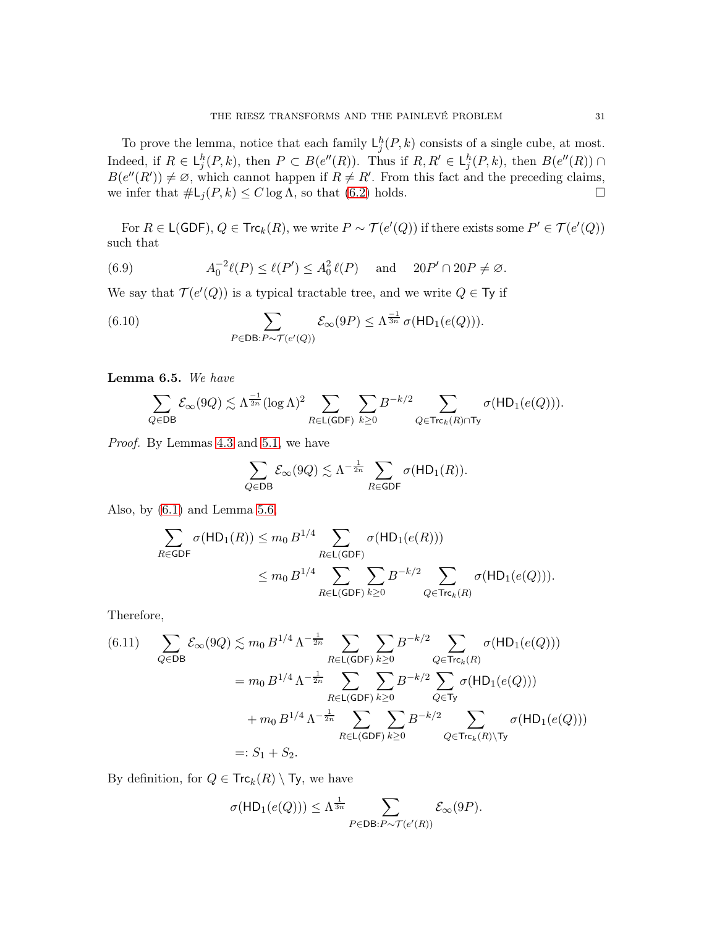To prove the lemma, notice that each family  $\mathsf{L}_j^h(P, k)$  consists of a single cube, at most. Indeed, if  $R \in L_j^h(P, k)$ , then  $P \subset B(e''(R))$ . Thus if  $R, R' \in L_j^h(P, k)$ , then  $B(e''(R)) \cap$  $B(e''(R')) \neq \emptyset$ , which cannot happen if  $R \neq R'$ . From this fact and the preceding claims, we infer that  $\#L_j(P, k) \leq C \log \Lambda$ , so that [\(6.2\)](#page-27-0) holds.

For  $R \in \mathsf{L}(\mathsf{GDF})$ ,  $Q \in \mathsf{Trc}_k(R)$ , we write  $P \sim \mathcal{T}(e'(Q))$  if there exists some  $P' \in \mathcal{T}(e'(Q))$ such that

<span id="page-30-1"></span>(6.9) 
$$
A_0^{-2}\ell(P) \le \ell(P') \le A_0^2 \ell(P) \quad \text{and} \quad 20P' \cap 20P \ne \emptyset.
$$

We say that  $\mathcal{T}(e'(Q))$  is a typical tractable tree, and we write  $Q \in \mathsf{Ty}$  if

(6.10) 
$$
\sum_{P \in \text{DB}: P \sim \mathcal{T}(e'(Q))} \mathcal{E}_{\infty}(9P) \leq \Lambda^{\frac{-1}{3n}} \sigma(\text{HD}_1(e(Q))).
$$

<span id="page-30-3"></span>Lemma 6.5. *We have*

<span id="page-30-2"></span>
$$
\sum_{Q\in \mathsf{DB}} \mathcal{E}_\infty(9Q) \lesssim \Lambda^{\frac{-1}{2n}} (\log \Lambda)^2 \sum_{R\in \mathsf{L}(\mathsf{GDF})} \sum_{k\geq 0} B^{-k/2} \sum_{Q\in \mathsf{Trc}_k(R)\cap \mathsf{Ty}} \sigma(\mathsf{HD}_1(e(Q))).
$$

*Proof.* By Lemmas [4.3](#page-19-2) and [5.1,](#page-21-0) we have

$$
\sum_{Q \in \mathsf{DB}} \mathcal{E}_{\infty}(9Q) \lesssim \Lambda^{-\frac{1}{2n}} \sum_{R \in \mathsf{GDF}} \sigma(\mathsf{HD}_1(R)).
$$

Also, by [\(6.1\)](#page-27-1) and Lemma [5.6,](#page-25-2)

$$
\begin{aligned} \sum_{R \in \text{GDF}} \sigma(\text{HD}_1(R)) &\le m_0 \, B^{1/4} \sum_{R \in \text{L}(\text{GDF})} \sigma(\text{HD}_1(e(R))) \\ &\le m_0 \, B^{1/4} \sum_{R \in \text{L}(\text{GDF})} \sum_{k \ge 0} B^{-k/2} \sum_{Q \in \text{Trc}_k(R)} \sigma(\text{HD}_1(e(Q))). \end{aligned}
$$

Therefore,

<span id="page-30-0"></span>(6.11) 
$$
\sum_{Q \in DB} \mathcal{E}_{\infty}(9Q) \lesssim m_0 B^{1/4} \Lambda^{-\frac{1}{2n}} \sum_{R \in \mathsf{L}(\mathsf{GDF})} \sum_{k \geq 0} B^{-k/2} \sum_{Q \in \mathsf{Trc}_k(R)} \sigma(\mathsf{HD}_1(e(Q)))
$$

$$
= m_0 B^{1/4} \Lambda^{-\frac{1}{2n}} \sum_{R \in \mathsf{L}(\mathsf{GDF})} \sum_{k \geq 0} B^{-k/2} \sum_{Q \in \mathsf{Ty}} \sigma(\mathsf{HD}_1(e(Q)))
$$

$$
+ m_0 B^{1/4} \Lambda^{-\frac{1}{2n}} \sum_{R \in \mathsf{L}(\mathsf{GDF})} \sum_{k \geq 0} B^{-k/2} \sum_{Q \in \mathsf{Trc}_k(R) \setminus \mathsf{Ty}} \sigma(\mathsf{HD}_1(e(Q)))
$$

$$
=: S_1 + S_2.
$$

By definition, for  $Q \in \mathsf{Trc}_k(R) \setminus \mathsf{Ty}$ , we have

$$
\sigma({\sf HD}_1(e(Q)))\leq \Lambda^{\frac{1}{3n}}\sum_{P\in {\sf DB}: P\sim \mathcal{T}(e'(R))}\mathcal{E}_\infty(9P).
$$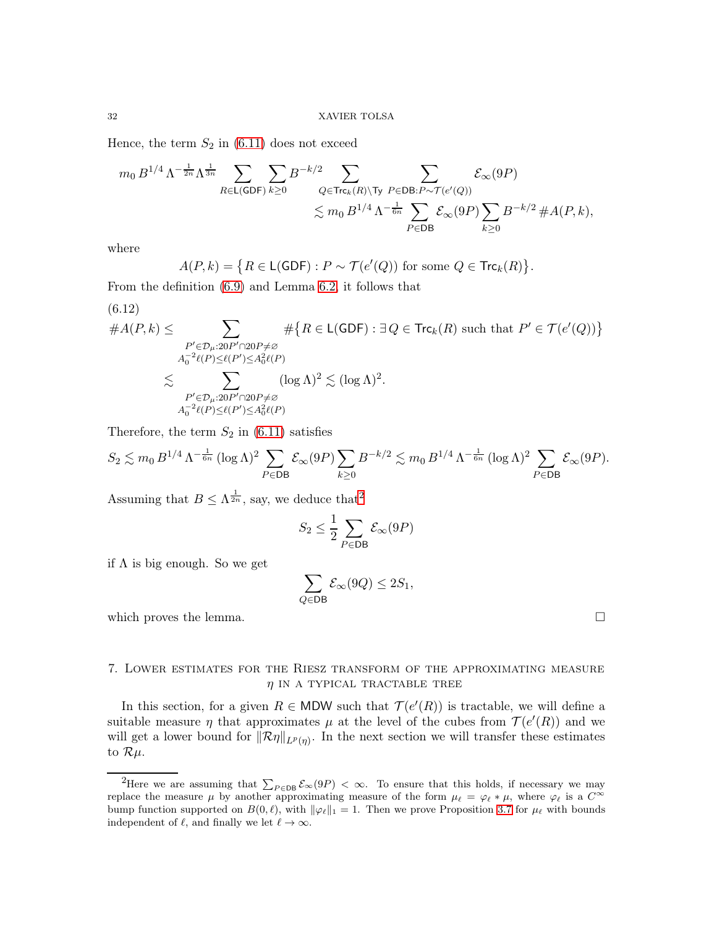Hence, the term  $S_2$  in [\(6.11\)](#page-30-0) does not exceed

$$
\begin{aligned} m_0\, B^{1/4}\, \Lambda^{-\frac{1}{2n}}\Lambda^{\frac{1}{3n}} & \sum_{R\in \mathsf{L}(\mathsf{GDF})}\sum_{k\geq 0} B^{-k/2} \sum_{Q\in \mathsf{Trc}_k(R)\backslash \mathsf{Ty}}\sum_{P\in \mathsf{DB}: P\sim \mathcal{T}(e'(Q))} \mathcal{E}_\infty(9P) \\ & \lesssim m_0\, B^{1/4}\,\Lambda^{-\frac{1}{6n}} \sum_{P\in \mathsf{DB}} \mathcal{E}_\infty(9P) \sum_{k\geq 0} B^{-k/2} \,\# A(P,k), \end{aligned}
$$

where

$$
A(P,k) = \{ R \in \mathsf{L}(\mathsf{GDF}) : P \sim \mathcal{T}(e'(Q)) \text{ for some } Q \in \mathsf{Trc}_k(R) \}
$$

From the definition [\(6.9\)](#page-30-1) and Lemma [6.2,](#page-27-2) it follows that

<span id="page-31-2"></span>(6.12)

$$
#A(P,k) \leq \sum_{\substack{P' \in \mathcal{D}_{\mu}:20P' \cap 20P \neq \varnothing \\ A_0^{-2}\ell(P) \leq \ell(P') \leq A_0^2 \ell(P)}} # \{R \in \mathsf{L(GDF)} : \exists Q \in \mathsf{Trc}_k(R) \text{ such that } P' \in \mathcal{T}(e'(Q))\}
$$

$$
\lesssim \sum_{\substack{P' \in \mathcal{D}_{\mu}:20P' \cap 20P \neq \varnothing \\ A_0^{-2}\ell(P) \leq \ell(P') \leq A_0^2 \ell(P)}} (\log \Lambda)^2 \lesssim (\log \Lambda)^2.
$$

Therefore, the term  $S_2$  in [\(6.11\)](#page-30-0) satisfies

$$
S_2 \lesssim m_0 B^{1/4} \Lambda^{-\frac{1}{6n}} (\log \Lambda)^2 \sum_{P \in \mathsf{DB}} \mathcal{E}_{\infty}(9P) \sum_{k \ge 0} B^{-k/2} \lesssim m_0 B^{1/4} \Lambda^{-\frac{1}{6n}} (\log \Lambda)^2 \sum_{P \in \mathsf{DB}} \mathcal{E}_{\infty}(9P).
$$

Assuming that  $B \leq \Lambda^{\frac{1}{2n}}$  $B \leq \Lambda^{\frac{1}{2n}}$  $B \leq \Lambda^{\frac{1}{2n}}$ , say, we deduce that<sup>2</sup>

$$
S_2 \le \frac{1}{2} \sum_{P \in \mathsf{DB}} \mathcal{E}_{\infty}(9P)
$$

if  $\Lambda$  is big enough. So we get

$$
\sum_{Q \in \mathsf{DB}} \mathcal{E}_{\infty}(9Q) \le 2S_1,
$$

which proves the lemma.  $\Box$ 

.

# <span id="page-31-0"></span>7. Lower estimates for the Riesz transform of the approximating measure  $\eta$  in a TYPICAL TRACTABLE TREE

In this section, for a given  $R \in \text{MDW}$  such that  $\mathcal{T}(e'(R))$  is tractable, we will define a suitable measure  $\eta$  that approximates  $\mu$  at the level of the cubes from  $\mathcal{T}(e'(R))$  and we will get a lower bound for  $\|\mathcal{R}\eta\|_{L^p(\eta)}$ . In the next section we will transfer these estimates to  $\mathcal{R}\mu$ .

<span id="page-31-1"></span><sup>&</sup>lt;sup>2</sup>Here we are assuming that  $\sum_{P \in DB} \mathcal{E}_{\infty}(9P) < \infty$ . To ensure that this holds, if necessary we may replace the measure  $\mu$  by another approximating measure of the form  $\mu_{\ell} = \varphi_{\ell} * \mu$ , where  $\varphi_{\ell}$  is a  $C^{\infty}$ bump function supported on  $B(0, \ell)$ , with  $\|\varphi_{\ell}\|_1 = 1$ . Then we prove Proposition [3.7](#page-14-0) for  $\mu_{\ell}$  with bounds independent of  $\ell$ , and finally we let  $\ell \to \infty$ .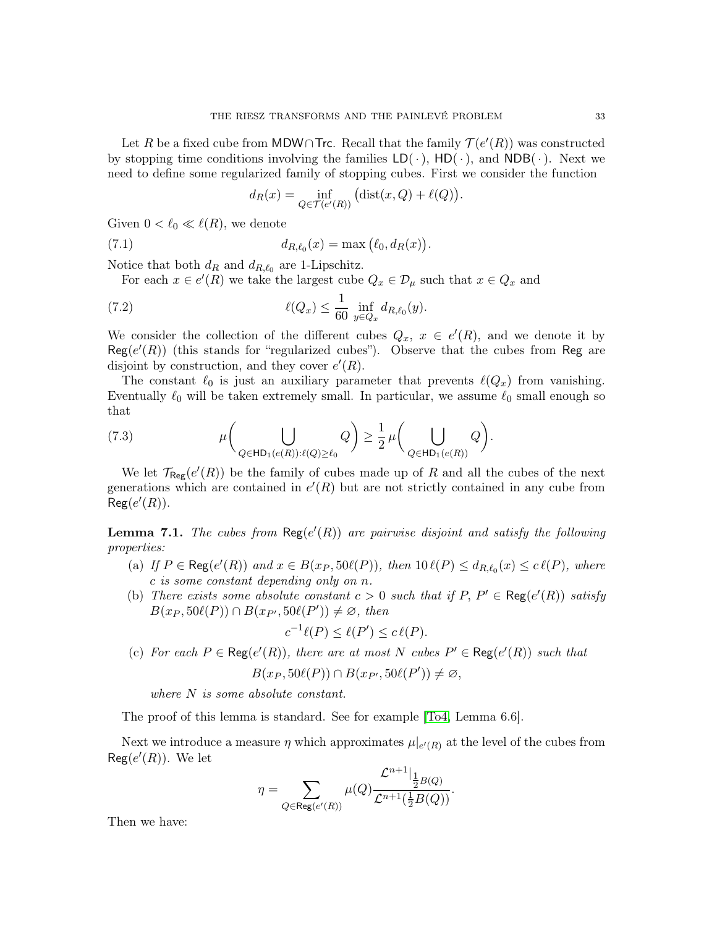Let R be a fixed cube from MDW∩Trc. Recall that the family  $\mathcal{T}(e'(R))$  was constructed by stopping time conditions involving the families  $LD(\cdot)$ ,  $HD(\cdot)$ , and  $NDB(\cdot)$ . Next we need to define some regularized family of stopping cubes. First we consider the function

<span id="page-32-0"></span>
$$
d_R(x) = \inf_{Q \in \mathcal{T}(e'(R))} (\text{dist}(x, Q) + \ell(Q)).
$$

Given  $0 < \ell_0 \ll \ell(R)$ , we denote

(7.1) 
$$
d_{R,\ell_0}(x) = \max (\ell_0, d_R(x)).
$$

Notice that both  $d_R$  and  $d_{R,\ell_0}$  are 1-Lipschitz.

For each  $x \in e'(R)$  we take the largest cube  $Q_x \in \mathcal{D}_\mu$  such that  $x \in Q_x$  and

(7.2) 
$$
\ell(Q_x) \leq \frac{1}{60} \inf_{y \in Q_x} d_{R,\ell_0}(y).
$$

We consider the collection of the different cubes  $Q_x, x \in e'(R)$ , and we denote it by  $Reg(e'(R))$  (this stands for "regularized cubes"). Observe that the cubes from Reg are disjoint by construction, and they cover  $e'(R)$ .

The constant  $\ell_0$  is just an auxiliary parameter that prevents  $\ell(Q_x)$  from vanishing. Eventually  $\ell_0$  will be taken extremely small. In particular, we assume  $\ell_0$  small enough so that

(7.3) 
$$
\mu\bigg(\bigcup_{Q\in\mathsf{HD}_1(e(R)):\ell(Q)\geq\ell_0}Q\bigg)\geq\frac{1}{2}\,\mu\bigg(\bigcup_{Q\in\mathsf{HD}_1(e(R))}Q\bigg).
$$

We let  $\mathcal{T}_{\text{Reg}}(e'(R))$  be the family of cubes made up of R and all the cubes of the next generations which are contained in  $e'(R)$  but are not strictly contained in any cube from  $\mathsf{Reg}(e'(R)).$ 

**Lemma 7.1.** *The cubes from*  $\text{Reg}(e'(R))$  *are pairwise disjoint and satisfy the following properties:*

- (a) If  $P \in \text{Reg}(e'(R))$  and  $x \in B(x_P, 50\ell(P))$ , then  $10 \ell(P) \leq d_{R,\ell_0}(x) \leq c \ell(P)$ , where c *is some constant depending only on* n*.*
- (b) *There exists some absolute constant*  $c > 0$  *such that if*  $P, P' \in \text{Reg}(e'(R))$  *satisfy*  $B(x_P, 50\ell(P)) \cap B(x_{P'}, 50\ell(P')) \neq \emptyset$ , then

$$
c^{-1}\ell(P) \le \ell(P') \le c\,\ell(P).
$$

(c) For each  $P \in \text{Reg}(e'(R))$ , there are at most N cubes  $P' \in \text{Reg}(e'(R))$  such that

$$
B(x_P, 50\ell(P)) \cap B(x_{P'}, 50\ell(P')) \neq \varnothing,
$$

*where* N *is some absolute constant.*

The proof of this lemma is standard. See for example [\[To4,](#page-59-16) Lemma 6.6].

Next we introduce a measure  $\eta$  which approximates  $\mu|_{e'(R)}$  at the level of the cubes from  $\textsf{Reg}(e'(R))$ . We let

$$
\eta = \sum_{Q \in \text{Reg}(e'(R))} \mu(Q) \frac{\mathcal{L}^{n+1}|_{\tfrac{1}{2}B(Q)}}{\mathcal{L}^{n+1}(\tfrac{1}{2}B(Q))}.
$$

Then we have: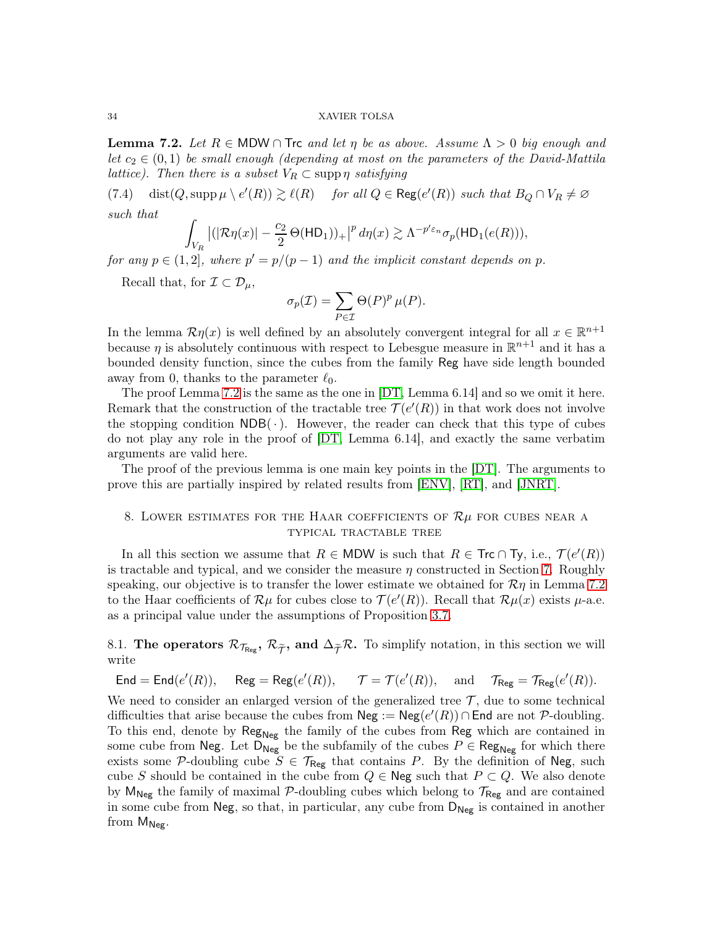<span id="page-33-2"></span>**Lemma 7.2.** Let  $R \in \text{MDW} \cap \text{Trc}$  and let  $\eta$  be as above. Assume  $\Lambda > 0$  big enough and *let*  $c_2 \in (0,1)$  *be small enough (depending at most on the parameters of the David-Mattila lattice*). Then there is a subset  $V_R \subset \text{supp } \eta$  satisfying

 $(7.4)$  dist $(Q, \text{supp }\mu \setminus e'(R)) \gtrsim \ell(R)$  *for all*  $Q \in \text{Reg}(e'(R))$  *such that*  $B_Q \cap V_R \neq \emptyset$ *such that*

$$
\int_{V_R} \left| (|\mathcal{R}\eta(x)| - \frac{c_2}{2} \Theta(\mathsf{HD}_1))_+ \right|^p d\eta(x) \gtrsim \Lambda^{-p' \varepsilon_n} \sigma_p(\mathsf{HD}_1(e(R))),
$$

*for any*  $p \in (1, 2]$ *, where*  $p' = p/(p - 1)$  *and the implicit constant depends on* p.

Recall that, for  $\mathcal{I} \subset \mathcal{D}_{\mu}$ ,

$$
\sigma_p(\mathcal{I}) = \sum_{P \in \mathcal{I}} \Theta(P)^p \,\mu(P).
$$

In the lemma  $\mathcal{R}\eta(x)$  is well defined by an absolutely convergent integral for all  $x \in \mathbb{R}^{n+1}$ because  $\eta$  is absolutely continuous with respect to Lebesgue measure in  $\mathbb{R}^{n+1}$  and it has a bounded density function, since the cubes from the family Reg have side length bounded away from 0, thanks to the parameter  $\ell_0$ .

The proof Lemma [7.2](#page-33-2) is the same as the one in [\[DT,](#page-58-0) Lemma 6.14] and so we omit it here. Remark that the construction of the tractable tree  $\mathcal{T}(e'(R))$  in that work does not involve the stopping condition  $NDB(\cdot)$ . However, the reader can check that this type of cubes do not play any role in the proof of [\[DT,](#page-58-0) Lemma 6.14], and exactly the same verbatim arguments are valid here.

The proof of the previous lemma is one main key points in the [\[DT\]](#page-58-0). The arguments to prove this are partially inspired by related results from [\[ENV\]](#page-58-12), [\[RT\]](#page-59-17), and [\[JNRT\]](#page-59-11).

# <span id="page-33-0"></span>8. LOWER ESTIMATES FOR THE HAAR COEFFICIENTS OF  $\mathcal{R}\mu$  for cubes near a typical tractable tree

In all this section we assume that  $R \in MDW$  is such that  $R \in \text{Trc} \cap \text{Ty}$ , i.e.,  $\mathcal{T}(e'(R))$ is tractable and typical, and we consider the measure  $\eta$  constructed in Section [7.](#page-31-0) Roughly speaking, our objective is to transfer the lower estimate we obtained for  $\mathcal{R}\eta$  in Lemma [7.2](#page-33-2) to the Haar coefficients of  $\mathcal{R}\mu$  for cubes close to  $\mathcal{T}(e'(R))$ . Recall that  $\mathcal{R}\mu(x)$  exists  $\mu$ -a.e. as a principal value under the assumptions of Proposition [3.7.](#page-14-0)

<span id="page-33-1"></span>8.1. The operators  $\mathcal{R}_{\mathcal{T}_{\text{Reg}}}, \mathcal{R}_{\tilde{\mathcal{T}}},$  and  $\Delta_{\tilde{\mathcal{T}}} \mathcal{R}$ . To simplify notation, in this section we will write

 $\mathsf{End} = \mathsf{End}(e'(R)), \quad \mathsf{Reg} = \mathsf{Reg}(e'(R)), \quad \mathcal{T} = \mathcal{T}(e'(R)), \quad \text{and} \quad \mathcal{T}_{\mathsf{Reg}} = \mathcal{T}_{\mathsf{Reg}}(e'(R)).$ 

We need to consider an enlarged version of the generalized tree  $\mathcal{T}$ , due to some technical difficulties that arise because the cubes from  $\mathsf{Neg} := \mathsf{Neg}(e'(R)) \cap \mathsf{End}$  are not P-doubling. To this end, denote by  $\text{Reg}_{\text{Neg}}$  the family of the cubes from  $\text{Reg}$  which are contained in some cube from Neg. Let  $D_{Neg}$  be the subfamily of the cubes  $P \in \text{Reg}_{Neg}$  for which there exists some P-doubling cube  $S \in \mathcal{T}_{\text{Reg}}$  that contains P. By the definition of Neg, such cube S should be contained in the cube from  $Q \in \mathbb{N}$ eg such that  $P \subset Q$ . We also denote by  $M_{\text{Neg}}$  the family of maximal P-doubling cubes which belong to  $\mathcal{T}_{\text{Reg}}$  and are contained in some cube from Neg, so that, in particular, any cube from  $D_{Neg}$  is contained in another from  $M_{Neg}$ .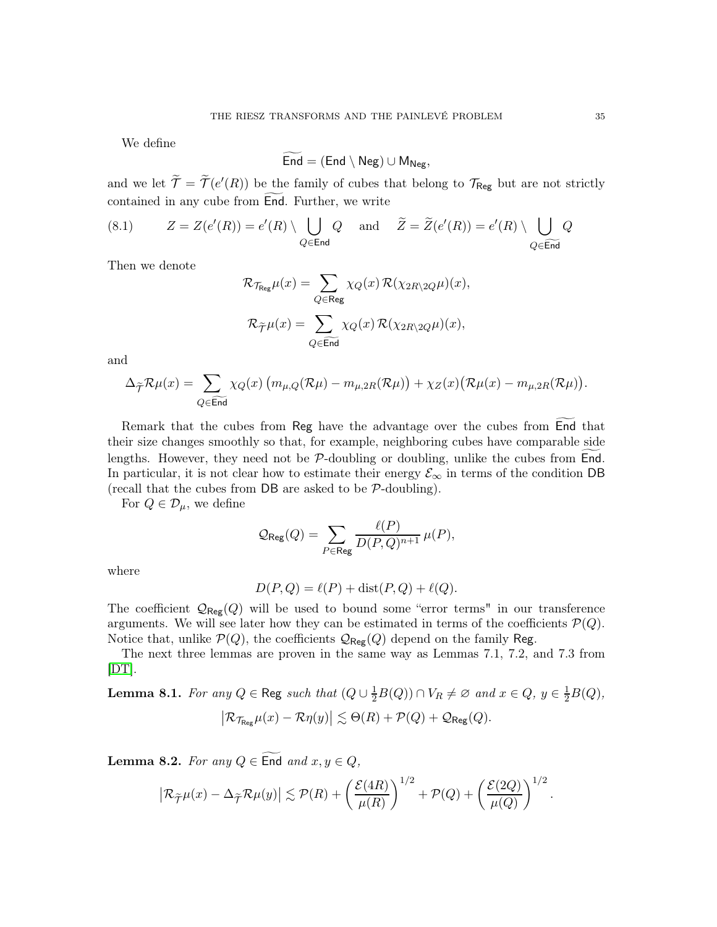We define

$$
\mathsf{End} = (\mathsf{End} \setminus \mathsf{Neg}) \cup \mathsf{M}_{\mathsf{Neg}},
$$

and we let  $\tilde{\mathcal{T}} = \tilde{\mathcal{T}}(e'(R))$  be the family of cubes that belong to  $\mathcal{T}_{\text{Reg}}$  but are not strictly contained in any cube from End. Further, we write

(8.1) 
$$
Z = Z(e'(R)) = e'(R) \setminus \bigcup_{Q \in \text{End}} Q \text{ and } \tilde{Z} = \tilde{Z}(e'(R)) = e'(R) \setminus \bigcup_{Q \in \widetilde{\text{End}}} Q
$$

Then we denote

$$
\mathcal{R}_{\mathcal{T}_{\mathsf{Reg}}}\mu(x) = \sum_{Q \in \mathsf{Reg}} \chi_Q(x)\,\mathcal{R}(\chi_{2R\backslash 2Q}\mu)(x),
$$
  

$$
\mathcal{R}_{\widetilde{\mathcal{T}}}\mu(x) = \sum_{Q \in \widetilde{\mathsf{End}}} \chi_Q(x)\,\mathcal{R}(\chi_{2R\backslash 2Q}\mu)(x),
$$

and

$$
\Delta_{\widetilde{\mathcal{T}}} \mathcal{R} \mu(x) = \sum_{Q \in \widetilde{\text{End}}} \chi_Q(x) \left( m_{\mu,Q}(\mathcal{R} \mu) - m_{\mu,2R}(\mathcal{R} \mu) \right) + \chi_Z(x) \left( \mathcal{R} \mu(x) - m_{\mu,2R}(\mathcal{R} \mu) \right).
$$

Remark that the cubes from Reg have the advantage over the cubes from End that their size changes smoothly so that, for example, neighboring cubes have comparable side lengths. However, they need not be  $P$ -doubling or doubling, unlike the cubes from End. In particular, it is not clear how to estimate their energy  $\mathcal{E}_{\infty}$  in terms of the condition DB (recall that the cubes from DB are asked to be P-doubling).

For  $Q \in \mathcal{D}_{\mu}$ , we define

$$
\mathcal{Q}_{\text{Reg}}(Q) = \sum_{P \in \text{Reg}} \frac{\ell(P)}{D(P,Q)^{n+1}} \,\mu(P),
$$

where

$$
D(P,Q) = \ell(P) + \text{dist}(P,Q) + \ell(Q).
$$

The coefficient  $\mathcal{Q}_{\text{Reg}}(Q)$  will be used to bound some "error terms" in our transference arguments. We will see later how they can be estimated in terms of the coefficients  $\mathcal{P}(Q)$ . Notice that, unlike  $\mathcal{P}(Q)$ , the coefficients  $\mathcal{Q}_{\mathsf{Reg}}(Q)$  depend on the family Reg.

The next three lemmas are proven in the same way as Lemmas 7.1, 7.2, and 7.3 from  $[DT].$  $[DT].$ 

<span id="page-34-0"></span>**Lemma 8.1.** *For any*  $Q \in \text{Reg such that } (Q \cup \frac{1}{2}B(Q)) \cap V_R \neq \emptyset \text{ and } x \in Q, y \in \frac{1}{2}B(Q)$ ,  $\bigl| \mathcal{R}_{\mathcal{T}_{\mathsf{Reg}}} \mu(x) - \mathcal{R}\eta(y) \bigr| \lesssim \Theta(R) + \mathcal{P}(Q) + \mathcal{Q}_{\mathsf{Reg}}(Q).$ 

<span id="page-34-1"></span>Lemma 8.2. *For any*  $Q \in \overline{End}$  and  $x, y \in Q$ ,

$$
\left| \mathcal{R}_{\widetilde{\mathcal{T}}}\mu(x) - \Delta_{\widetilde{\mathcal{T}}} \mathcal{R}\mu(y) \right| \lesssim \mathcal{P}(R) + \left( \frac{\mathcal{E}(4R)}{\mu(R)} \right)^{1/2} + \mathcal{P}(Q) + \left( \frac{\mathcal{E}(2Q)}{\mu(Q)} \right)^{1/2}.
$$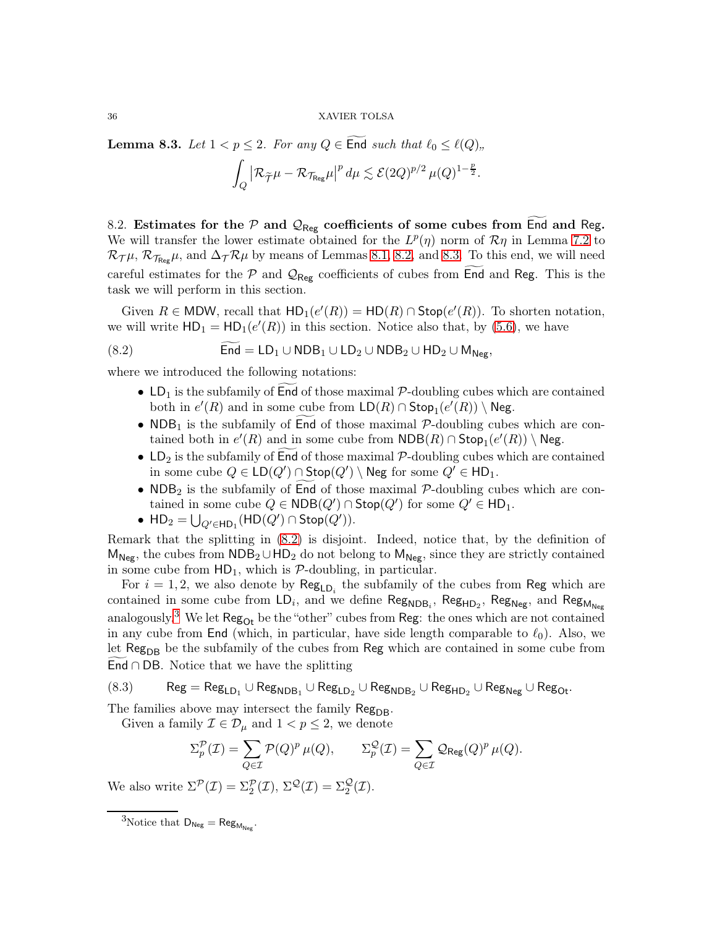<span id="page-35-1"></span>**Lemma 8.3.** *Let*  $1 < p \le 2$ *. For any*  $Q \in$  End *such that*  $\ell_0 \le \ell(Q)$ *"*,

$$
\int_Q \left| \mathcal{R}_{\widetilde{\mathcal{T}}}\mu - \mathcal{R}_{\mathcal{T}_{\text{Reg}}} \mu \right|^p d\mu \lesssim \mathcal{E}(2Q)^{p/2} \,\mu(Q)^{1-\frac{p}{2}}.
$$

<span id="page-35-0"></span>8.2. Estimates for the  $P$  and  $Q_{\text{Reg}}$  coefficients of some cubes from End and Reg. We will transfer the lower estimate obtained for the  $L^p(\eta)$  norm of  $\mathcal{R}\eta$  in Lemma [7.2](#page-33-2) to  $\mathcal{R}_{\mathcal{TH}}$ ,  $\mathcal{R}_{\mathcal{TRee}}\mu$ , and  $\Delta_{\mathcal{TR}}\mu$  by means of Lemmas [8.1,](#page-34-0) [8.2,](#page-34-1) and [8.3.](#page-35-1) To this end, we will need careful estimates for the  $P$  and  $Q_{\text{Reg}}$  coefficients of cubes from End and Reg. This is the task we will perform in this section.

Given  $R \in \text{MDW}$ , recall that  $\text{HD}_1(e'(R)) = \text{HD}(R) \cap \text{Stop}(e'(R))$ . To shorten notation, we will write  $HD_1 = HD_1(e'(R))$  in this section. Notice also that, by [\(5.6\)](#page-23-2), we have

$$
(8.2) \hspace{1cm} \text{End} = \text{LD}_1 \cup \text{NDB}_1 \cup \text{LD}_2 \cup \text{NDB}_2 \cup \text{HD}_2 \cup \text{M}_{\text{Neg}},
$$

where we introduced the following notations:

- <span id="page-35-2"></span>• LD<sub>1</sub> is the subfamily of End of those maximal  $\mathcal{P}$ -doubling cubes which are contained both in  $e'(R)$  and in some cube from  $\mathsf{LD}(R) \cap \mathsf{Stop}_1(e'(R)) \setminus \mathsf{Neg}.$
- NDB<sub>1</sub> is the subfamily of End of those maximal  $P$ -doubling cubes which are contained both in  $e'(R)$  and in some cube from  $\mathsf{NDB}(R) \cap \mathsf{Stop}_1(e'(R)) \setminus \mathsf{Neg}$ .
- $LD_2$  is the subfamily of End of those maximal  $P$ -doubling cubes which are contained in some cube  $Q \in \mathsf{LD}(Q') \cap \mathsf{Stop}(Q') \setminus \mathsf{Neg}$  for some  $Q' \in \mathsf{HD}_1$ .
- NDB<sub>2</sub> is the subfamily of End of those maximal  $P$ -doubling cubes which are contained in some cube  $Q \in \mathsf{NDB}(Q') \cap \mathsf{Stop}(Q')$  for some  $Q' \in \mathsf{HD}_1$ .
- $HD_2 = \bigcup_{Q' \in HD_1} (HD(Q') \cap Stop(Q')).$

Remark that the splitting in [\(8.2\)](#page-35-2) is disjoint. Indeed, notice that, by the definition of  $M_{Neg}$ , the cubes from  $NDB_2 \cup HD_2$  do not belong to  $M_{Neg}$ , since they are strictly contained in some cube from  $HD_1$ , which is  $P$ -doubling, in particular.

For  $i = 1, 2$ , we also denote by  $\text{Reg}_{LD_i}$  the subfamily of the cubes from Reg which are contained in some cube from  $LD_i$ , and we define  $\mathsf{Reg}_{\mathsf{NDB}_i}$ ,  $\mathsf{Reg}_{\mathsf{HD}_2}$ ,  $\mathsf{Reg}_{\mathsf{Neg}_i}$ , and  $\mathsf{Reg}_{\mathsf{M}_{\mathsf{Neg}_i}}$ analogously.<sup>[3](#page-35-3)</sup> We let  $\text{Reg}_{\text{Or}}$  be the "other" cubes from  $\text{Reg}:$  the ones which are not contained in any cube from End (which, in particular, have side length comparable to  $\ell_0$ ). Also, we let Reg<sub>DB</sub> be the subfamily of the cubes from Reg which are contained in some cube from End  $\cap$  DB. Notice that we have the splitting

<span id="page-35-4"></span> $(8.3)$  Reg  $=$   $\mathsf{Reg}_{\mathsf{LD}_1} \cup \mathsf{Reg}_{\mathsf{NDB}_1} \cup \mathsf{Reg}_{\mathsf{LD}_2} \cup \mathsf{Reg}_{\mathsf{HD}_2} \cup \mathsf{Reg}_{\mathsf{Neg}} \cup \mathsf{Reg}_{\mathsf{Oct}}.$ 

The families above may intersect the family Reg<sub>DB</sub>.

Given a family  $\mathcal{I} \in \mathcal{D}_{\mu}$  and  $1 < p \leq 2$ , we denote

$$
\Sigma_p^{\mathcal{P}}(\mathcal{I}) = \sum_{Q \in \mathcal{I}} \mathcal{P}(Q)^p \,\mu(Q), \qquad \Sigma_p^{\mathcal{Q}}(\mathcal{I}) = \sum_{Q \in \mathcal{I}} \mathcal{Q}_{\text{Reg}}(Q)^p \,\mu(Q).
$$

We also write  $\Sigma^{\mathcal{P}}(\mathcal{I}) = \Sigma^{\mathcal{P}}_2(\mathcal{I}), \ \Sigma^{\mathcal{Q}}(\mathcal{I}) = \Sigma^{\mathcal{Q}}_2(\mathcal{I}).$ 

<span id="page-35-3"></span><sup>&</sup>lt;sup>3</sup>Notice that  $D_{Neg} = Reg_{M_{Neg}}$ .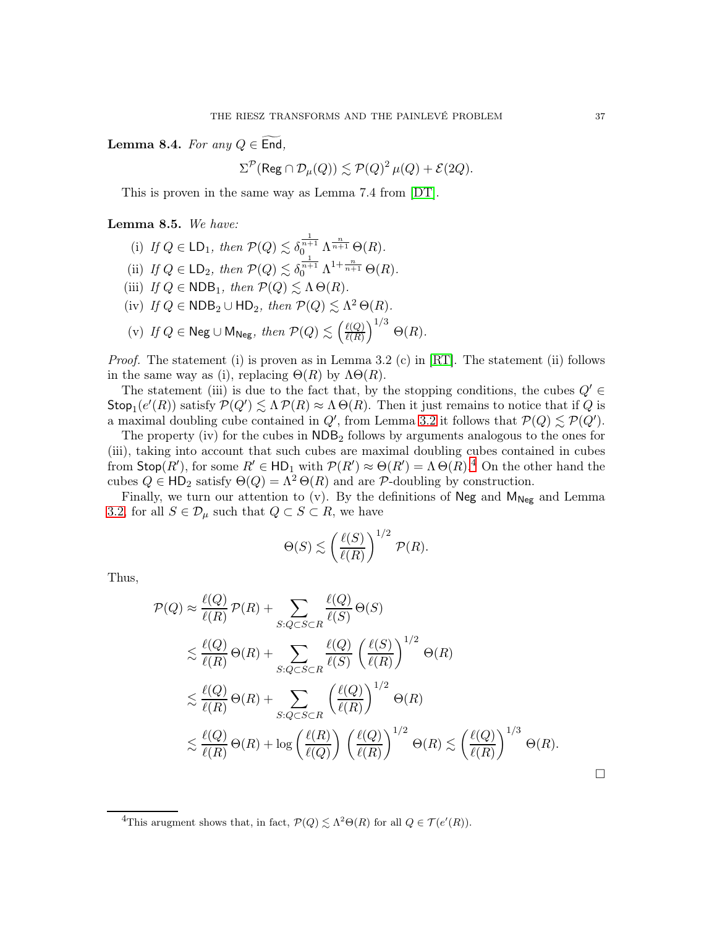<span id="page-36-2"></span>Lemma 8.4. *For any*  $Q \in$  End,

$$
\Sigma^{\mathcal{P}}(\operatorname{Reg} \cap \mathcal{D}_{\mu}(Q)) \lesssim \mathcal{P}(Q)^2 \,\mu(Q) + \mathcal{E}(2Q).
$$

This is proven in the same way as Lemma 7.4 from [\[DT\]](#page-58-0).

# <span id="page-36-1"></span>Lemma 8.5. *We have:*

(i) If  $Q \in \mathsf{LD}_1$ , then  $\mathcal{P}(Q) \lesssim \delta_0^{\frac{1}{n+1}} \Lambda^{\frac{n}{n+1}} \Theta(R)$ . (ii) *If*  $Q \in \mathsf{LD}_2$ *, then*  $\mathcal{P}(Q) \lesssim \delta_0^{\frac{1}{n+1}} \Lambda^{1+\frac{n}{n+1}} \Theta(R)$ *.* (iii) *If*  $Q \in \mathsf{NDB}_1$ *, then*  $\mathcal{P}(Q) \lesssim \Lambda \Theta(R)$ *.* (iv) If  $Q \in \mathsf{NDB}_2 \cup \mathsf{HD}_2$ , then  $\mathcal{P}(Q) \lesssim \Lambda^2 \Theta(R)$ . (v) If  $Q$  ∈ Neg ∪ M<sub>Neg</sub>, then  $P(Q) \lesssim \left(\frac{\ell(Q)}{\ell(R)}\right)$  $\ell(R)$  $\big)^{1/3}$   $\Theta(R)$ *.* 

*Proof.* The statement (i) is proven as in Lemma 3.2 (c) in [\[RT\]](#page-59-17). The statement (ii) follows in the same way as (i), replacing  $\Theta(R)$  by  $\Lambda\Theta(R)$ .

The statement (iii) is due to the fact that, by the stopping conditions, the cubes  $Q' \in$ Stop<sub>1</sub>( $e'(R)$ ) satisfy  $P(Q') \leq \Lambda P(R) \approx \Lambda \Theta(R)$ . Then it just remains to notice that if Q is a maximal doubling cube contained in  $Q'$ , from Lemma [3.2](#page-12-3) it follows that  $\mathcal{P}(Q) \lesssim \mathcal{P}(Q')$ .

The property (iv) for the cubes in  $NDB<sub>2</sub>$  follows by arguments analogous to the ones for (iii), taking into account that such cubes are maximal doubling cubes contained in cubes from  $\textsf{Stop}(R')$ , for some  $R' \in \textsf{HD}_1$  with  $\mathcal{P}(R') \approx \Theta(R') = \Lambda \Theta(R)^{4}$  $\mathcal{P}(R') \approx \Theta(R') = \Lambda \Theta(R)^{4}$  $\mathcal{P}(R') \approx \Theta(R') = \Lambda \Theta(R)^{4}$ . On the other hand the cubes  $Q \in \mathsf{HD}_2$  satisfy  $\Theta(Q) = \Lambda^2 \Theta(R)$  and are P-doubling by construction.

Finally, we turn our attention to (v). By the definitions of Neg and  $M_{Neg}$  and Lemma [3.2,](#page-12-3) for all  $S \in \mathcal{D}_{\mu}$  such that  $Q \subset S \subset R$ , we have

$$
\Theta(S) \lesssim \left(\frac{\ell(S)}{\ell(R)}\right)^{1/2} \mathcal{P}(R).
$$

Thus,

$$
\mathcal{P}(Q) \approx \frac{\ell(Q)}{\ell(R)} \mathcal{P}(R) + \sum_{S:Q \subset S \subset R} \frac{\ell(Q)}{\ell(S)} \Theta(S)
$$
  
\$\leq \frac{\ell(Q)}{\ell(R)} \Theta(R) + \sum\_{S:Q \subset S \subset R} \frac{\ell(Q)}{\ell(S)} \left(\frac{\ell(S)}{\ell(R)}\right)^{1/2} \Theta(R)\$  
\$\leq \frac{\ell(Q)}{\ell(R)} \Theta(R) + \sum\_{S:Q \subset S \subset R} \left(\frac{\ell(Q)}{\ell(R)}\right)^{1/2} \Theta(R)\$  
\$\leq \frac{\ell(Q)}{\ell(R)} \Theta(R) + \log \left(\frac{\ell(R)}{\ell(Q)}\right) \left(\frac{\ell(Q)}{\ell(R)}\right)^{1/2} \Theta(R) \leq \left(\frac{\ell(Q)}{\ell(R)}\right)^{1/3} \Theta(R).

<span id="page-36-0"></span><sup>&</sup>lt;sup>4</sup>This arugment shows that, in fact,  $\mathcal{P}(Q) \lesssim \Lambda^2 \Theta(R)$  for all  $Q \in \mathcal{T}(e'(R))$ .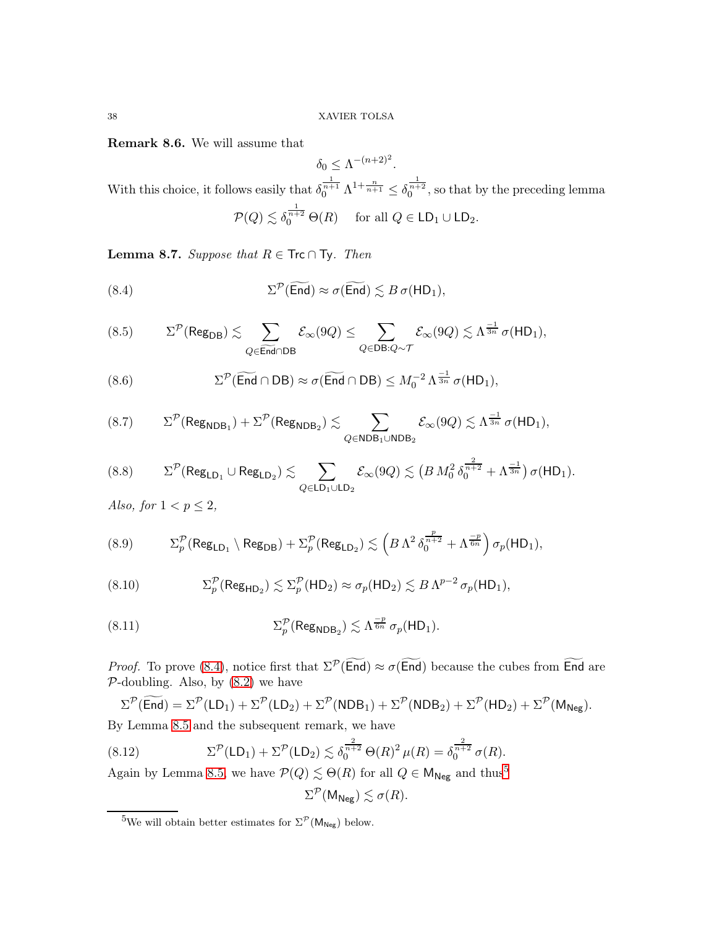<span id="page-37-11"></span>Remark 8.6. We will assume that

 $\delta_0 \leq \Lambda^{-(n+2)^2}.$ With this choice, it follows easily that  $\delta_0^{\frac{1}{n+1}} \Lambda^{1+\frac{n}{n+1}} \leq \delta_0^{\frac{1}{n+2}}$ , so that by the preceding lemma  $\mathcal{P}(Q) \lesssim \delta_0^{\frac{1}{n+2}} \Theta(R) \text{ for all } Q \in \mathsf{LD}_1 \cup \mathsf{LD}_2.$ 

<span id="page-37-10"></span>**Lemma 8.7.** *Suppose that*  $R \in \textsf{Trc} \cap \textsf{Ty}$ *. Then* 

<span id="page-37-0"></span>(8.4) 
$$
\Sigma^{\mathcal{P}}(\widetilde{\text{End}}) \approx \sigma(\widetilde{\text{End}}) \lesssim B \sigma(\text{HD}_1),
$$

<span id="page-37-2"></span>
$$
(8.5) \qquad \Sigma^{\mathcal{P}}(\mathsf{Reg}_{\mathsf{DB}}) \lesssim \sum_{Q \in \widetilde{\mathsf{End}} \cap \mathsf{DB}} \mathcal{E}_{\infty}(9Q) \leq \sum_{Q \in \mathsf{DB}: Q \sim \mathcal{T}} \mathcal{E}_{\infty}(9Q) \lesssim \Lambda^{\frac{-1}{3n}} \sigma(\mathsf{HD}_1),
$$

<span id="page-37-3"></span>(8.6) 
$$
\Sigma^{\mathcal{P}}(\widetilde{\mathsf{End}} \cap \mathsf{DB}) \approx \sigma(\widetilde{\mathsf{End}} \cap \mathsf{DB}) \leq M_0^{-2} \Lambda^{\frac{-1}{3n}} \sigma(\mathsf{HD}_1),
$$

<span id="page-37-4"></span>(8.7) 
$$
\Sigma^{\mathcal{P}}(\text{Reg}_{\text{NDB}_1}) + \Sigma^{\mathcal{P}}(\text{Reg}_{\text{NDB}_2}) \lesssim \sum_{Q \in \text{NDB}_1 \cup \text{NDB}_2} \mathcal{E}_{\infty}(9Q) \lesssim \Lambda^{\frac{-1}{3n}} \sigma(\text{HD}_1),
$$

<span id="page-37-5"></span>
$$
(8.8) \qquad \Sigma^{\mathcal{P}}(\text{Reg}_{\text{LD}_1} \cup \text{Reg}_{\text{LD}_2}) \lesssim \sum_{Q \in \text{LD}_1 \cup \text{LD}_2} \mathcal{E}_{\infty}(9Q) \lesssim \left(B M_0^2 \, \delta_0^{\frac{2}{n+2}} + \Lambda^{\frac{-1}{3n}}\right) \sigma(\text{HD}_1).
$$

*Also, for*  $1 < p \leq 2$ *,* 

<span id="page-37-7"></span>(8.9) 
$$
\Sigma_p^{\mathcal{P}}(\text{Reg}_{\text{LD}_1} \setminus \text{Reg}_{\text{DB}}) + \Sigma_p^{\mathcal{P}}(\text{Reg}_{\text{LD}_2}) \lesssim \left(B \Lambda^2 \, \delta_0^{\frac{p}{n+2}} + \Lambda^{\frac{-p}{6n}}\right) \sigma_p(\text{HD}_1),
$$

<span id="page-37-8"></span>(8.10) 
$$
\Sigma_p^{\mathcal{P}}(\text{Reg}_{\text{HD}_2}) \lesssim \Sigma_p^{\mathcal{P}}(\text{HD}_2) \approx \sigma_p(\text{HD}_2) \lesssim B \Lambda^{p-2} \sigma_p(\text{HD}_1),
$$

<span id="page-37-9"></span>(8.11) 
$$
\Sigma_p^{\mathcal{P}}(\text{Reg}_{\text{NDB}_2}) \lesssim \Lambda^{\frac{-p}{6n}} \sigma_p(\text{HD}_1).
$$

*Proof.* To prove [\(8.4\)](#page-37-0), notice first that  $\Sigma^{\mathcal{P}}(\text{End}) \approx \sigma(\text{End})$  because the cubes from End are  $P$ -doubling. Also, by  $(8.2)$  we have

$$
\Sigma^{\mathcal{P}}(\overline{\text{End}}) = \Sigma^{\mathcal{P}}(LD_1) + \Sigma^{\mathcal{P}}(LD_2) + \Sigma^{\mathcal{P}}(NDB_1) + \Sigma^{\mathcal{P}}(NDB_2) + \Sigma^{\mathcal{P}}(HD_2) + \Sigma^{\mathcal{P}}(M_{Neg}).
$$
  
By Lemma 8.5 and the subsequent remark, we have

<span id="page-37-6"></span>(8.12) 
$$
\Sigma^{\mathcal{P}}(\mathsf{LD}_1) + \Sigma^{\mathcal{P}}(\mathsf{LD}_2) \lesssim \delta_0^{\frac{2}{n+2}} \Theta(R)^2 \,\mu(R) = \delta_0^{\frac{2}{n+2}} \,\sigma(R).
$$

Again by Lemma [8.5,](#page-36-1) we have  $P(Q) \lesssim \Theta(R)$  for all  $Q \in \mathsf{M}_{\mathsf{Neg}}$  and thus<sup>[5](#page-37-1)</sup>

$$
\Sigma^{\mathcal{P}}(\mathsf{M}_{\mathsf{Neg}}) \lesssim \sigma(R).
$$

<span id="page-37-1"></span><sup>&</sup>lt;sup>5</sup>We will obtain better estimates for  $\Sigma^{\mathcal{P}}(\mathsf{M}_{\mathsf{Neg}})$  below.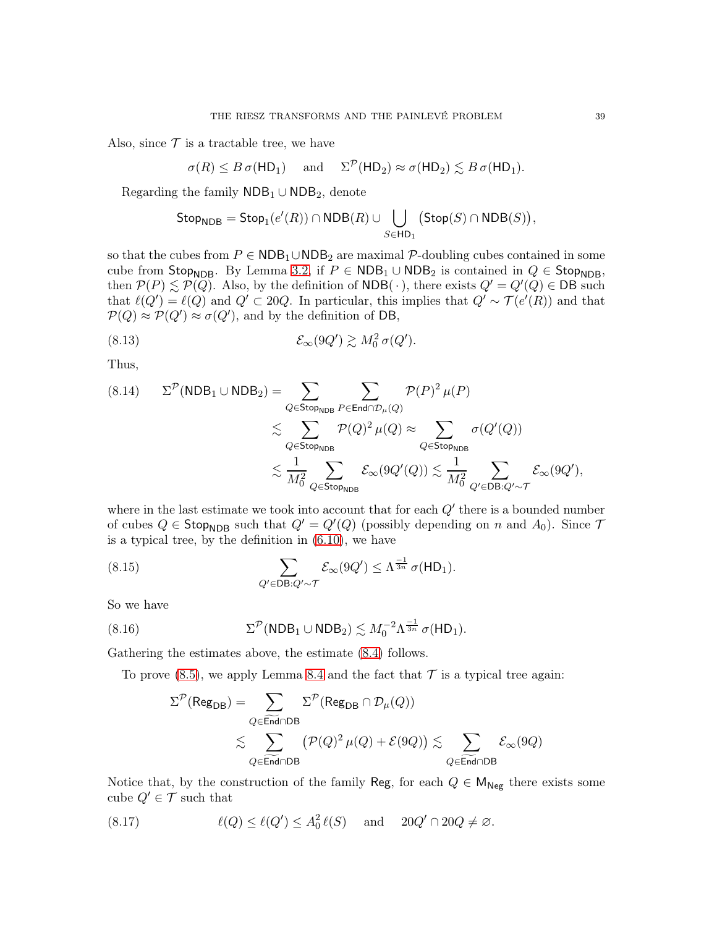Also, since  $\mathcal T$  is a tractable tree, we have

$$
\sigma(R) \leq B \sigma(\mathsf{HD}_1) \quad \text{ and } \quad \Sigma^{\mathcal{P}}(\mathsf{HD}_2) \approx \sigma(\mathsf{HD}_2) \lesssim B \sigma(\mathsf{HD}_1).
$$

Regarding the family  $NDB_1 \cup NDB_2$ , denote

<span id="page-38-0"></span>
$$
\mathsf{Stop}_{\mathsf{NDB}} = \mathsf{Stop}_1(e'(R)) \cap \mathsf{NDB}(R) \cup \bigcup_{S \in \mathsf{HD}_1} \big(\mathsf{Stop}(S) \cap \mathsf{NDB}(S)\big),
$$

so that the cubes from  $P \in \text{NDB}_1 \cup \text{NDB}_2$  are maximal  $P$ -doubling cubes contained in some cube from Stop<sub>NDB</sub>. By Lemma [3.2,](#page-12-3) if  $P \in \text{NDB}_1 \cup \text{NDB}_2$  is contained in  $Q \in \text{Stop}_{\text{NDB}}$ , then  $P(P) \le P(Q)$ . Also, by the definition of NDB(·), there exists  $Q' = Q'(Q) \in \mathsf{DB}$  such that  $\ell(Q') = \ell(Q)$  and  $Q' \subset 20Q$ . In particular, this implies that  $Q' \sim \mathcal{T}(e'(R))$  and that  $\mathcal{P}(Q) \approx \mathcal{P}(Q') \approx \sigma(Q')$ , and by the definition of DB,

(8.13) 
$$
\mathcal{E}_{\infty}(9Q') \gtrsim M_0^2 \sigma(Q').
$$

Thus,

<span id="page-38-3"></span>
$$
(8.14) \qquad \Sigma^{\mathcal{P}}(\text{NDB}_1 \cup \text{NDB}_2) = \sum_{Q \in \text{Stop}_{\text{NDB}}} \sum_{P \in \text{End} \cap \mathcal{D}_{\mu}(Q)} \mathcal{P}(P)^2 \mu(P)
$$

$$
\lesssim \sum_{Q \in \text{Stop}_{\text{NDB}}} \mathcal{P}(Q)^2 \mu(Q) \approx \sum_{Q \in \text{Stop}_{\text{NDB}}} \sigma(Q'(Q))
$$

$$
\lesssim \frac{1}{M_0^2} \sum_{Q \in \text{Stop}_{\text{NDB}}} \mathcal{E}_{\infty}(9Q'(Q)) \lesssim \frac{1}{M_0^2} \sum_{Q' \in \text{DB}: Q' \sim \mathcal{T}} \mathcal{E}_{\infty}(9Q'),
$$

where in the last estimate we took into account that for each  $Q'$  there is a bounded number of cubes  $Q \in \mathsf{Stop}_{\mathsf{NDB}}$  such that  $Q' = Q'(Q)$  (possibly depending on n and  $A_0$ ). Since  $\mathcal{T}$ is a typical tree, by the definition in [\(6.10\)](#page-30-2), we have

<span id="page-38-2"></span>(8.15) 
$$
\sum_{Q' \in \mathsf{DB}: Q' \sim \mathcal{T}} \mathcal{E}_{\infty}(9Q') \leq \Lambda^{\frac{-1}{3n}} \sigma(\mathsf{HD}_1).
$$

So we have

(8.16) 
$$
\Sigma^{\mathcal{P}}(\text{NDB}_1 \cup \text{NDB}_2) \lesssim M_0^{-2} \Lambda^{\frac{-1}{3n}} \sigma(\text{HD}_1).
$$

Gathering the estimates above, the estimate [\(8.4\)](#page-37-0) follows.

To prove  $(8.5)$ , we apply Lemma [8.4](#page-36-2) and the fact that  $\mathcal T$  is a typical tree again:

<span id="page-38-1"></span>
$$
\begin{aligned} \Sigma^{\mathcal{P}}(\mathsf{Reg}_{\mathsf{DB}}) &= \sum_{Q \in \widetilde{\mathsf{End}} \cap \mathsf{DB}} \Sigma^{\mathcal{P}}(\mathsf{Reg}_{\mathsf{DB}} \cap \mathcal{D}_{\mu}(Q)) \\ &\lesssim \sum_{Q \in \widetilde{\mathsf{End}} \cap \mathsf{DB}} \big(\mathcal{P}(Q)^2\,\mu(Q) + \mathcal{E}(9Q)\big) \lesssim \sum_{Q \in \widetilde{\mathsf{End}} \cap \mathsf{DB}} \mathcal{E}_{\infty}(9Q) \end{aligned}
$$

Notice that, by the construction of the family Reg, for each  $Q \in M_{Neg}$  there exists some cube  $Q' \in \mathcal{T}$  such that

<span id="page-38-4"></span>(8.17) 
$$
\ell(Q) \leq \ell(Q') \leq A_0^2 \ell(S) \quad \text{and} \quad 20Q' \cap 20Q \neq \varnothing.
$$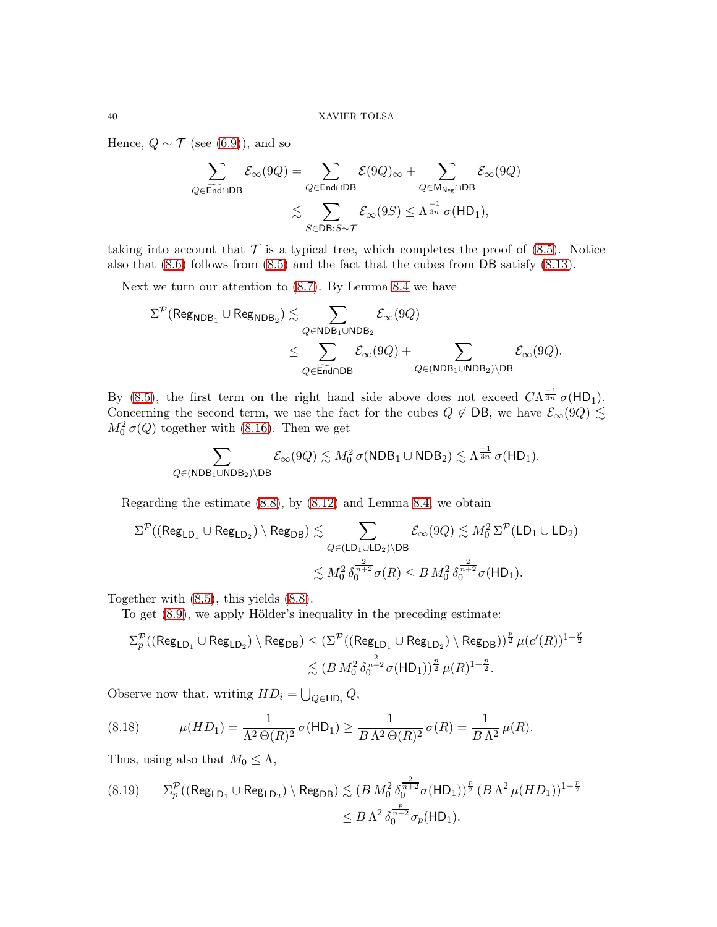Hence,  $Q \sim \mathcal{T}$  (see [\(6.9\)](#page-30-1)), and so

$$
\begin{aligned} \sum_{Q \in \widetilde{\text{End}} \cap \text{DB}} \mathcal{E}_{\infty}(9Q) &= \sum_{Q \in \text{End} \cap \text{DB}} \mathcal{E}(9Q)_{\infty} + \sum_{Q \in \mathsf{M}_{\text{Neg}} \cap \text{DB}} \mathcal{E}_{\infty}(9Q) \\ &\lesssim \sum_{S \in \text{DB}: S \sim \mathcal{T}} \mathcal{E}_{\infty}(9S) \leq \Lambda^{\frac{-1}{3n}} \sigma(\mathsf{HD}_1), \end{aligned}
$$

taking into account that  $\mathcal T$  is a typical tree, which completes the proof of [\(8.5\)](#page-37-2). Notice also that [\(8.6\)](#page-37-3) follows from [\(8.5\)](#page-37-2) and the fact that the cubes from DB satisfy [\(8.13\)](#page-38-0).

Next we turn our attention to [\(8.7\)](#page-37-4). By Lemma [8.4](#page-36-2) we have

$$
\begin{aligned} \Sigma^{\mathcal{P}}(\mathsf{Reg}_{\mathsf{NDB}_1}\cup\mathsf{Reg}_{\mathsf{NDB}_2}) &\lesssim \sum_{Q\in\mathsf{NDB}_1\cup\mathsf{NDB}_2} \mathcal{E}_\infty(9Q) \\&\leq \sum_{Q\in\widetilde{\mathsf{End}}\cap\mathsf{DB}} \mathcal{E}_\infty(9Q) + \sum_{Q\in(\mathsf{NDB}_1\cup\mathsf{NDB}_2)\setminus\mathsf{DB}} \mathcal{E}_\infty(9Q). \end{aligned}
$$

By [\(8.5\)](#page-37-2), the first term on the right hand side above does not exceed  $C\Lambda^{\frac{-1}{3n}}\sigma(HD_1)$ . Concerning the second term, we use the fact for the cubes  $Q \notin DB$ , we have  $\mathcal{E}_{\infty}(9Q) \leq$  $M_0^2 \sigma(Q)$  together with [\(8.16\)](#page-38-1). Then we get

$$
\sum_{Q \in (\mathsf{NDB}_1 \cup \mathsf{NDB}_2) \setminus \mathsf{DB}} \mathcal{E}_\infty(9Q) \lesssim M_0^2 \, \sigma(\mathsf{NDB}_1 \cup \mathsf{NDB}_2) \lesssim \Lambda^{\frac{-1}{3n}} \, \sigma(\mathsf{HD}_1).
$$

Regarding the estimate [\(8.8\)](#page-37-5), by [\(8.12\)](#page-37-6) and Lemma [8.4,](#page-36-2) we obtain

$$
\begin{aligned} \Sigma^{\mathcal{P}}((\mathsf{Reg}_{\mathsf{LD}_1} \cup \mathsf{Reg}_{\mathsf{LD}_2}) \setminus \mathsf{Reg}_{\mathsf{DB}}) &\lesssim & \sum_{Q \in (\mathsf{LD}_1 \cup \mathsf{LD}_2) \setminus \mathsf{DB}} \mathcal{E}_\infty(9Q) \lesssim M_0^2 \, \Sigma^{\mathcal{P}}(\mathsf{LD}_1 \cup \mathsf{LD}_2) \\ &\lesssim M_0^2 \, \delta_0^{\frac{2}{n+2}} \sigma(R) \leq B \, M_0^2 \, \delta_0^{\frac{2}{n+2}} \sigma(\mathsf{HD}_1). \end{aligned}
$$

Together with [\(8.5\)](#page-37-2), this yields [\(8.8\)](#page-37-5).

To get [\(8.9\)](#page-37-7), we apply Hölder's inequality in the preceding estimate:

$$
\begin{aligned} \Sigma^{\mathcal{P}}_p((\operatorname{Reg}_{\mathsf{LD}_1}\cup\operatorname{Reg}_{\mathsf{LD}_2})\setminus\operatorname{Reg}_{\mathsf{DB}}) &\leq (\Sigma^{\mathcal{P}}((\operatorname{Reg}_{\mathsf{LD}_1}\cup\operatorname{Reg}_{\mathsf{LD}_2})\setminus\operatorname{Reg}_{\mathsf{DB}}))^{\frac{p}{2}}\,\mu(e'(R))^{1-\frac{p}{2}}\\ &\lesssim (B\,M_0^2\,\delta_0^{\frac{2}{n+2}}\sigma(\mathsf{HD}_1))^{\frac{p}{2}}\,\mu(R)^{1-\frac{p}{2}}. \end{aligned}
$$

Observe now that, writing  $HD_i = \bigcup_{Q \in \mathsf{HD}_i} Q$ ,

<span id="page-39-1"></span>(8.18) 
$$
\mu(HD_1) = \frac{1}{\Lambda^2 \Theta(R)^2} \sigma(HD_1) \ge \frac{1}{B \Lambda^2 \Theta(R)^2} \sigma(R) = \frac{1}{B \Lambda^2} \mu(R).
$$

Thus, using also that  $M_0 \leq \Lambda$ ,

<span id="page-39-0"></span>
$$
(8.19) \qquad \Sigma_{p}^{\mathcal{P}}((\text{Reg}_{\text{LD}_1} \cup \text{Reg}_{\text{LD}_2}) \setminus \text{Reg}_{\text{DB}}) \lesssim (B M_0^2 \, \delta_0^{\frac{2}{n+2}} \sigma(\text{HD}_1))^{\frac{p}{2}} (B \, \Lambda^2 \, \mu(HD_1))^{1-\frac{p}{2}} \\
\leq B \, \Lambda^2 \, \delta_0^{\frac{p}{n+2}} \sigma_p(\text{HD}_1).
$$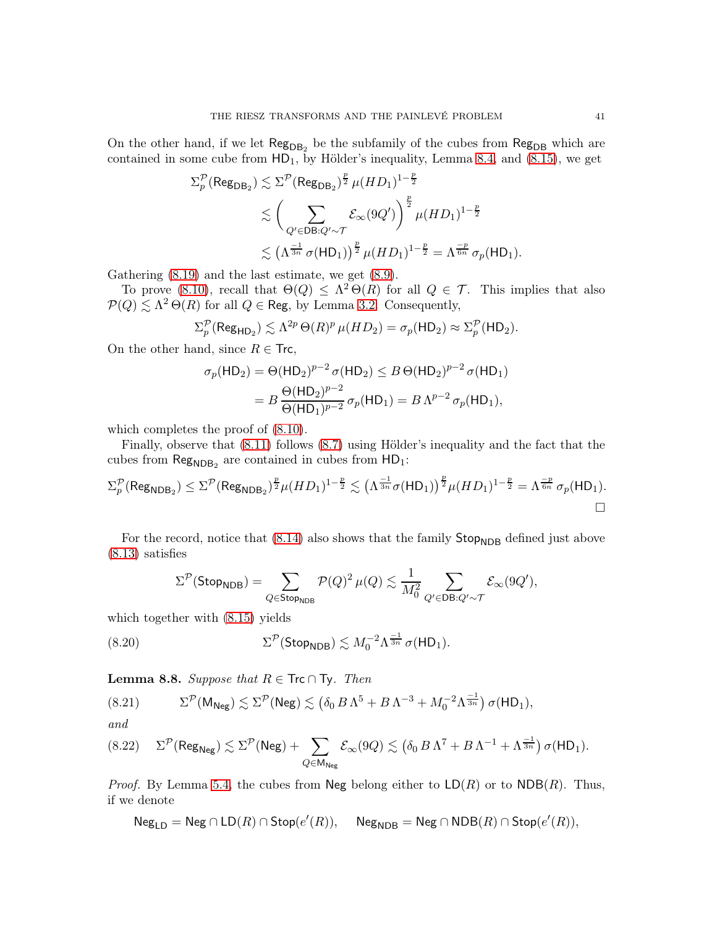On the other hand, if we let  $\text{Reg}_{DB_2}$  be the subfamily of the cubes from  $\text{Reg}_{DB}$  which are contained in some cube from  $HD_1$ , by Hölder's inequality, Lemma [8.4,](#page-36-2) and [\(8.15\)](#page-38-2), we get

$$
\Sigma_p^{\mathcal{P}}(\text{Reg}_{\text{DB}_2}) \lesssim \Sigma^{\mathcal{P}}(\text{Reg}_{\text{DB}_2})^{\frac{p}{2}} \mu(HD_1)^{1-\frac{p}{2}} \\
\lesssim \left(\sum_{Q' \in \text{DB}: Q' \sim \mathcal{T}} \mathcal{E}_{\infty}(9Q')\right)^{\frac{p}{2}} \mu(HD_1)^{1-\frac{p}{2}} \\
\lesssim \left(\Lambda^{\frac{-1}{3n}} \sigma(\text{HD}_1)\right)^{\frac{p}{2}} \mu(HD_1)^{1-\frac{p}{2}} = \Lambda^{\frac{-p}{6n}} \sigma_p(\text{HD}_1).
$$

Gathering [\(8.19\)](#page-39-0) and the last estimate, we get [\(8.9\)](#page-37-7).

To prove [\(8.10\)](#page-37-8), recall that  $\Theta(Q) \leq \Lambda^2 \Theta(R)$  for all  $Q \in \mathcal{T}$ . This implies that also  $\mathcal{P}(Q) \lesssim \Lambda^2 \Theta(R)$  for all  $Q \in \text{Reg, by Lemma 3.2. Consequently, }$  $Q \in \text{Reg, by Lemma 3.2. Consequently, }$  $Q \in \text{Reg, by Lemma 3.2. Consequently, }$ 

$$
\Sigma_p^{\mathcal{P}}(\operatorname{Reg}_{\mathsf{HD}_2}) \lesssim \Lambda^{2p} \Theta(R)^p \,\mu(HD_2) = \sigma_p(\mathsf{HD}_2) \approx \Sigma_p^{\mathcal{P}}(\mathsf{HD}_2).
$$

On the other hand, since  $R \in \text{Trc}$ ,

$$
\sigma_p(\text{HD}_2) = \Theta(\text{HD}_2)^{p-2} \sigma(\text{HD}_2) \le B \Theta(\text{HD}_2)^{p-2} \sigma(\text{HD}_1)
$$
  
=  $B \frac{\Theta(\text{HD}_2)^{p-2}}{\Theta(\text{HD}_1)^{p-2}} \sigma_p(\text{HD}_1) = B \Lambda^{p-2} \sigma_p(\text{HD}_1),$ 

which completes the proof of  $(8.10)$ .

Finally, observe that [\(8.11\)](#page-37-9) follows [\(8.7\)](#page-37-4) using Hölder's inequality and the fact that the cubes from  $\text{Reg}_{\text{NDB}_2}$  are contained in cubes from  $\text{HD}_1$ :

$$
\Sigma_p^{\mathcal{P}}(\operatorname{Reg}_{\mathsf{NDB}_2}) \leq \Sigma^{\mathcal{P}}(\operatorname{Reg}_{\mathsf{NDB}_2})^{\frac{p}{2}} \mu(HD_1)^{1-\frac{p}{2}} \lesssim \left(\Lambda^{\frac{-1}{3n}} \sigma(HD_1)\right)^{\frac{p}{2}} \mu(HD_1)^{1-\frac{p}{2}} = \Lambda^{\frac{-p}{6n}} \sigma_p(\mathsf{HD}_1).
$$

For the record, notice that  $(8.14)$  also shows that the family  $\mathsf{Stop}_{\mathsf{NDB}}$  defined just above [\(8.13\)](#page-38-0) satisfies

<span id="page-40-0"></span>
$$
\Sigma^{\mathcal{P}}(\mathsf{Stop}_{\mathsf{NDB}}) = \sum_{Q \in \mathsf{Stop}_{\mathsf{NDB}}} \mathcal{P}(Q)^2 \,\mu(Q) \lesssim \frac{1}{M_0^2} \sum_{Q' \in \mathsf{DB}: Q' \sim \mathcal{T}} \mathcal{E}_{\infty}(9Q'),
$$

which together with [\(8.15\)](#page-38-2) yields

(8.20) 
$$
\Sigma^{\mathcal{P}}(\text{Stop}_{\text{NDB}}) \lesssim M_0^{-2} \Lambda^{\frac{-1}{3n}} \sigma(\text{HD}_1).
$$

**Lemma 8.8.** *Suppose that*  $R \in \textsf{Trc} \cap \textsf{Ty}$ *. Then* 

$$
(8.21) \qquad \Sigma^{\mathcal{P}}(\mathsf{M}_{\mathsf{Neg}}) \lesssim \Sigma^{\mathcal{P}}(\mathsf{Neg}) \lesssim \left(\delta_0 \, B \, \Lambda^5 + B \, \Lambda^{-3} + M_0^{-2} \Lambda^{\frac{-1}{3n}}\right) \sigma(\mathsf{HD}_1),
$$

*and*

<span id="page-40-1"></span>
$$
(8.22) \quad \Sigma^{\mathcal{P}}(\text{Reg}_{\text{Neg}}) \lesssim \Sigma^{\mathcal{P}}(\text{Neg}) + \sum_{Q \in \text{M}_{\text{Neg}}} \mathcal{E}_{\infty}(9Q) \lesssim \left(\delta_0 \, B \, \Lambda^7 + B \, \Lambda^{-1} + \Lambda^{\frac{-1}{3n}}\right) \sigma(\text{HD}_1).
$$

*Proof.* By Lemma [5.4,](#page-23-1) the cubes from Neg belong either to  $LD(R)$  or to  $NDB(R)$ . Thus, if we denote

 $\mathsf{Neg}_{\mathsf{LD}} = \mathsf{Neg} \cap \mathsf{LD}(R) \cap \mathsf{Stop}(e'(R)), \quad \mathsf{Neg}_{\mathsf{NDB}} = \mathsf{Neg} \cap \mathsf{NDB}(R) \cap \mathsf{Stop}(e'(R)),$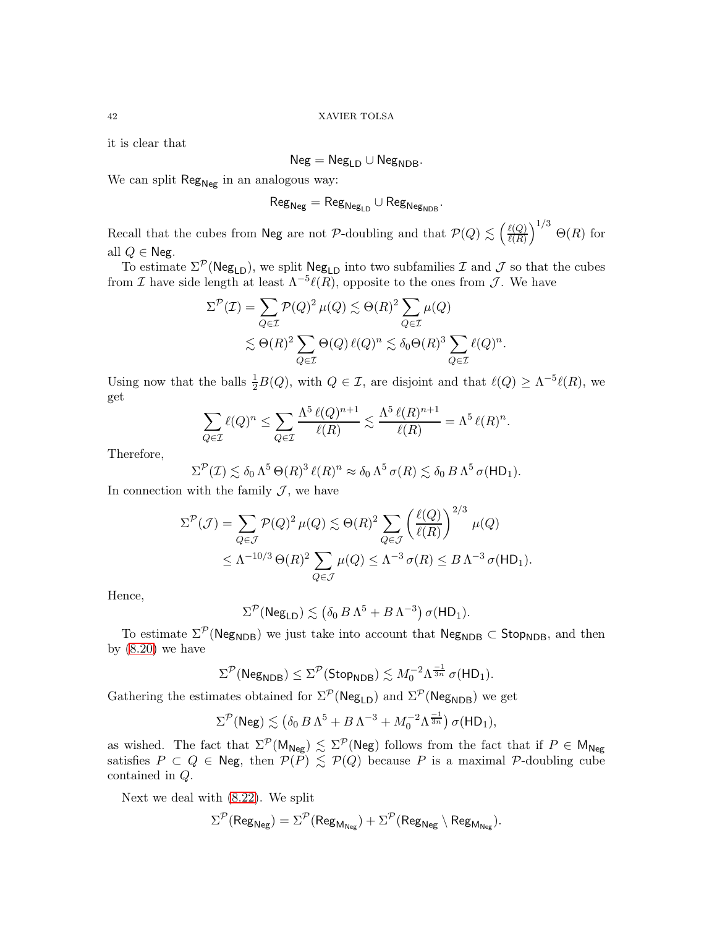it is clear that

$$
\mathsf{Neg} = \mathsf{Neg}_{\mathsf{LD}} \cup \mathsf{Neg}_{\mathsf{NDB}}.
$$

We can split  $\text{Reg}_{Neg}$  in an analogous way:

$$
\mathsf{Reg}_{\mathsf{Neg}} = \mathsf{Reg}_{\mathsf{Neg}_{\mathsf{LD}}}\cup \mathsf{Reg}_{\mathsf{Neg}_{\mathsf{NDB}}}.
$$

Recall that the cubes from Neg are not P-doubling and that  $P(Q) \lesssim \left(\frac{\ell(Q)}{\ell(R)}\right)$  $\ell(R)$  $\big)^{1/3}$   $\Theta(R)$  for all  $Q \in \text{Neg.}$ 

To estimate  $\Sigma^{\mathcal{P}}(\mathsf{Neg}_{LD})$ , we split  $\mathsf{Neg}_{LD}$  into two subfamilies  $\mathcal I$  and  $\mathcal J$  so that the cubes from *I* have side length at least  $\Lambda^{-5}\ell(R)$ , opposite to the ones from *J*. We have

$$
\Sigma^{\mathcal{P}}(\mathcal{I}) = \sum_{Q \in \mathcal{I}} \mathcal{P}(Q)^2 \,\mu(Q) \lesssim \Theta(R)^2 \sum_{Q \in \mathcal{I}} \mu(Q)
$$
  

$$
\lesssim \Theta(R)^2 \sum_{Q \in \mathcal{I}} \Theta(Q) \,\ell(Q)^n \lesssim \delta_0 \Theta(R)^3 \sum_{Q \in \mathcal{I}} \ell(Q)^n.
$$

Using now that the balls  $\frac{1}{2}B(Q)$ , with  $Q \in \mathcal{I}$ , are disjoint and that  $\ell(Q) \geq \Lambda^{-5}\ell(R)$ , we get

$$
\sum_{Q \in \mathcal{I}} \ell(Q)^n \le \sum_{Q \in \mathcal{I}} \frac{\Lambda^5 \ell(Q)^{n+1}}{\ell(R)} \lesssim \frac{\Lambda^5 \ell(R)^{n+1}}{\ell(R)} = \Lambda^5 \ell(R)^n.
$$

Therefore,

$$
\Sigma^{\mathcal{P}}(\mathcal{I}) \lesssim \delta_0 \Lambda^5 \Theta(R)^3 \,\ell(R)^n \approx \delta_0 \Lambda^5 \,\sigma(R) \lesssim \delta_0 \,B \,\Lambda^5 \,\sigma(\mathsf{HD}_1).
$$

In connection with the family  $\mathcal{J}$ , we have

$$
\Sigma^{\mathcal{P}}(\mathcal{J}) = \sum_{Q \in \mathcal{J}} \mathcal{P}(Q)^2 \,\mu(Q) \lesssim \Theta(R)^2 \sum_{Q \in \mathcal{J}} \left(\frac{\ell(Q)}{\ell(R)}\right)^{2/3} \,\mu(Q)
$$
  
 
$$
\leq \Lambda^{-10/3} \,\Theta(R)^2 \sum_{Q \in \mathcal{J}} \mu(Q) \leq \Lambda^{-3} \,\sigma(R) \leq B \,\Lambda^{-3} \,\sigma(HD_1).
$$

Hence,

$$
\Sigma^{\mathcal{P}}(\text{Neg}_{LD}) \lesssim (\delta_0 \, B \, \Lambda^5 + B \, \Lambda^{-3}) \, \sigma(\text{HD}_1).
$$

To estimate  $\Sigma^{\mathcal{P}}(\mathsf{Neg}_{\mathsf{NDB}})$  we just take into account that  $\mathsf{Neg}_{\mathsf{NDB}} \subset \mathsf{Stop}_{\mathsf{NDB}}$ , and then by  $(8.20)$  we have

$$
\Sigma^{\mathcal{P}}(\mathsf{Neg}_{\mathsf{NDB}}) \leq \Sigma^{\mathcal{P}}(\mathsf{Stop}_{\mathsf{NDB}}) \lesssim M_0^{-2} \Lambda^{\frac{-1}{3n}} \sigma(\mathsf{HD}_1).
$$

Gathering the estimates obtained for  $\Sigma^{\mathcal{P}}(\mathsf{Neg}_{LD})$  and  $\Sigma^{\mathcal{P}}(\mathsf{Neg}_{NDB})$  we get

$$
\Sigma^{\mathcal{P}}(\text{Neg}) \lesssim \left(\delta_0 \, B \, \Lambda^5 + B \, \Lambda^{-3} + M_0^{-2} \Lambda^{\frac{-1}{3n}}\right) \sigma(\text{HD}_1),
$$

as wished. The fact that  $\Sigma^{\mathcal{P}}(M_{Neg}) \lesssim \Sigma^{\mathcal{P}}(Neg)$  follows from the fact that if  $P \in M_{Neg}$ satisfies  $P \subset Q \in$  Neg, then  $P(P) \lesssim P(Q)$  because P is a maximal P-doubling cube contained in Q.

Next we deal with [\(8.22\)](#page-40-1). We split

$$
\Sigma^{\mathcal{P}}(\mathsf{Reg}_{\mathsf{Neg}}) = \Sigma^{\mathcal{P}}(\mathsf{Reg}_{\mathsf{M}_{\mathsf{Neg}}}) + \Sigma^{\mathcal{P}}(\mathsf{Reg}_{\mathsf{Neg}} \setminus \mathsf{Reg}_{\mathsf{M}_{\mathsf{Neg}}}).
$$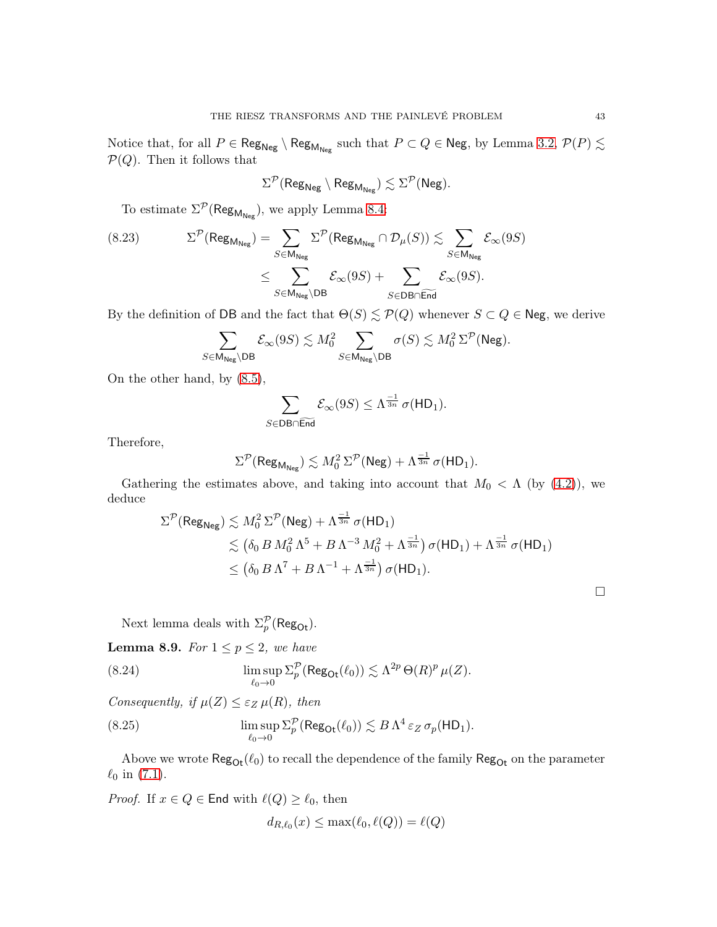Notice that, for all  $P \in \mathsf{Reg}_{\mathsf{Neg}} \setminus \mathsf{Reg}_{\mathsf{M}_{\mathsf{Neg}}}$  such that  $P \subset Q \in \mathsf{Neg}$ , by Lemma [3.2,](#page-12-3)  $\mathcal{P}(P) \lesssim$  $P(Q)$ . Then it follows that

$$
\Sigma^{\mathcal{P}}(\text{Reg}_{\text{Neg}} \setminus \text{Reg}_{\text{M}_{\text{Neg}}}) \lesssim \Sigma^{\mathcal{P}}(\text{Neg}).
$$

To estimate  $\Sigma^{\mathcal{P}}(\mathsf{Reg}_{\mathsf{M}_{\mathsf{Neg}}}),$  we apply Lemma [8.4:](#page-36-2)

(8.23) 
$$
\Sigma^{\mathcal{P}}(\text{Reg}_{\mathsf{M}_{\mathsf{Neg}}}) = \sum_{S \in \mathsf{M}_{\mathsf{Neg}}} \Sigma^{\mathcal{P}}(\text{Reg}_{\mathsf{M}_{\mathsf{Neg}}} \cap \mathcal{D}_{\mu}(S)) \lesssim \sum_{S \in \mathsf{M}_{\mathsf{Neg}}} \mathcal{E}_{\infty}(9S)
$$

$$
\leq \sum_{S \in \mathsf{M}_{\mathsf{Neg}} \setminus \mathsf{DB}} \mathcal{E}_{\infty}(9S) + \sum_{S \in \mathsf{DB} \cap \widetilde{\mathsf{End}}} \mathcal{E}_{\infty}(9S).
$$

By the definition of DB and the fact that  $\Theta(S) \lesssim \mathcal{P}(Q)$  whenever  $S \subset Q \in \mathsf{Neg}$ , we derive

$$
\sum_{S \in \mathsf{M}_{\mathsf{Neg}}\backslash \mathsf{DB}} \mathcal{E}_\infty(9S) \lesssim M_0^2 \sum_{S \in \mathsf{M}_{\mathsf{Neg}}\backslash \mathsf{DB}} \sigma(S) \lesssim M_0^2 \, \Sigma^{\mathcal{P}}(\mathsf{Neg}).
$$

On the other hand, by [\(8.5\)](#page-37-2),

$$
\sum_{S \in \mathsf{DB} \cap \widetilde{\mathsf{End}}} \mathcal{E}_{\infty}(9S) \leq \Lambda^{\frac{-1}{3n}} \sigma(\mathsf{HD}_1).
$$

Therefore,

$$
\Sigma^{\mathcal{P}}(\operatorname{Reg}_{\mathsf{M}_{\mathsf{Neg}}}) \lesssim M_0^2 \, \Sigma^{\mathcal{P}}(\operatorname{Neg}) + \Lambda^{\frac{-1}{3n}} \, \sigma(\mathsf{HD}_1).
$$

Gathering the estimates above, and taking into account that  $M_0 < \Lambda$  (by [\(4.2\)](#page-15-2)), we deduce

$$
\Sigma^{\mathcal{P}}(\text{Reg}_{\text{Neg}}) \lesssim M_0^2 \Sigma^{\mathcal{P}}(\text{Neg}) + \Lambda^{\frac{-1}{3n}} \sigma(\text{HD}_1)
$$
  
\$\lesssim (\delta\_0 B M\_0^2 \Lambda^5 + B \Lambda^{-3} M\_0^2 + \Lambda^{\frac{-1}{3n}}) \sigma(\text{HD}\_1) + \Lambda^{\frac{-1}{3n}} \sigma(\text{HD}\_1)\$  
\$\leq (\delta\_0 B \Lambda^7 + B \Lambda^{-1} + \Lambda^{\frac{-1}{3n}}) \sigma(\text{HD}\_1). \square\$

<span id="page-42-0"></span>Next lemma deals with  $\Sigma_p^{\mathcal{P}}(\mathsf{Reg}_{\mathrm{Ot}})$ .

<span id="page-42-1"></span>**Lemma 8.9.** *For*  $1 \leq p \leq 2$ *, we have* 

(8.24) 
$$
\limsup_{\ell_0 \to 0} \Sigma_p^{\mathcal{P}}(\text{Reg}_{\text{Of}}(\ell_0)) \lesssim \Lambda^{2p} \Theta(R)^p \,\mu(Z).
$$

*Consequently, if*  $\mu(Z) \leq \varepsilon_Z \mu(R)$ *, then* 

(8.25) 
$$
\limsup_{\ell_0 \to 0} \Sigma_p^{\mathcal{P}}(\text{Reg}_{\text{Or}}(\ell_0)) \lesssim B \Lambda^4 \varepsilon_Z \sigma_p(\text{HD}_1).
$$

Above we wrote  $\text{Reg}_{\text{Or}}(\ell_0)$  to recall the dependence of the family  $\text{Reg}_{\text{Or}}$  on the parameter  $\ell_0$  in [\(7.1\)](#page-32-0).

*Proof.* If  $x \in Q \in \mathsf{End}$  with  $\ell(Q) \geq \ell_0$ , then

$$
d_{R,\ell_0}(x) \le \max(\ell_0, \ell(Q)) = \ell(Q)
$$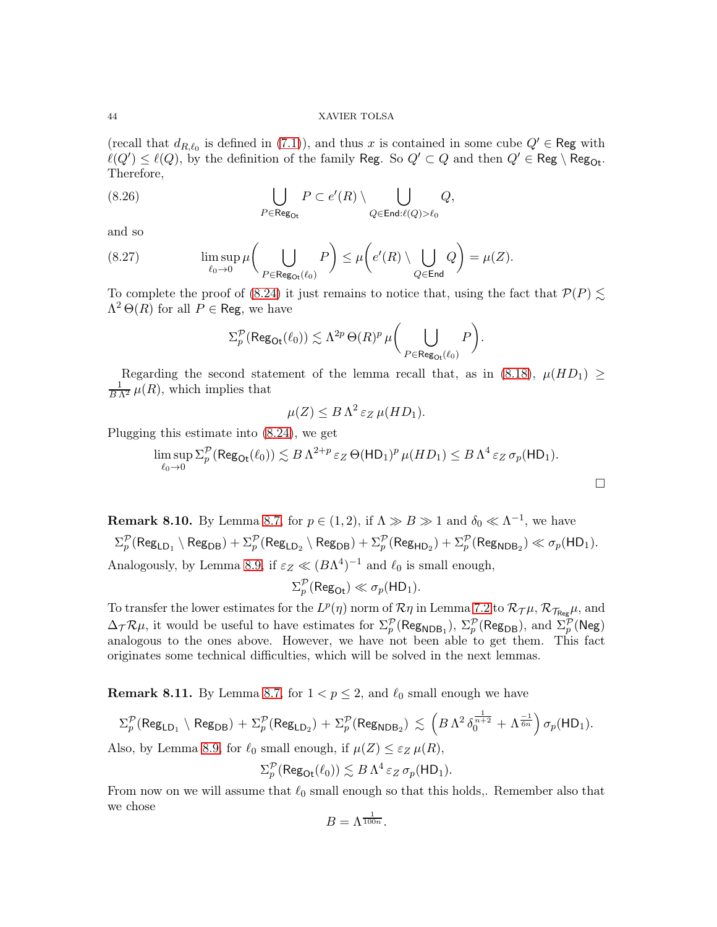(recall that  $d_{R,\ell_0}$  is defined in [\(7.1\)](#page-32-0)), and thus x is contained in some cube  $Q' \in \mathsf{Reg}$  with  $\ell(Q')\leq \ell(Q),$  by the definition of the family Reg. So  $Q'\subset Q$  and then  $Q'\in \mathsf{Reg}\setminus \mathsf{Reg}_{\mathsf{Or}}.$ Therefore,

(8.26) 
$$
\bigcup_{P \in \text{Reg}_{\text{Or}}} P \subset e'(R) \setminus \bigcup_{Q \in \text{End}:\ell(Q) > \ell_0} Q,
$$

and so

(8.27) 
$$
\limsup_{\ell_0 \to 0} \mu \bigg( \bigcup_{P \in \text{Reg}_{\text{Or}}(\ell_0)} P \bigg) \leq \mu \bigg( e'(R) \setminus \bigcup_{Q \in \text{End}} Q \bigg) = \mu(Z).
$$

To complete the proof of [\(8.24\)](#page-42-0) it just remains to notice that, using the fact that  $\mathcal{P}(P) \leq$  $\Lambda^2 \Theta(R)$  for all  $P \in \text{Reg}$ , we have

<span id="page-43-1"></span>
$$
\Sigma^{\mathcal{P}}_{p}(\mathrm{Reg}_{\mathrm{Dt}}(\ell_0)) \lesssim \Lambda^{2p} \, \Theta(R)^p \, \mu \bigg(\bigcup_{P \in \mathrm{Reg}_{\mathrm{Dt}}(\ell_0)} P \bigg).
$$

Regarding the second statement of the lemma recall that, as in [\(8.18\)](#page-39-1),  $\mu(HD_1) \geq$  $\frac{1}{B\Lambda^2}\mu(R)$ , which implies that

$$
\mu(Z) \leq B \Lambda^2 \, \varepsilon_Z \, \mu(HD_1).
$$

Plugging this estimate into [\(8.24\)](#page-42-0), we get

$$
\limsup_{\ell_0 \to 0} \Sigma_p^{\mathcal{P}}(\text{Reg}_{\text{Or}}(\ell_0)) \lesssim B \Lambda^{2+p} \varepsilon_Z \Theta(\text{HD}_1)^p \,\mu(HD_1) \leq B \Lambda^4 \varepsilon_Z \,\sigma_p(\text{HD}_1).
$$

**Remark 8.10.** By Lemma [8.7,](#page-37-10) for  $p \in (1,2)$ , if  $\Lambda \gg B \gg 1$  and  $\delta_0 \ll \Lambda^{-1}$ , we have  $\Sigma^{\mathcal{P}}_p(\mathsf{Reg}_{\mathsf{LD}_1} \setminus \mathsf{Reg}_{\mathsf{DB}}) + \Sigma^{\mathcal{P}}_p(\mathsf{Reg}_{\mathsf{LD}_2} \setminus \mathsf{Reg}_{\mathsf{DB}}) + \Sigma^{\mathcal{P}}_p(\mathsf{Reg}_{\mathsf{HD}_2}) + \Sigma^{\mathcal{P}}_p(\mathsf{Reg}_{\mathsf{NDB}_2}) \ll \sigma_p(\mathsf{HD}_1).$ Analogously, by Lemma [8.9,](#page-42-1) if  $\varepsilon_Z \ll (B\Lambda^4)^{-1}$  and  $\ell_0$  is small enough,

$$
\Sigma_p^{\mathcal{P}}(\text{Reg}_{\text{Or}}) \ll \sigma_p(\text{HD}_1).
$$

To transfer the lower estimates for the  $L^p(\eta)$  norm of  $\mathcal{R}\eta$  in Lemma [7.2](#page-33-2) to  $\mathcal{R}_{\mathcal{T}}\mu$ ,  $\mathcal{R}_{\mathcal{T}_{\text{Reg}}}\mu$ , and  $\Delta_{\mathcal{T}}\mathcal{R}\mu$ , it would be useful to have estimates for  $\Sigma_p^{\mathcal{P}}(\text{Reg}_{\text{NDB}_1}), \Sigma_p^{\mathcal{P}}(\text{Reg}_{\text{DB}})$ , and  $\Sigma_p^{\mathcal{P}}(\text{Neg})$ analogous to the ones above. However, we have not been able to get them. This fact originates some technical difficulties, which will be solved in the next lemmas.

<span id="page-43-0"></span>**Remark 8.11.** By Lemma [8.7,](#page-37-10) for  $1 < p \le 2$ , and  $\ell_0$  small enough we have

$$
\Sigma^\mathcal{P}_p(\mathsf{Reg}_{\mathsf{LD}_1}\setminus\mathsf{Reg}_{\mathsf{DB}}) + \Sigma^\mathcal{P}_p(\mathsf{Reg}_{\mathsf{LD}_2}) + \Sigma^\mathcal{P}_p(\mathsf{Reg}_{\mathsf{NDB}_2}) \,\lesssim\, \left(B\,\Lambda^2\,\delta_0^{\frac{1}{n+2}} + \Lambda^{\frac{-1}{6n}}\right)\sigma_p(\mathsf{HD}_1).
$$

Also, by Lemma [8.9,](#page-42-1) for  $\ell_0$  small enough, if  $\mu(Z) \leq \varepsilon_Z \mu(R)$ ,

$$
\Sigma_p^{\mathcal{P}}(\operatorname{Reg}_{\mathsf{O} \mathsf{t}}(\ell_0)) \lesssim B \Lambda^4 \, \varepsilon_Z \, \sigma_p(\mathsf{HD}_1).
$$

From now on we will assume that  $\ell_0$  small enough so that this holds,. Remember also that we chose

$$
B=\Lambda^{\frac{1}{100n}}.
$$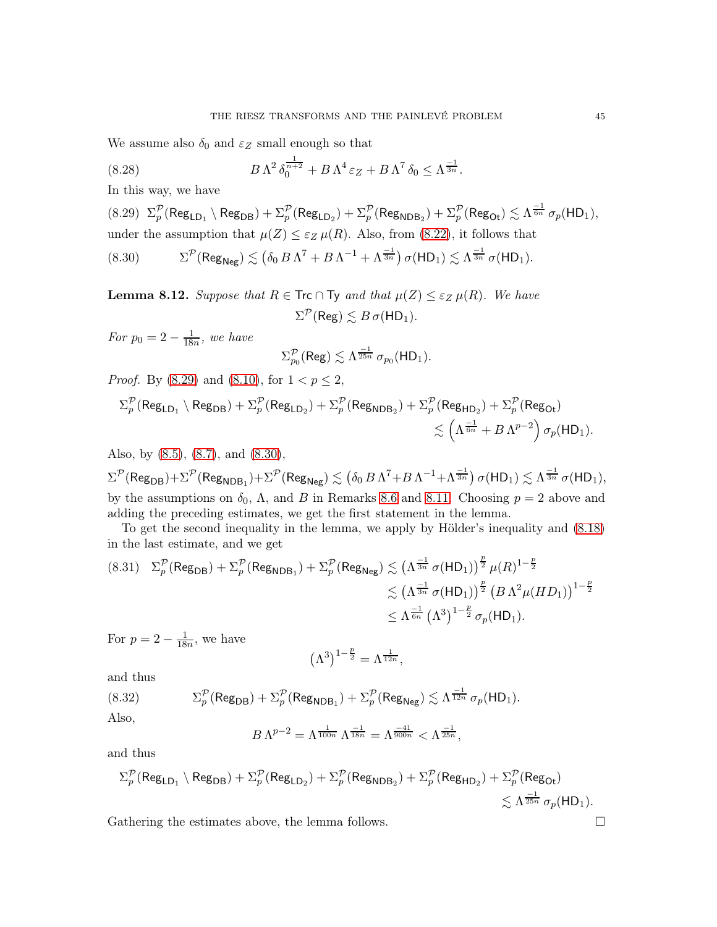We assume also  $\delta_0$  and  $\varepsilon_Z$  small enough so that

<span id="page-44-3"></span>(8.28) 
$$
B\,\Lambda^2\,\delta_0^{\frac{1}{n+2}} + B\,\Lambda^4\,\varepsilon_Z + B\,\Lambda^7\,\delta_0 \leq \Lambda^{\frac{-1}{3n}}.
$$

In this way, we have

<span id="page-44-0"></span> $(8.29)\ \ \Sigma^\mathcal{P}_p(\mathsf{Reg}_{\mathsf{LD}_1}\setminus\mathsf{Reg}_{\mathsf{DB}}) + \Sigma^\mathcal{P}_p(\mathsf{Reg}_{\mathsf{LD}_2}) + \Sigma^\mathcal{P}_p(\mathsf{Reg}_{\mathsf{NDB}_2}) + \Sigma^\mathcal{P}_p(\mathsf{Reg}_{\mathsf{Dt}}) \lesssim \Lambda^{\frac{-1}{6n}}\,\sigma_p(\mathsf{HD}_1),$ under the assumption that  $\mu(Z) \leq \varepsilon_Z \mu(R)$ . Also, from [\(8.22\)](#page-40-1), it follows that  $(8.30)$  $\mathcal{P}(\mathsf{Reg}_{\mathsf{Neg}})\lesssim \left(\delta_0\,B\,\Lambda^7 + B\,\Lambda^{-1} + \Lambda^{\frac{-1}{3n}}\right)\sigma(\mathsf{HD}_1)\lesssim \Lambda^{\frac{-1}{3n}}\,\sigma(\mathsf{HD}_1).$ 

<span id="page-44-1"></span>
$$
\mathcal{L}^{\mathcal{L}}(\mathcal{L}^{\mathcal{L}}(\mathcal{L}^{\mathcal{L}}(\mathcal{L}^{\mathcal{L}}(\mathcal{L}^{\mathcal{L}}(\mathcal{L}^{\mathcal{L}}(\mathcal{L}^{\mathcal{L}}(\mathcal{L}^{\mathcal{L}}(\mathcal{L}^{\mathcal{L}}(\mathcal{L}^{\mathcal{L}}(\mathcal{L}^{\mathcal{L}}(\mathcal{L}^{\mathcal{L}}(\mathcal{L}^{\mathcal{L}}(\mathcal{L}^{\mathcal{L}}(\mathcal{L}^{\mathcal{L}}(\mathcal{L}^{\mathcal{L}}(\mathcal{L}^{\mathcal{L}}(\mathcal{L}^{\mathcal{L}}(\mathcal{L}^{\mathcal{L}}(\mathcal{L}^{\mathcal{L}}(\mathcal{L}^{\mathcal{L}}(\mathcal{L}^{\mathcal{L}}(\mathcal{L}^{\mathcal{L}}(\mathcal{L}^{\mathcal{L}}(\mathcal{L}^{\mathcal{L}}(\mathcal{L}^{\mathcal{L}}(\mathcal{L}^{\mathcal{L}}(\mathcal{L}^{\mathcal{L}}(\mathcal{L}^{\mathcal{L}}(\mathcal{L}^{\mathcal{L}}(\mathcal{L}^{\mathcal{L}}(\mathcal{L}^{\mathcal{L}}(\mathcal{L}^{\mathcal{L}}(\mathcal{L}^{\mathcal{L}}(\mathcal{L}^{\mathcal{L}}(\mathcal{L}^{\mathcal{L}}(\mathcal{L}^{\mathcal{L}}(\mathcal{L}^{\mathcal{L}}(\mathcal{L}^{\mathcal{L}}(\mathcal{L}^{\mathcal{L}}(\mathcal{L}^{\mathcal{L}}(\mathcal{L}^{\mathcal{L}}(\mathcal{L}^{\mathcal{L}}(\mathcal{L}^{\mathcal{L}}(\mathcal{L}^{\mathcal{L}}(\mathcal{L}^{\mathcal{L}}(\mathcal{L}^{\mathcal{L}}(\mathcal{L}^{\mathcal{L}}(\mathcal{L}^{\mathcal{L}}(\mathcal{L}^{\mathcal{L}}(\mathcal{L}^{\mathcal{L}}(\mathcal{L}^{\mathcal{L}}(\mathcal{L}^{\mathcal{L}}(\mathcal{L}^{\mathcal{L}}(\mathcal{L}^{\mathcal{L}}(\mathcal{L}^{\mathcal{L}}(\mathcal{L}^{\mathcal{L}}(\mathcal{L}^{\mathcal{L}}(\mathcal{L}
$$

<span id="page-44-2"></span>**Lemma 8.12.** *Suppose that*  $R \in \text{Trc} \cap \text{Ty}$  *and that*  $\mu(Z) \leq \varepsilon_Z \mu(R)$ *. We have*  $\Sigma^{\mathcal{P}}(\mathsf{Reg}) \lesssim B\,\sigma(\mathsf{HD}_1).$ 

*For*  $p_0 = 2 - \frac{1}{18}$  $\frac{1}{18n}$ *, we have* 

$$
\Sigma_{p_0}^{\mathcal{P}}(\mathsf{Reg}) \lesssim \Lambda^{\frac{-1}{25n}} \,\sigma_{p_0}(\mathsf{HD}_1).
$$

*Proof.* By [\(8.29\)](#page-44-0) and [\(8.10\)](#page-37-8), for  $1 < p \le 2$ ,

$$
\begin{aligned} \Sigma_p^{\mathcal{P}}(\mathsf{Reg}_{\mathsf{LD}_1} \setminus \mathsf{Reg}_{\mathsf{DB}}) + \Sigma_p^{\mathcal{P}}(\mathsf{Reg}_{\mathsf{LD}_2}) + \Sigma_p^{\mathcal{P}}(\mathsf{Reg}_{\mathsf{NDB}_2}) + \Sigma_p^{\mathcal{P}}(\mathsf{Reg}_{\mathsf{HD}_2}) + \Sigma_p^{\mathcal{P}}(\mathsf{Reg}_{\mathsf{Dt}}) \\ \lesssim \left( \Lambda^{\frac{-1}{6n}} + B \, \Lambda^{p-2} \right) \sigma_p(\mathsf{HD}_1). \end{aligned}
$$

Also, by [\(8.5\)](#page-37-2), [\(8.7\)](#page-37-4), and [\(8.30\)](#page-44-1),

 $\Sigma^{\mathcal{P}}(\mathsf{Reg}_{\mathsf{DB}}) + \Sigma^{\mathcal{P}}(\mathsf{Reg}_{\mathsf{NDB}_1}) + \Sigma^{\mathcal{P}}(\mathsf{Reg}_{\mathsf{Neg}}) \lesssim \left(\delta_0 \, B \, \Lambda^7 + B \, \Lambda^{-1} + \Lambda^{\frac{-1}{3n}}\right) \sigma(\mathsf{HD}_1) \lesssim \Lambda^{\frac{-1}{3n}} \, \sigma(\mathsf{HD}_1),$ by the assumptions on  $\delta_0$ ,  $\Lambda$ , and B in Remarks [8.6](#page-37-11) and [8.11.](#page-43-0) Choosing  $p = 2$  above and adding the preceding estimates, we get the first statement in the lemma.

To get the second inequality in the lemma, we apply by Hölder's inequality and [\(8.18\)](#page-39-1) in the last estimate, and we get

$$
(8.31) \quad \Sigma_{p}^{\mathcal{P}}(\text{Reg}_{\text{DB}}) + \Sigma_{p}^{\mathcal{P}}(\text{Reg}_{\text{NDB}_{1}}) + \Sigma_{p}^{\mathcal{P}}(\text{Reg}_{\text{Neg}}) \lesssim \left(\Lambda^{\frac{-1}{3n}} \sigma(\text{HD}_{1})\right)^{\frac{p}{2}} \mu(R)^{1-\frac{p}{2}} \\ \lesssim \left(\Lambda^{\frac{-1}{3n}} \sigma(\text{HD}_{1})\right)^{\frac{p}{2}} \left(B \Lambda^{2} \mu(HD_{1})\right)^{1-\frac{p}{2}} \\ \leq \Lambda^{\frac{-1}{6n}} \left(\Lambda^{3}\right)^{1-\frac{p}{2}} \sigma_{p}(\text{HD}_{1}).
$$

For  $p = 2 - \frac{1}{18n}$ , we have

$$
\left(\Lambda^3\right)^{1-\frac{p}{2}}=\Lambda^{\frac{1}{12n}},
$$

and thus

(8.32) 
$$
\Sigma_p^{\mathcal{P}}(\text{Reg}_{\text{DB}}) + \Sigma_p^{\mathcal{P}}(\text{Reg}_{\text{NDB}_1}) + \Sigma_p^{\mathcal{P}}(\text{Reg}_{\text{Neg}}) \lesssim \Lambda^{\frac{-1}{12n}} \sigma_p(\text{HD}_1).
$$

Also,

$$
B\,\Lambda^{p-2} = \Lambda^{\frac{1}{100n}}\,\Lambda^{\frac{-1}{18n}} = \Lambda^{\frac{-41}{900n}} < \Lambda^{\frac{-1}{25n}},
$$

and thus

$$
\begin{aligned} \Sigma^{\mathcal{P}}_p(\mathsf{Reg}_{\mathsf{LD}_1}\setminus\mathsf{Reg}_{\mathsf{DB}}) + \Sigma^{\mathcal{P}}_p(\mathsf{Reg}_{\mathsf{LD}_2}) + \Sigma^{\mathcal{P}}_p(\mathsf{Reg}_{\mathsf{NDB}_2}) + \Sigma^{\mathcal{P}}_p(\mathsf{Reg}_{\mathsf{HD}_2}) + \Sigma^{\mathcal{P}}_p(\mathsf{Reg}_{\mathsf{OL}}) \\ \lesssim \Lambda^{\frac{-1}{25n}}\,\sigma_p(\mathsf{HD}_1). \end{aligned}
$$

Gathering the estimates above, the lemma follows.  $\square$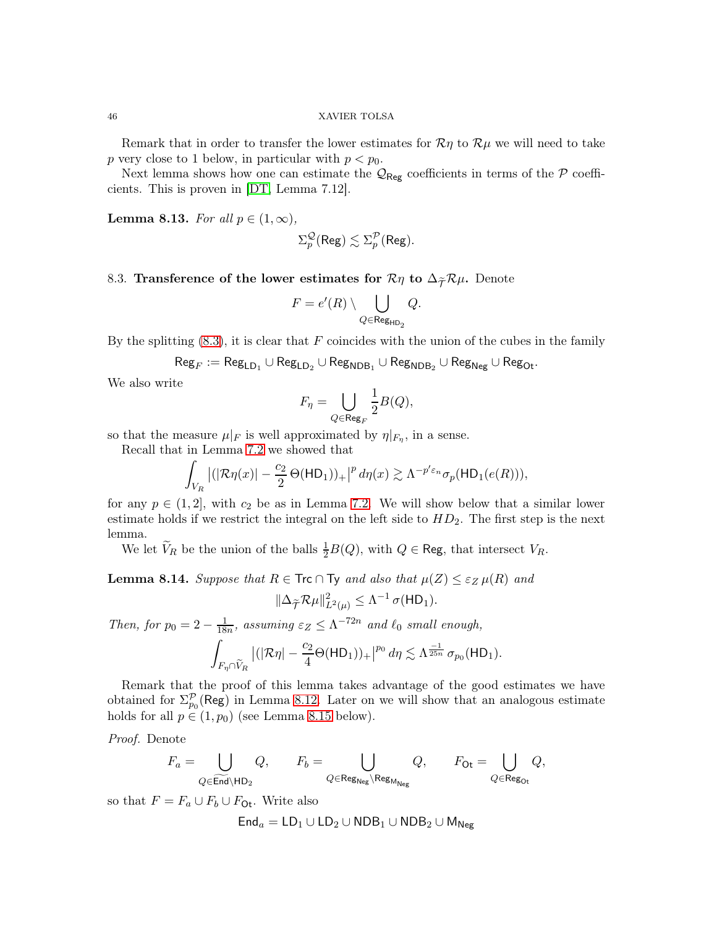Remark that in order to transfer the lower estimates for  $\mathcal{R}\eta$  to  $\mathcal{R}\mu$  we will need to take p very close to 1 below, in particular with  $p < p_0$ .

Next lemma shows how one can estimate the  $\mathcal{Q}_{\mathsf{Reg}}$  coefficients in terms of the  $\mathcal P$  coefficients. This is proven in [\[DT,](#page-58-0) Lemma 7.12].

<span id="page-45-1"></span>**Lemma 8.13.** *For all*  $p \in (1, \infty)$ *,* 

$$
\Sigma^{\mathcal{Q}}_p(\text{Reg}) \lesssim \Sigma^{\mathcal{P}}_p(\text{Reg}).
$$

# <span id="page-45-0"></span>8.3. Transference of the lower estimates for  $\mathcal{R}\eta$  to  $\Delta_{\widetilde{\mathcal{T}}}\mathcal{R}\mu$ . Denote

$$
F = e'(R) \setminus \bigcup_{Q \in \text{Reg}_{\text{HD}_2}} Q.
$$

By the splitting  $(8.3)$ , it is clear that F coincides with the union of the cubes in the family

$$
\mathsf{Reg}_F := \mathsf{Reg}_{\mathsf{LD}_1} \cup \mathsf{Reg}_{\mathsf{LD}_2} \cup \mathsf{Reg}_{\mathsf{NDB}_1} \cup \mathsf{Reg}_{\mathsf{NDB}_2} \cup \mathsf{Reg}_{\mathsf{Neg}} \cup \mathsf{Reg}_{\mathsf{Oct}}.
$$

We also write

$$
F_{\eta} = \bigcup_{Q \in \text{Reg}_F} \frac{1}{2} B(Q),
$$

so that the measure  $\mu|_F$  is well approximated by  $\eta|_{F_{\eta}}$ , in a sense.

Recall that in Lemma [7.2](#page-33-2) we showed that

$$
\int_{V_R} \left| (|\mathcal{R}\eta(x)| - \frac{c_2}{2} \Theta(\mathsf{HD}_1))_+ \right|^p d\eta(x) \gtrsim \Lambda^{-p' \varepsilon_n} \sigma_p(\mathsf{HD}_1(e(R))),
$$

for any  $p \in (1, 2]$ , with  $c_2$  be as in Lemma [7.2.](#page-33-2) We will show below that a similar lower estimate holds if we restrict the integral on the left side to  $HD_2$ . The first step is the next lemma.

We let  $V_R$  be the union of the balls  $\frac{1}{2}B(Q)$ , with  $Q \in \text{Reg}$ , that intersect  $V_R$ .

<span id="page-45-2"></span>**Lemma 8.14.** *Suppose that*  $R \in \text{Trc} \cap \text{Ty}$  *and also that*  $\mu(Z) \leq \varepsilon_Z \mu(R)$  *and* 

$$
\|\Delta_{\widetilde{\mathcal{T}}}\mathcal{R}\mu\|_{L^2(\mu)}^2 \leq \Lambda^{-1}\,\sigma(\mathsf{HD}_1).
$$

*Then, for*  $p_0 = 2 - \frac{1}{18}$  $\frac{1}{18n}$ , assuming  $\varepsilon_Z \leq \Lambda^{-72n}$  and  $\ell_0$  small enough,

$$
\int_{F_{\eta}\cap \widetilde{V}_R} \left| (|\mathcal{R}\eta| - \frac{c_2}{4}\Theta(\mathsf{HD}_1))_+ \right|^{p_0} d\eta \lesssim \Lambda^{\frac{-1}{25n}} \sigma_{p_0}(\mathsf{HD}_1).
$$

Remark that the proof of this lemma takes advantage of the good estimates we have obtained for  $\Sigma_{p_0}^{\mathcal{P}}(\text{Reg})$  in Lemma [8.12.](#page-44-2) Later on we will show that an analogous estimate holds for all  $p \in (1, p_0)$  (see Lemma [8.15](#page-51-0) below).

*Proof.* Denote

$$
F_a=\bigcup_{Q\in \widetilde{\operatorname{End}}\backslash \operatorname{HD}_2} Q, \qquad F_b=\bigcup_{Q\in \operatorname{Reg}_{\operatorname{Neg}}\backslash \operatorname{Reg}_{\operatorname{M}_{\operatorname{Neg}}}} Q, \qquad F_{\operatorname{Or}}=\bigcup_{Q\in \operatorname{Reg}_{\operatorname{Or}} } Q,
$$

so that  $F = F_a \cup F_b \cup F_{\text{Or}}$ . Write also

$$
\mathsf{End}_a=\mathsf{LD}_1\cup\mathsf{LD}_2\cup\mathsf{NDB}_1\cup\mathsf{NDB}_2\cup\mathsf{M}_{\mathsf{Neg}}
$$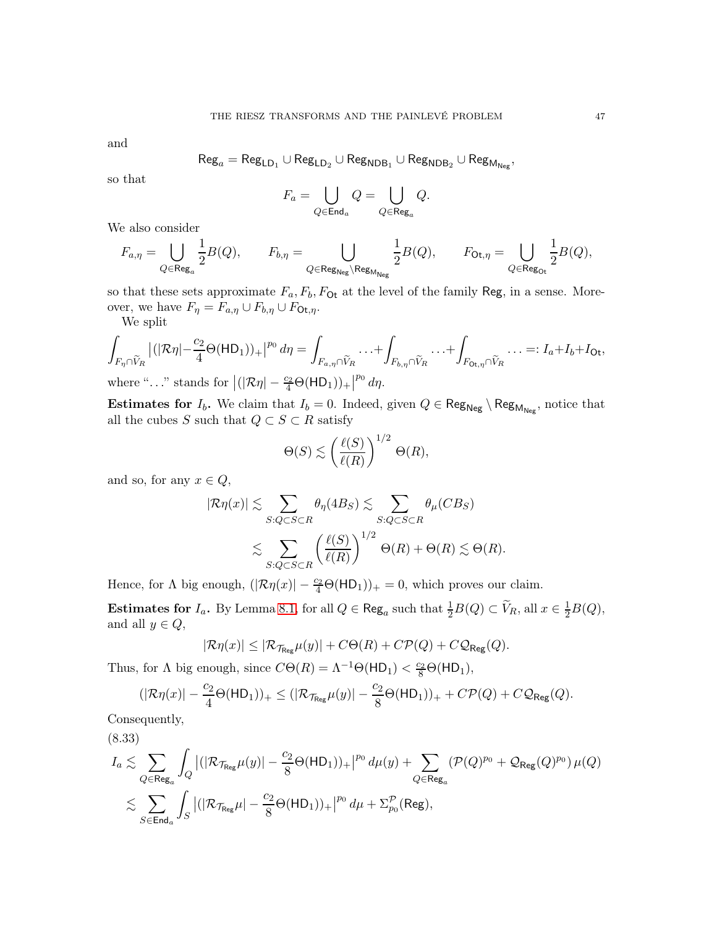and

$$
\mathsf{Reg}_a = \mathsf{Reg}_{\mathsf{LD}_1} \cup \mathsf{Reg}_{\mathsf{LD}_2} \cup \mathsf{Reg}_{\mathsf{NDB}_1} \cup \mathsf{Reg}_{\mathsf{NDB}_2} \cup \mathsf{Reg}_{\mathsf{M}_{\mathsf{Neg}}},
$$

so that

$$
F_a=\bigcup_{Q\in \mathsf{End}_a}Q=\bigcup_{Q\in \mathsf{Reg}_a}Q.
$$

We also consider

$$
F_{a,\eta} = \bigcup_{Q \in \text{Reg}_a} \frac{1}{2} B(Q), \qquad F_{b,\eta} = \bigcup_{Q \in \text{Reg}_{\text{Neg}} \backslash \text{Reg}_{\text{M}_{\text{Neg}}}} \frac{1}{2} B(Q), \qquad F_{\text{Ot},\eta} = \bigcup_{Q \in \text{Reg}_{\text{Ot}}} \frac{1}{2} B(Q),
$$

so that these sets approximate  $F_a$ ,  $F_b$ ,  $F_{\text{Ot}}$  at the level of the family Reg, in a sense. Moreover, we have  $F_{\eta} = F_{a,\eta} \cup F_{b,\eta} \cup F_{\text{Ot},\eta}$ .

We split

$$
\int_{F_{\eta} \cap \widetilde{V}_R} |(|\mathcal{R}\eta| - \frac{c_2}{4} \Theta(\mathsf{HD}_1))_+|^{p_0} d\eta = \int_{F_{a,\eta} \cap \widetilde{V}_R} \dots + \int_{F_{b,\eta} \cap \widetilde{V}_R} \dots + \int_{F_{0t,\eta} \cap \widetilde{V}_R} \dots =: I_a + I_b + I_{0t},
$$
\nwhere  $\mu$ ,  $\nu$  stands for  $|(|\mathcal{R}\eta| - \frac{c_2}{4} \Theta(\mathsf{HD}_1))|$ ,  $|^{p_0} d\gamma$ .

where "..." stands for  $\left| (|\mathcal{R}\eta| - \frac{c_2}{4}\Theta(\text{HD}_1))_+ \right|^{p_0} dp$ .

Estimates for  $I_b$ . We claim that  $I_b = 0$ . Indeed, given  $Q \in \text{Reg}_{\text{Neg}} \setminus \text{Reg}_{\text{M}_{\text{Neg}}}$ , notice that all the cubes S such that  $Q \subset S \subset R$  satisfy

$$
\Theta(S) \lesssim \left(\frac{\ell(S)}{\ell(R)}\right)^{1/2} \Theta(R),
$$

and so, for any  $x \in Q$ ,

$$
|\mathcal{R}\eta(x)| \lesssim \sum_{S:Q\subset S\subset R} \theta_{\eta}(4B_S) \lesssim \sum_{S:Q\subset S\subset R} \theta_{\mu}(CB_S)
$$
  

$$
\lesssim \sum_{S:Q\subset S\subset R} \left(\frac{\ell(S)}{\ell(R)}\right)^{1/2} \Theta(R) + \Theta(R) \lesssim \Theta(R).
$$

Hence, for  $\Lambda$  big enough,  $(|\mathcal{R}\eta(x)| - \frac{c_2}{4}\Theta(HD_1))_+ = 0$ , which proves our claim.

Estimates for  $I_a$ . By Lemma [8.1,](#page-34-0) for all  $Q \in \text{Reg}_a$  such that  $\frac{1}{2}B(Q) \subset \tilde{V}_R$ , all  $x \in \frac{1}{2}B(Q)$ , and all  $y \in Q$ ,

$$
|\mathcal{R}\eta(x)| \leq |\mathcal{R}_{\mathcal{T}_{\text{Reg}}} \mu(y)| + C\Theta(R) + C\mathcal{P}(Q) + C\mathcal{Q}_{\text{Reg}}(Q).
$$

Thus, for  $\Lambda$  big enough, since  $C\Theta(R) = \Lambda^{-1}\Theta(HD_1) < \frac{c_2}{8}\Theta(HD_1)$ ,

$$
(|\mathcal{R}\eta(x)|-\frac{c_2}{4}\Theta(\mathsf{HD}_1))_+\leq (|\mathcal{R}_{\mathcal{T}_{\mathsf{Reg}}} \mu(y)|-\frac{c_2}{8}\Theta(\mathsf{HD}_1))_++C\mathcal{P}(Q)+C\mathcal{Q}_{\mathsf{Reg}}(Q).
$$

Consequently,

<span id="page-46-0"></span>
$$
\begin{aligned} & (8.33)\\ I_a \lesssim & \sum_{Q \in \mathsf{Reg}_a} \int_Q \left| (|\mathcal{R}_{\mathcal{T}_{\mathsf{Reg}}} \mu(y)| - \frac{c_2}{8} \Theta(\mathsf{HD}_1))_+ \right|^{p_0} d\mu(y) + \sum_{Q \in \mathsf{Reg}_a} \left(\mathcal{P}(Q)^{p_0} + \mathcal{Q}_{\mathsf{Reg}}(Q)^{p_0}\right) \mu(Q)\\ & \lesssim \sum_{S \in \mathsf{End}_a} \int_S \left| (|\mathcal{R}_{\mathcal{T}_{\mathsf{Reg}}} \mu| - \frac{c_2}{8} \Theta(\mathsf{HD}_1))_+ \right|^{p_0} d\mu + \Sigma_{p_0}^{\mathcal{P}}(\mathsf{Reg}), \end{aligned}
$$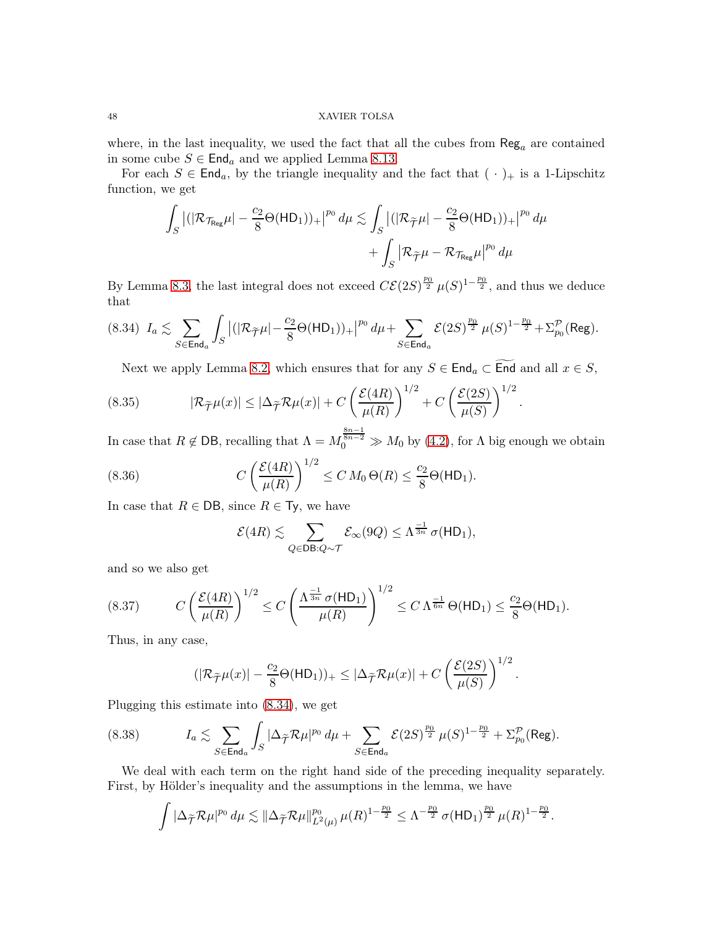where, in the last inequality, we used the fact that all the cubes from  $\text{Reg}_a$  are contained in some cube  $S \in \text{End}_a$  and we applied Lemma [8.13.](#page-45-1)

For each  $S \in \mathsf{End}_a$ , by the triangle inequality and the fact that  $(\cdot)_{+}$  is a 1-Lipschitz function, we get

$$
\int_{S} |(|\mathcal{R}_{\mathcal{T}_{\text{Reg}}} \mu| - \frac{c_2}{8} \Theta(\text{HD}_1))_+|^{p_0} d\mu \lesssim \int_{S} |(|\mathcal{R}_{\widetilde{\mathcal{T}}} \mu| - \frac{c_2}{8} \Theta(\text{HD}_1))_+|^{p_0} d\mu + \int_{S} |\mathcal{R}_{\widetilde{\mathcal{T}}} \mu - \mathcal{R}_{\mathcal{T}_{\text{Reg}}} \mu|^{p_0} d\mu
$$

By Lemma [8.3,](#page-35-1) the last integral does not exceed  $C\mathcal{E}(2S)^{\frac{p_0}{2}}\mu(S)^{1-\frac{p_0}{2}}$ , and thus we deduce that

<span id="page-47-0"></span>
$$
(8.34) \ I_a \lesssim \sum_{S \in \mathsf{End}_a} \int_S \left| (|\mathcal{R}_{\widetilde{\mathcal{T}}}\mu| - \frac{c_2}{8}\Theta(\mathsf{HD}_1))_+ \right|^{p_0} d\mu + \sum_{S \in \mathsf{End}_a} \mathcal{E}(2S)^{\frac{p_0}{2}} \, \mu(S)^{1-\frac{p_0}{2}} + \Sigma_{p_0}^{\mathcal{P}}(\mathsf{Reg}).
$$

Next we apply Lemma [8.2,](#page-34-1) which ensures that for any  $S \in \mathsf{End}_a \subset \widetilde{\mathsf{End}}$  and all  $x \in S$ ,

.

(8.35) 
$$
|\mathcal{R}_{\widetilde{\mathcal{T}}}\mu(x)| \leq |\Delta_{\widetilde{\mathcal{T}}}\mathcal{R}\mu(x)| + C \left(\frac{\mathcal{E}(4R)}{\mu(R)}\right)^{1/2} + C \left(\frac{\mathcal{E}(2S)}{\mu(S)}\right)^{1/2}
$$

In case that  $R \notin \text{DB}$ , recalling that  $\Lambda = M_0^{\frac{8n-1}{8n-2}} \gg M_0$  by [\(4.2\)](#page-15-2), for  $\Lambda$  big enough we obtain  $1/2$ 

(8.36) 
$$
C\left(\frac{\mathcal{E}(4R)}{\mu(R)}\right)^{1/2} \leq C M_0 \Theta(R) \leq \frac{c_2}{8} \Theta(HD_1).
$$

In case that  $R \in \text{DB}$ , since  $R \in \text{Ty}$ , we have

<span id="page-47-2"></span>
$$
\mathcal{E}(4R) \lesssim \sum_{Q \in \mathsf{DB}: Q \sim \mathcal{T}} \mathcal{E}_{\infty}(9Q) \leq \Lambda^{\frac{-1}{3n}} \sigma(\mathsf{HD}_1),
$$

and so we also get

(8.37) 
$$
C\left(\frac{\mathcal{E}(4R)}{\mu(R)}\right)^{1/2} \le C\left(\frac{\Lambda^{\frac{-1}{3n}}\sigma(HD_1)}{\mu(R)}\right)^{1/2} \le C\Lambda^{\frac{-1}{6n}}\Theta(HD_1) \le \frac{c_2}{8}\Theta(HD_1).
$$

Thus, in any case,

<span id="page-47-3"></span><span id="page-47-1"></span>
$$
(|\mathcal{R}_{\widetilde{\mathcal{T}}}\mu(x)|-\frac{c_2}{8}\Theta(\mathsf{HD}_1))_{+}\leq |\Delta_{\widetilde{\mathcal{T}}}\mathcal{R}\mu(x)|+C\left(\frac{\mathcal{E}(2S)}{\mu(S)}\right)^{1/2}.
$$

Plugging this estimate into [\(8.34\)](#page-47-0), we get

$$
(8.38) \tI_a \lesssim \sum_{S \in \mathsf{End}_a} \int_S |\Delta_{\widetilde{\mathcal{T}}} \mathcal{R} \mu|^{p_0} \, d\mu + \sum_{S \in \mathsf{End}_a} \mathcal{E}(2S)^{\frac{p_0}{2}} \, \mu(S)^{1-\frac{p_0}{2}} + \Sigma_{p_0}^{\mathcal{P}}(\mathsf{Reg}).
$$

We deal with each term on the right hand side of the preceding inequality separately. First, by Hölder's inequality and the assumptions in the lemma, we have

$$
\int |\Delta_{\widetilde{\mathcal{T}}}\mathcal{R}\mu|^{p_0} d\mu \lesssim ||\Delta_{\widetilde{\mathcal{T}}}\mathcal{R}\mu||_{L^2(\mu)}^{p_0} \mu(R)^{1-\frac{p_0}{2}} \leq \Lambda^{-\frac{p_0}{2}} \sigma(\mathsf{HD}_1)^{\frac{p_0}{2}} \mu(R)^{1-\frac{p_0}{2}}.
$$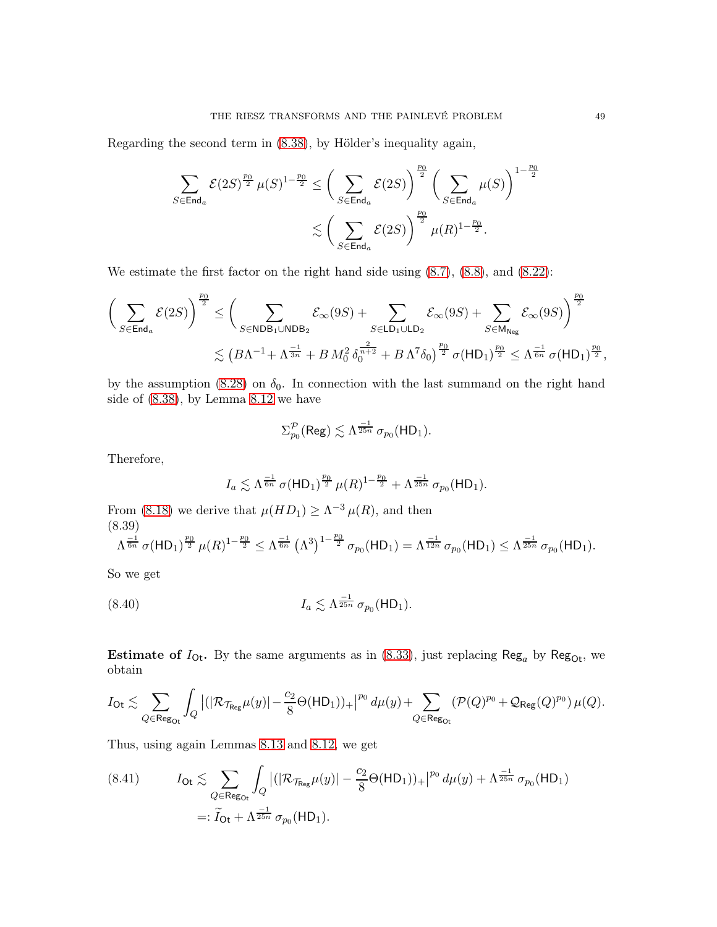Regarding the second term in [\(8.38\)](#page-47-1), by Hölder's inequality again,

$$
\begin{aligned} \sum\limits_{S \in \mathsf{End}_{a}} \mathcal{E}(2S)^{\frac{p_0}{2}}\,\mu(S)^{1-\frac{p_0}{2}} &\leq \bigg(\sum\limits_{S \in \mathsf{End}_{a}} \mathcal{E}(2S)\bigg)^{\frac{p_0}{2}}\,\bigg(\sum\limits_{S \in \mathsf{End}_{a}} \mu(S)\bigg)^{1-\frac{p_0}{2}} \\&\lesssim \bigg(\sum\limits_{S \in \mathsf{End}_{a}} \mathcal{E}(2S)\bigg)^{\frac{p_0}{2}}\,\mu(R)^{1-\frac{p_0}{2}}. \end{aligned}
$$

We estimate the first factor on the right hand side using  $(8.7)$ ,  $(8.8)$ , and  $(8.22)$ :

$$
\begin{aligned} \bigg(\sum_{S\in \operatorname{End}_a}\mathcal{E}(2S)\bigg)^{\frac{p_0}{2}} &\leq \bigg(\sum_{S\in \mathsf{NDB}_1\cup \mathsf{NDB}_2}\mathcal{E}_\infty(9S) + \sum_{S\in \mathsf{LD}_1\cup \mathsf{LD}_2}\mathcal{E}_\infty(9S) + \sum_{S\in \mathsf{M}_{\mathsf{Neg}}}\mathcal{E}_\infty(9S)\bigg)^{\frac{p_0}{2}} \\ &\lesssim \big(B\Lambda^{-1} + \Lambda^{\frac{-1}{3n}} + B\,M_0^2\,\delta_0^{\frac{2}{n+2}} + B\,\Lambda^7\delta_0\big)^{\frac{p_0}{2}}\,\sigma(\mathsf{HD}_1)^{\frac{p_0}{2}} \leq \Lambda^{\frac{-1}{6n}}\,\sigma(\mathsf{HD}_1)^{\frac{p_0}{2}}, \end{aligned}
$$

by the assumption [\(8.28\)](#page-44-3) on  $\delta_0$ . In connection with the last summand on the right hand side of [\(8.38\)](#page-47-1), by Lemma [8.12](#page-44-2) we have

$$
\Sigma_{p_0}^{\mathcal{P}}(\text{Reg}) \lesssim \Lambda^{\frac{-1}{25n}} \,\sigma_{p_0}(\text{HD}_1).
$$

Therefore,

$$
I_a \lesssim \Lambda^{\frac{-1}{6n}} \sigma(HD_1)^{\frac{p_0}{2}} \mu(R)^{1-\frac{p_0}{2}} + \Lambda^{\frac{-1}{25n}} \sigma_{p_0}(HD_1).
$$

From [\(8.18\)](#page-39-1) we derive that  $\mu(HD_1) \geq \Lambda^{-3} \mu(R)$ , and then (8.39)

$$
\Lambda^{\frac{-1}{6n}} \sigma(\mathsf{HD}_1)^{\frac{p_0}{2}} \mu(R)^{1-\frac{p_0}{2}} \leq \Lambda^{\frac{-1}{6n}} \left(\Lambda^3\right)^{1-\frac{p_0}{2}} \sigma_{p_0}(\mathsf{HD}_1) = \Lambda^{\frac{-1}{12n}} \sigma_{p_0}(\mathsf{HD}_1) \leq \Lambda^{\frac{-1}{25n}} \sigma_{p_0}(\mathsf{HD}_1).
$$

So we get

(8.40) 
$$
I_a \lesssim \Lambda^{\frac{-1}{25n}} \sigma_{p_0}(\mathsf{HD}_1).
$$

**Estimate of**  $I_{\text{Ot}}$ **.** By the same arguments as in [\(8.33\)](#page-46-0), just replacing Reg<sub>a</sub> by Reg<sub>Ot</sub>, we obtain

$$
I_{\textnormal{Ot}} \lesssim \sum_{Q \in \textnormal{Reg}_{\textnormal{Ot}}} \int_{Q} \left| (|\mathcal{R}_{\mathcal{T}_{\textnormal{Reg}}} \mu(y)| - \frac{c_2}{8} \Theta(\textnormal{HD}_1))_+ \right|^{p_0} d\mu(y) + \sum_{Q \in \textnormal{Reg}_{\textnormal{Ot}}} \left(\mathcal{P}(Q)^{p_0} + \mathcal{Q}_{\textnormal{Reg}}(Q)^{p_0}\right) \mu(Q).
$$

Thus, using again Lemmas [8.13](#page-45-1) and [8.12,](#page-44-2) we get

<span id="page-48-0"></span>(8.41) 
$$
I_{\text{Ot}} \lesssim \sum_{Q \in \text{Reg}_{\text{Ot}}} \int_{Q} |(|\mathcal{R}_{\mathcal{T}_{\text{Reg}}} \mu(y)| - \frac{c_2}{8} \Theta(\text{HD}_1))_+|^{p_0} d\mu(y) + \Lambda^{\frac{-1}{25n}} \sigma_{p_0}(\text{HD}_1)
$$

$$
=:\widetilde{I}_{\text{Ot}} + \Lambda^{\frac{-1}{25n}} \sigma_{p_0}(\text{HD}_1).
$$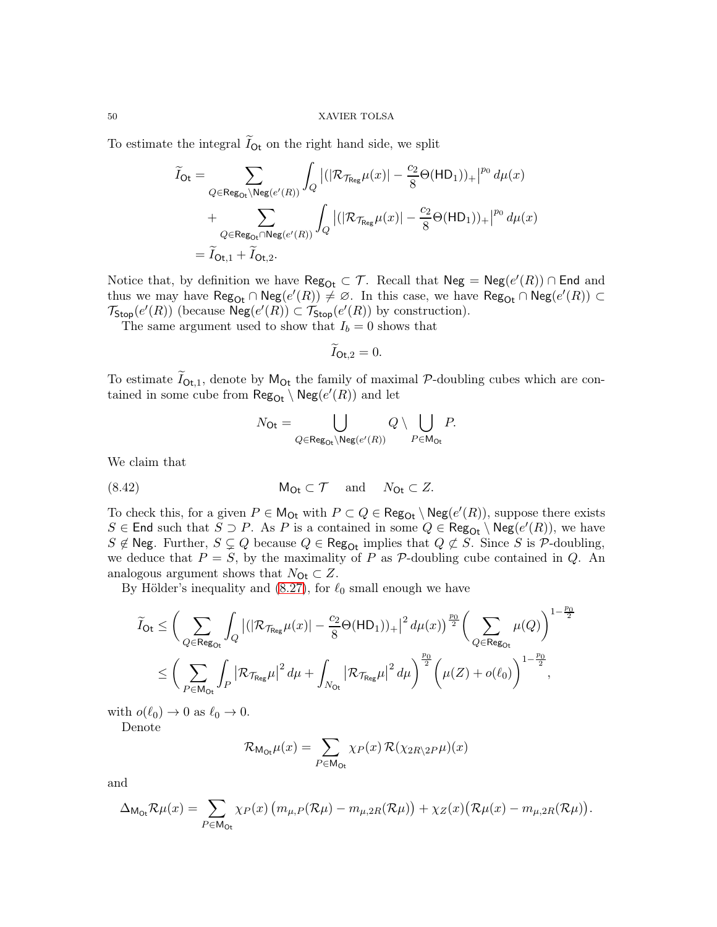To estimate the integral  $I_{\text{Ot}}$  on the right hand side, we split

$$
\widetilde{I}_{\text{Ot}} = \sum_{Q \in \text{Reg}_{\text{Ot}} \setminus \text{Neg}(e'(R))} \int_{Q} |(|\mathcal{R}_{\mathcal{T}_{\text{Reg}}}\mu(x)| - \frac{c_2}{8}\Theta(\text{HD}_1))_+|^{p_0} d\mu(x) \n+ \sum_{Q \in \text{Reg}_{\text{Ot}} \cap \text{Neg}(e'(R))} \int_{Q} |(|\mathcal{R}_{\mathcal{T}_{\text{Reg}}}\mu(x)| - \frac{c_2}{8}\Theta(\text{HD}_1))_+|^{p_0} d\mu(x) \n= \widetilde{I}_{\text{Ot},1} + \widetilde{I}_{\text{Ot},2}.
$$

Notice that, by definition we have  $\text{Reg}_{\text{Oct}} \subset \mathcal{T}$ . Recall that  $\text{Neg} = \text{Neg}(e'(R)) \cap \text{End}$  and thus we may have  $\text{Reg}_{\text{Oct}} \cap \text{Neg}(e'(R)) \neq \emptyset$ . In this case, we have  $\text{Reg}_{\text{Oct}} \cap \text{Neg}(e'(R)) \subset$  $\mathcal{T}_{\text{Stop}}(e'(R))$  (because  $\text{Neg}(e'(R)) \subset \mathcal{T}_{\text{Stop}}(e'(R))$  by construction).

The same argument used to show that  $I_b = 0$  shows that

$$
\widetilde{I}_{\mathsf{O} \mathsf{t},2} = 0.
$$

To estimate  $I_{\text{Ot},1}$ , denote by  $M_{\text{Ot}}$  the family of maximal P-doubling cubes which are contained in some cube from  $\mathsf{Reg}_{\mathsf{Oct}} \setminus \mathsf{Neg}(e'(R))$  and let

<span id="page-49-0"></span>
$$
N_{\mathsf{Dt}} = \bigcup_{Q \in \mathsf{Reg}_{\mathsf{Dt}}\backslash \mathsf{Neg}(e'(R))} Q \setminus \bigcup_{P \in \mathsf{M}_{\mathsf{Dt}}} P.
$$

We claim that

(8.42) MOt ⊂ T and NOt ⊂ Z.

To check this, for a given  $P \in M_{\text{Or}}$  with  $P \subset Q \in \text{Reg}_{\text{Or}} \setminus \text{Neg}(e'(R))$ , suppose there exists S ∈ End such that  $S \supset P$ . As P is a contained in some  $Q \in \mathsf{Reg}_{\mathsf{Oct}} \setminus \mathsf{Neg}(e'(R))$ , we have S  $\notin$  Neg. Further,  $S \subsetneq Q$  because  $Q \in \text{Reg}_{\text{Or}}$  implies that  $Q \not\subset S$ . Since S is P-doubling, we deduce that  $P = S$ , by the maximality of P as P-doubling cube contained in Q. An analogous argument shows that  $N_{\text{Ot}} \subset Z$ .

By Hölder's inequality and  $(8.27)$ , for  $\ell_0$  small enough we have

$$
\widetilde{I}_{\text{Ot}} \leq \bigg(\sum_{Q \in \text{Reg}_{\text{Ot}}} \int_{Q} \big| (|\mathcal{R}_{\mathcal{T}_{\text{Reg}}} \mu(x)| - \frac{c_2}{8} \Theta(\text{HD}_1))_+ \big|^2 d\mu(x) \big)^{\frac{p_0}{2}} \bigg(\sum_{Q \in \text{Reg}_{\text{Ot}}} \mu(Q)\bigg)^{1-\frac{p_0}{2}} \\
\leq \bigg(\sum_{P \in \text{Mo}_{\text{t}}} \int_{P} \big|\mathcal{R}_{\mathcal{T}_{\text{Reg}}} \mu \big|^2 d\mu + \int_{N_{\text{Ot}}} \big|\mathcal{R}_{\mathcal{T}_{\text{Reg}}} \mu \big|^2 d\mu \bigg)^{\frac{p_0}{2}} \bigg(\mu(Z) + o(\ell_0)\bigg)^{1-\frac{p_0}{2}},
$$

with  $o(\ell_0) \to 0$  as  $\ell_0 \to 0$ .

Denote

$$
\mathcal{R}_{\mathsf{M}_\mathsf{Or}}\mu(x) = \sum_{P \in \mathsf{M}_\mathsf{Or}} \chi_P(x) \, \mathcal{R}(\chi_{2R\setminus 2P} \mu)(x)
$$

and

$$
\Delta_{\mathsf{M}_{\mathsf{O}\mathsf{t}}}\mathcal{R}\mu(x) = \sum_{P \in \mathsf{M}_{\mathsf{O}\mathsf{t}}} \chi_P(x) \left( m_{\mu,P}(\mathcal{R}\mu) - m_{\mu,2R}(\mathcal{R}\mu) \right) + \chi_Z(x) \left( \mathcal{R}\mu(x) - m_{\mu,2R}(\mathcal{R}\mu) \right).
$$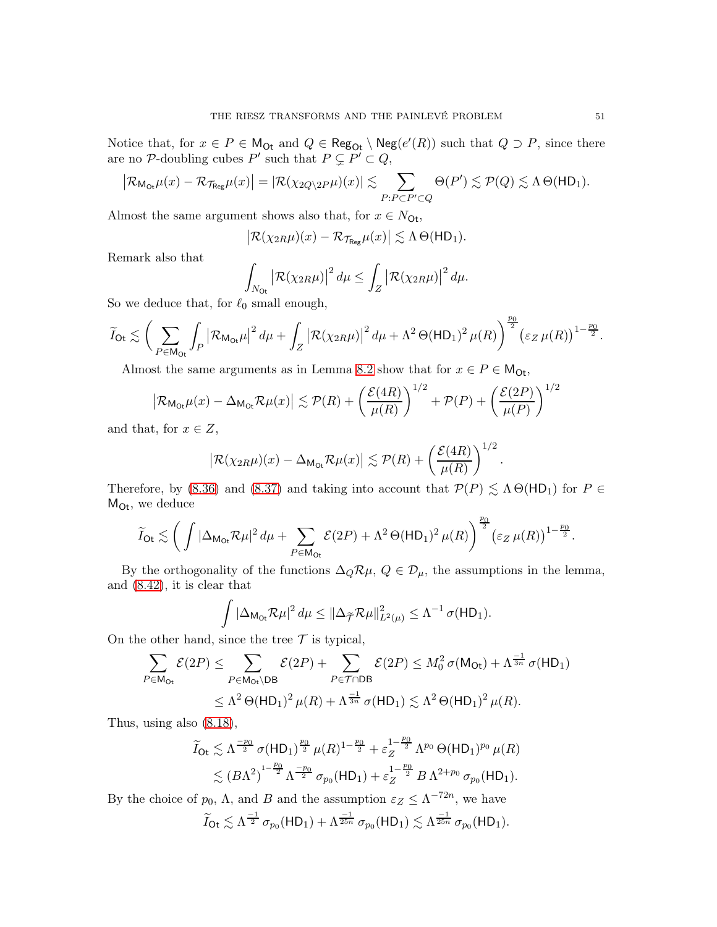Notice that, for  $x \in P \in M_{\text{Or}}$  and  $Q \in \text{Reg}_{\text{Or}} \setminus \text{Neg}(e'(R))$  such that  $Q \supset P$ , since there are no P-doubling cubes P' such that  $P \subsetneq P' \subset Q$ ,

$$
\big|\mathcal{R}_{\mathsf{M}_{\mathsf{O} \mathsf{t}}} \mu(x) - \mathcal{R}_{\mathcal{T}_{\mathsf{Reg}}} \mu(x)\big| = |\mathcal{R}(\chi_{2Q\setminus 2P} \mu)(x)| \lesssim \sum_{P : P \subset P' \subset Q} \Theta(P') \lesssim \mathcal{P}(Q) \lesssim \Lambda \, \Theta(\mathsf{HD}_1).
$$

Almost the same argument shows also that, for  $x \in N_{\text{Or}}$ ,

$$
\big|\mathcal{R}(\chi_{2R}\mu)(x)-\mathcal{R}_{\mathcal{T}_{\text{Reg}}}\mu(x)\big|\lesssim \Lambda\,\Theta(\mathsf{HD}_1).
$$

Remark also that

$$
\int_{N_{\text{Or}}} \left| \mathcal{R}(\chi_{2R}\mu) \right|^2 d\mu \leq \int_{Z} \left| \mathcal{R}(\chi_{2R}\mu) \right|^2 d\mu.
$$

So we deduce that, for  $\ell_0$  small enough,

$$
\widetilde{I}_{\mathrm{Ot}} \lesssim \bigg(\sum_{P \in \mathrm{M}_{\mathrm{Or}}} \int_{P} \big| \mathcal{R}_{\mathrm{M}_{\mathrm{Or}}} \mu \big|^2 \, d\mu + \int_{Z} \big| \mathcal{R}(\chi_{2R} \mu ) \big|^2 \, d\mu + \Lambda^2 \, \Theta(\mathrm{HD}_1)^2 \, \mu(R) \bigg)^{\frac{p_0}{2}} \big( \varepsilon_Z \, \mu(R) \big)^{1-\frac{p_0}{2}}.
$$

Almost the same arguments as in Lemma [8.2](#page-34-1) show that for  $x \in P \in M_{\text{Or}}$ ,

$$
\left| \mathcal{R}_{\mathsf{M}_{\mathsf{O} \mathsf{t}}} \mu(x) - \Delta_{\mathsf{M}_{\mathsf{O} \mathsf{t}}} \mathcal{R} \mu(x) \right| \lesssim \mathcal{P}(R) + \left( \frac{\mathcal{E}(4R)}{\mu(R)} \right)^{1/2} + \mathcal{P}(P) + \left( \frac{\mathcal{E}(2P)}{\mu(P)} \right)^{1/2}
$$

and that, for  $x \in Z$ ,

$$
\left|{\cal R}(\chi_{2R}\mu)(x) - \Delta_{\mathsf{M}_{\mathsf{Ot}}}{\cal R}\mu(x)\right| \lesssim {\cal P}(R) + \left(\frac{{\cal E}(4R)}{\mu(R)}\right)^{1/2}
$$

.

Therefore, by [\(8.36\)](#page-47-2) and [\(8.37\)](#page-47-3) and taking into account that  $\mathcal{P}(P) \leq \Lambda \Theta(HD_1)$  for  $P \in$  $M_{\text{Ot}}$ , we deduce

$$
\widetilde{I}_{\text{Ot}} \lesssim \left(\, \int |\Delta_{\text{M}_{\text{Ot}}} \mathcal{R} \mu|^2 \, d\mu + \sum_{P \in \text{M}_{\text{Ot}}} \mathcal{E}(2P) + \Lambda^2 \, \Theta(\text{HD}_1)^2 \, \mu(R)\right)^{\frac{p_0}{2}} \left(\varepsilon_Z \, \mu(R)\right)^{1-\frac{p_0}{2}}.
$$

By the orthogonality of the functions  $\Delta_Q \mathcal{R} \mu$ ,  $Q \in \mathcal{D}_{\mu}$ , the assumptions in the lemma, and [\(8.42\)](#page-49-0), it is clear that

$$
\int |\Delta_{\mathsf{M}_{\mathsf{Ot}}}\mathcal{R}\mu|^2\,d\mu \leq ||\Delta_{\widetilde{\mathcal{T}}}\mathcal{R}\mu||^2_{L^2(\mu)} \leq \Lambda^{-1}\,\sigma(\mathsf{H}\mathsf{D}_1).
$$

On the other hand, since the tree  $\mathcal T$  is typical,

$$
\sum_{P \in \mathsf{M}_{\mathsf{Or}}} \mathcal{E}(2P) \leq \sum_{P \in \mathsf{M}_{\mathsf{Or}} \backslash \mathsf{DB}} \mathcal{E}(2P) + \sum_{P \in \mathcal{T} \cap \mathsf{DB}} \mathcal{E}(2P) \leq M_0^2 \sigma(\mathsf{M}_{\mathsf{Or}}) + \Lambda^{\frac{-1}{3n}} \sigma(\mathsf{HD}_1)
$$
  

$$
\leq \Lambda^2 \Theta(\mathsf{HD}_1)^2 \mu(R) + \Lambda^{\frac{-1}{3n}} \sigma(\mathsf{HD}_1) \lesssim \Lambda^2 \Theta(\mathsf{HD}_1)^2 \mu(R).
$$

Thus, using also [\(8.18\)](#page-39-1),

$$
\widetilde{I}_{\text{Qt}} \lesssim \Lambda^{\frac{-p_0}{2}} \sigma(\text{HD}_1)^{\frac{p_0}{2}} \mu(R)^{1-\frac{p_0}{2}} + \varepsilon_Z^{1-\frac{p_0}{2}} \Lambda^{p_0} \Theta(\text{HD}_1)^{p_0} \mu(R)
$$
  

$$
\lesssim (B\Lambda^2)^{1-\frac{p_0}{2}} \Lambda^{\frac{-p_0}{2}} \sigma_{p_0}(\text{HD}_1) + \varepsilon_Z^{1-\frac{p_0}{2}} B \Lambda^{2+p_0} \sigma_{p_0}(\text{HD}_1).
$$

By the choice of  $p_0$ ,  $\Lambda$ , and B and the assumption  $\varepsilon_Z \leq \Lambda^{-72n}$ , we have  $\widetilde{I}_{\mathsf{O} \mathsf{t}} \lesssim \Lambda^{\frac{-1}{2}} \, \sigma_{p_0}(\mathsf{H} \mathsf{D}_1) + \Lambda^{\frac{-1}{25n}} \, \sigma_{p_0}(\mathsf{H} \mathsf{D}_1) \lesssim \Lambda^{\frac{-1}{25n}} \, \sigma_{p_0}(\mathsf{H} \mathsf{D}_1).$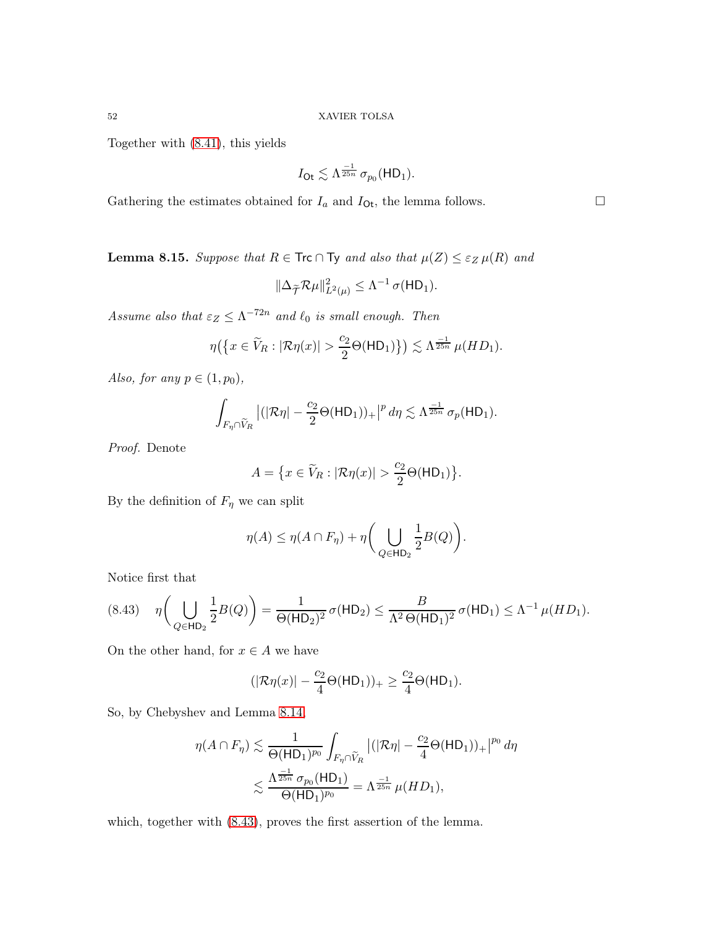Together with [\(8.41\)](#page-48-0), this yields

$$
I_{\text{Ot}} \lesssim \Lambda^{\frac{-1}{25n}} \sigma_{p_0}(\text{HD}_1).
$$

Gathering the estimates obtained for  $I_a$  and  $I_{\text{Ot}}$ , the lemma follows.

<span id="page-51-0"></span>**Lemma 8.15.** *Suppose that*  $R \in \text{Trc} \cap \text{Ty}$  *and also that*  $\mu(Z) \leq \varepsilon_Z \mu(R)$  *and* 

$$
\|\Delta_{\widetilde{\mathcal{T}}}\mathcal{R}\mu\|_{L^2(\mu)}^2 \leq \Lambda^{-1}\,\sigma(\mathsf{HD}_1).
$$

Assume also that  $\varepsilon_Z \leq \Lambda^{-72n}$  and  $\ell_0$  *is small enough. Then* 

$$
\eta\big(\big\{x\in \widetilde{V}_R: |\mathcal{R}\eta(x)|>\frac{c_2}{2}\Theta(\mathsf{HD}_1)\big\}\big)\lesssim \Lambda^{\frac{-1}{25n}}\,\mu(HD_1).
$$

*Also, for any*  $p \in (1, p_0)$ *,* 

$$
\int_{F_{\eta}\cap \widetilde{V}_R} \left| (|\mathcal{R}\eta| - \frac{c_2}{2}\Theta(\mathsf{HD}_1))_+ \right|^p d\eta \lesssim \Lambda^{\frac{-1}{25n}} \sigma_p(\mathsf{HD}_1).
$$

*Proof.* Denote

$$
A = \big\{ x \in \widetilde{V}_R : |\mathcal{R}\eta(x)| > \frac{c_2}{2}\Theta(\mathsf{HD}_1) \big\}.
$$

By the definition of  $F_{\eta}$  we can split

$$
\eta(A) \leq \eta(A \cap F_{\eta}) + \eta \bigg(\bigcup_{Q \in \mathsf{HD}_2} \frac{1}{2} B(Q)\bigg).
$$

Notice first that

<span id="page-51-1"></span>
$$
(8.43) \quad \eta \bigg(\bigcup_{Q \in \mathsf{HD}_2} \frac{1}{2} B(Q)\bigg) = \frac{1}{\Theta(\mathsf{HD}_2)^2} \,\sigma(\mathsf{HD}_2) \le \frac{B}{\Lambda^2 \,\Theta(\mathsf{HD}_1)^2} \,\sigma(\mathsf{HD}_1) \le \Lambda^{-1} \,\mu(HD_1).
$$

On the other hand, for  $x \in A$  we have

$$
(|\mathcal{R}\eta(x)|-\frac{c_2}{4}\Theta(\mathsf{HD}_1))_+\geq \frac{c_2}{4}\Theta(\mathsf{HD}_1).
$$

So, by Chebyshev and Lemma [8.14,](#page-45-2)

$$
\eta(A \cap F_{\eta}) \lesssim \frac{1}{\Theta(\mathsf{HD}_1)^{p_0}} \int_{F_{\eta} \cap \widetilde{V}_R} |(|\mathcal{R}\eta| - \frac{c_2}{4} \Theta(\mathsf{HD}_1))_+|^{p_0} d\eta
$$
  

$$
\lesssim \frac{\Lambda^{\frac{-1}{25n}} \sigma_{p_0}(\mathsf{HD}_1)}{\Theta(\mathsf{HD}_1)^{p_0}} = \Lambda^{\frac{-1}{25n}} \mu(HD_1),
$$

which, together with [\(8.43\)](#page-51-1), proves the first assertion of the lemma.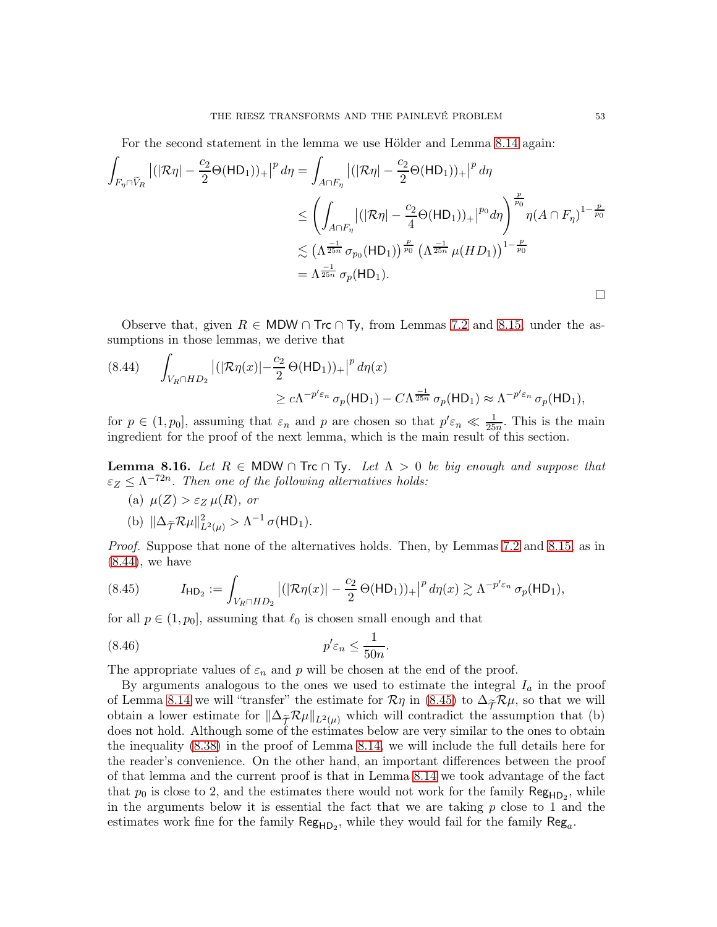For the second statement in the lemma we use Hölder and Lemma [8.14](#page-45-2) again:

$$
\int_{F_{\eta}\cap\widetilde{V}_{R}} \left| (|\mathcal{R}\eta| - \frac{c_2}{2}\Theta(\mathsf{HD}_1))_+ \right|^p d\eta = \int_{A\cap F_{\eta}} \left| (|\mathcal{R}\eta| - \frac{c_2}{2}\Theta(\mathsf{HD}_1))_+ \right|^p d\eta
$$
\n
$$
\leq \left( \int_{A\cap F_{\eta}} \left| (|\mathcal{R}\eta| - \frac{c_2}{4}\Theta(\mathsf{HD}_1))_+ \right|^{p_0} d\eta \right)^{\frac{p}{p_0}} \eta (A \cap F_{\eta})^{1-\frac{p}{p_0}}
$$
\n
$$
\lesssim \left( \Lambda^{\frac{-1}{25n}} \sigma_{p_0}(\mathsf{HD}_1) \right)^{\frac{p}{p_0}} \left( \Lambda^{\frac{-1}{25n}} \mu (HD_1) \right)^{1-\frac{p}{p_0}}
$$
\n
$$
= \Lambda^{\frac{-1}{25n}} \sigma_p(\mathsf{HD}_1).
$$

Observe that, given  $R \in MDW \cap \text{Tr} \cap \text{Ty}$ , from Lemmas [7.2](#page-33-2) and [8.15,](#page-51-0) under the assumptions in those lemmas, we derive that

<span id="page-52-0"></span>
$$
(8.44) \qquad \int_{V_R \cap HD_2} \left| (|\mathcal{R}\eta(x)| - \frac{c_2}{2} \Theta(\mathsf{HD}_1))_+ \right|^p d\eta(x)
$$
  

$$
\ge c\Lambda^{-p'\varepsilon_n} \sigma_p(\mathsf{HD}_1) - C\Lambda^{\frac{-1}{25n}} \sigma_p(\mathsf{HD}_1) \approx \Lambda^{-p'\varepsilon_n} \sigma_p(\mathsf{HD}_1),
$$

for  $p \in (1, p_0]$ , assuming that  $\varepsilon_n$  and p are chosen so that  $p' \varepsilon_n \ll \frac{1}{25n}$ . This is the main ingredient for the proof of the next lemma, which is the main result of this section.

<span id="page-52-3"></span>Lemma 8.16. *Let*  $R ∈ \text{MDW ∩ Tre ∩ Ty$ *. Let*  $Λ > 0$  *be big enough and suppose that*  $\varepsilon_Z \leq \Lambda^{-72n}$ . Then one of the following alternatives holds:

(a)  $\mu(Z) > \varepsilon_Z \mu(R)$ *, or* (b)  $\|\Delta_{\widetilde{\mathcal{T}}} \mathcal{R} \mu\|_{L^2(\mu)}^2 > \Lambda^{-1} \sigma(\text{HD}_1).$ 

*Proof.* Suppose that none of the alternatives holds. Then, by Lemmas [7.2](#page-33-2) and [8.15,](#page-51-0) as in [\(8.44\)](#page-52-0), we have

<span id="page-52-2"></span>.

<span id="page-52-1"></span>
$$
(8.45) \tIHD2 := \int_{V_R \cap HD_2} |(|\mathcal{R}\eta(x)| - \frac{c_2}{2} \Theta(HD_1))_+|^p d\eta(x) \gtrsim \Lambda^{-p' \varepsilon_n} \sigma_p(HD_1),
$$

for all  $p \in (1, p_0]$ , assuming that  $\ell_0$  is chosen small enough and that

$$
(8.46) \t\t\t p' \varepsilon_n \le \frac{1}{50n}
$$

The appropriate values of  $\varepsilon_n$  and p will be chosen at the end of the proof.

By arguments analogous to the ones we used to estimate the integral  $I_a$  in the proof of Lemma [8.14](#page-45-2) we will "transfer" the estimate for  $\mathcal{R}\eta$  in [\(8.45\)](#page-52-1) to  $\Delta_{\widetilde{\mathcal{T}}}\mathcal{R}\mu$ , so that we will obtain a lower estimate for  $\|\Delta_{\widetilde{\mathcal{T}}}R\mu\|_{L^2(\mu)}$  which will contradict the assumption that (b) does not hold. Although some of the estimates below are very similar to the ones to obtain the inequality [\(8.38\)](#page-47-1) in the proof of Lemma [8.14,](#page-45-2) we will include the full details here for the reader's convenience. On the other hand, an important differences between the proof of that lemma and the current proof is that in Lemma [8.14](#page-45-2) we took advantage of the fact that  $p_0$  is close to 2, and the estimates there would not work for the family  $\mathsf{Reg}_{\mathsf{HD}_2}$ , while in the arguments below it is essential the fact that we are taking  $p$  close to 1 and the estimates work fine for the family  $\mathsf{Reg}_{\mathsf{HD}_2}$ , while they would fail for the family  $\mathsf{Reg}_a$ .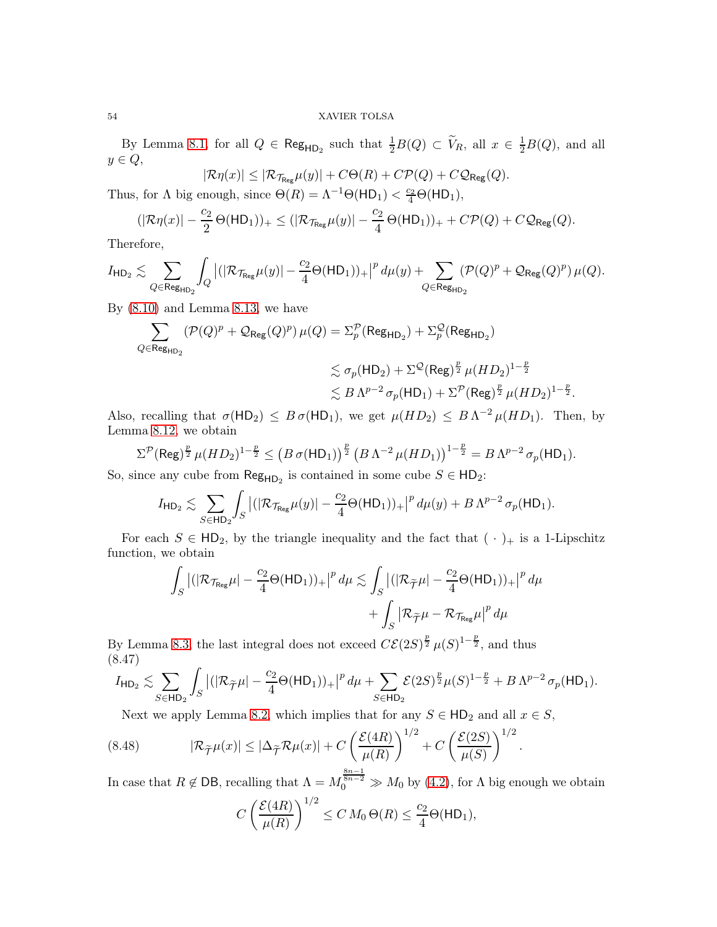By Lemma [8.1,](#page-34-0) for all  $Q \in \mathsf{Reg}_{\mathsf{HD}_2}$  such that  $\frac{1}{2}B(Q) \subset \widetilde{V}_R$ , all  $x \in \frac{1}{2}B(Q)$ , and all  $y \in Q$ ,

$$
|\mathcal{R}\eta(x)| \leq |\mathcal{R}_{\mathcal{T}_{\text{Reg}}} \mu(y)| + C\Theta(R) + C\mathcal{P}(Q) + C\mathcal{Q}_{\text{Reg}}(Q).
$$

Thus, for  $\Lambda$  big enough, since  $\Theta(R) = \Lambda^{-1} \Theta(HD_1) < \frac{c_2}{4} \Theta(HD_1)$ ,

$$
(|\mathcal{R}\eta(x)|-\frac{c_2}{2}\,\Theta(\mathsf{HD}_1))_+\leq (|\mathcal{R}_{\mathcal{T}_{\mathsf{Reg}}} \mu(y)|-\frac{c_2}{4}\,\Theta(\mathsf{HD}_1))_++C\mathcal{P}(Q)+C\mathcal{Q}_{\mathsf{Reg}}(Q).
$$

Therefore,

$$
I_{\mathsf{HD}_2} \lesssim \sum_{Q \in \mathsf{Reg}_{\mathsf{HD}_2}} \int_Q \left| (|\mathcal{R}_{\mathcal{T}_{\mathsf{Reg}}}\mu(y)| - \frac{c_2}{4}\Theta(\mathsf{HD}_1))_+ \right|^p d\mu(y) + \sum_{Q \in \mathsf{Reg}_{\mathsf{HD}_2}} (\mathcal{P}(Q)^p + \mathcal{Q}_{\mathsf{Reg}}(Q)^p) \, \mu(Q).
$$

By  $(8.10)$  and Lemma [8.13,](#page-45-1) we have

$$
\begin{aligned} \sum\limits_{Q \in \mathsf{Reg}_{\mathsf{HD}_2}} (\mathcal{P}(Q)^p + \mathcal{Q}_{\mathsf{Reg}}(Q)^p) \, \mu(Q) & = \Sigma_p^{\mathcal{P}}(\mathsf{Reg}_{\mathsf{HD}_2}) + \Sigma_p^{\mathcal{Q}}(\mathsf{Reg}_{\mathsf{HD}_2}) \\ & \lesssim \sigma_p(\mathsf{HD}_2) + \Sigma^{\mathcal{Q}}(\mathsf{Reg})^{\frac{p}{2}} \, \mu(HD_2)^{1-\frac{p}{2}} \\ & \lesssim B \, \Lambda^{p-2} \, \sigma_p(\mathsf{HD}_1) + \Sigma^{\mathcal{P}}(\mathsf{Reg})^{\frac{p}{2}} \, \mu(HD_2)^{1-\frac{p}{2}}. \end{aligned}
$$

Also, recalling that  $\sigma(HD_2) \leq B \sigma(HD_1)$ , we get  $\mu(HD_2) \leq B \Lambda^{-2} \mu(HD_1)$ . Then, by Lemma [8.12,](#page-44-2) we obtain

$$
\Sigma^{\mathcal{P}}(\text{Reg})^{\frac{p}{2}} \mu(HD_2)^{1-\frac{p}{2}} \leq (B \sigma(\text{HD}_1))^{\frac{p}{2}} (B \Lambda^{-2} \mu(HD_1))^{1-\frac{p}{2}} = B \Lambda^{p-2} \sigma_p(\text{HD}_1).
$$

So, since any cube from  $\mathsf{Reg}_{\mathsf{HD}_2}$  is contained in some cube  $S \in \mathsf{HD}_2$ :

$$
I_{\mathsf{HD}_2} \lesssim \sum_{S \in \mathsf{HD}_2} \int_S \left| (|\mathcal{R}_{\mathcal{T}_{\mathsf{Reg}}} \mu(y)| - \frac{c_2}{4} \Theta(\mathsf{HD}_1))_+ \right|^p d\mu(y) + B \Lambda^{p-2} \sigma_p(\mathsf{HD}_1).
$$

For each  $S \in \mathsf{HD}_2$ , by the triangle inequality and the fact that  $(\cdot)_+$  is a 1-Lipschitz function, we obtain

$$
\int_{S} |(|\mathcal{R}_{\mathcal{T}_{\text{Reg}}} \mu| - \frac{c_2}{4} \Theta(\text{HD}_1))_+|^p d\mu \lesssim \int_{S} |(|\mathcal{R}_{\widetilde{\mathcal{T}}} \mu| - \frac{c_2}{4} \Theta(\text{HD}_1))_+|^p d\mu + \int_{S} |\mathcal{R}_{\widetilde{\mathcal{T}}} \mu - \mathcal{R}_{\mathcal{T}_{\text{Reg}}} \mu|^p d\mu
$$

By Lemma [8.3,](#page-35-1) the last integral does not exceed  $C\mathcal{E}(2S)^{\frac{p}{2}}\mu(S)^{1-\frac{p}{2}}$ , and thus (8.47)

<span id="page-53-0"></span>
$$
I_{\mathsf{HD}_2} \lesssim \sum_{S \in \mathsf{HD}_2} \int_S \left| (|\mathcal{R}_{\widetilde{\mathcal{T}}}\mu| - \frac{c_2}{4}\Theta(\mathsf{HD}_1))_+ \right|^p d\mu + \sum_{S \in \mathsf{HD}_2} \mathcal{E}(2S)^{\frac{p}{2}} \mu(S)^{1-\frac{p}{2}} + B\Lambda^{p-2} \sigma_p(\mathsf{HD}_1).
$$

Next we apply Lemma [8.2,](#page-34-1) which implies that for any  $S \in \mathsf{HD}_2$  and all  $x \in S$ ,

(8.48) 
$$
|\mathcal{R}_{\widetilde{\mathcal{T}}}\mu(x)| \leq |\Delta_{\widetilde{\mathcal{T}}}\mathcal{R}\mu(x)| + C \left(\frac{\mathcal{E}(4R)}{\mu(R)}\right)^{1/2} + C \left(\frac{\mathcal{E}(2S)}{\mu(S)}\right)^{1/2}.
$$

In case that  $R \notin \text{DB}$ , recalling that  $\Lambda = M_0^{\frac{8n-1}{8n-2}} \gg M_0$  by [\(4.2\)](#page-15-2), for  $\Lambda$  big enough we obtain

$$
C\left(\frac{\mathcal{E}(4R)}{\mu(R)}\right)^{1/2} \leq C M_0 \Theta(R) \leq \frac{c_2}{4} \Theta(\mathsf{HD}_1),
$$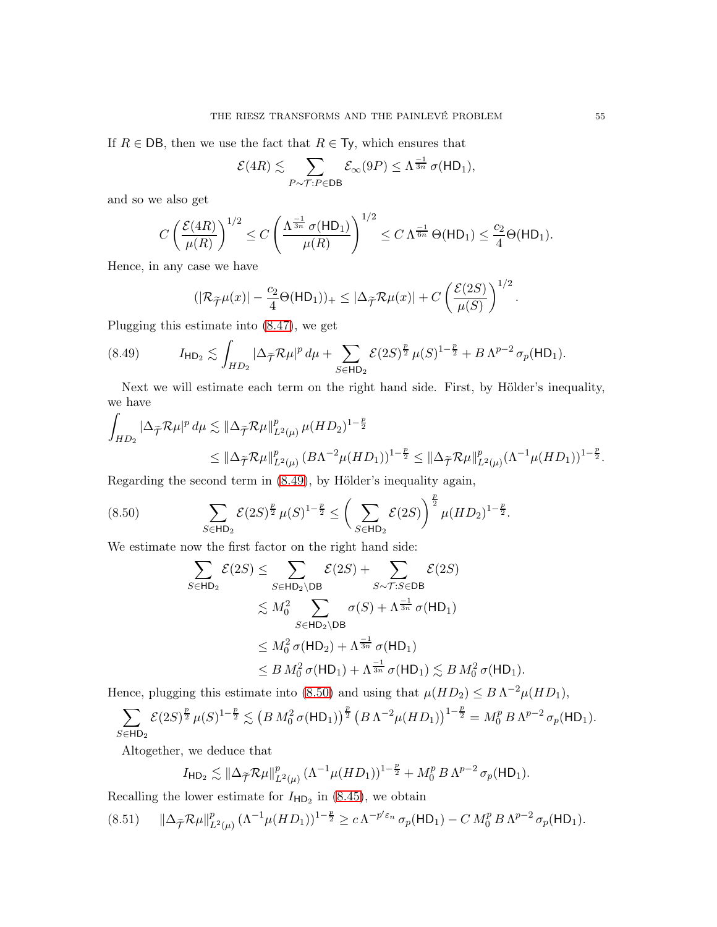If  $R \in \text{DB}$ , then we use the fact that  $R \in \text{Ty}$ , which ensures that

$$
\mathcal{E}(4R) \lesssim \sum_{P \sim \mathcal{T}: P \in \mathsf{DB}} \mathcal{E}_{\infty}(9P) \le \Lambda^{\frac{-1}{3n}} \sigma(\mathsf{HD}_1),
$$

and so we also get

$$
C\left(\frac{\mathcal{E}(4R)}{\mu(R)}\right)^{1/2} \le C\left(\frac{\Lambda^{\frac{-1}{3n}}\sigma(\mathsf{HD}_1)}{\mu(R)}\right)^{1/2} \le C\,\Lambda^{\frac{-1}{6n}}\,\Theta(\mathsf{HD}_1) \le \frac{c_2}{4}\Theta(\mathsf{HD}_1).
$$

Hence, in any case we have

<span id="page-54-0"></span>
$$
(|\mathcal{R}_{\widetilde{\mathcal{T}}}\mu(x)|-\frac{c_2}{4}\Theta(\mathsf{HD}_1))_+\leq |\Delta_{\widetilde{\mathcal{T}}}\mathcal{R}\mu(x)|+C\left(\frac{\mathcal{E}(2S)}{\mu(S)}\right)^{1/2}.
$$

Plugging this estimate into [\(8.47\)](#page-53-0), we get

$$
(8.49) \tIHD2 \lesssim \int_{HD_2} |\Delta_{\widetilde{\mathcal{T}}} \mathcal{R} \mu|^p d\mu + \sum_{S \in \mathsf{HD}_2} \mathcal{E}(2S)^{\frac{p}{2}} \mu(S)^{1-\frac{p}{2}} + B \Lambda^{p-2} \sigma_p(\mathsf{HD}_1).
$$

Next we will estimate each term on the right hand side. First, by Hölder's inequality, we have

$$
\int_{HD_2} |\Delta_{\widetilde{\mathcal{T}}} \mathcal{R} \mu|^p d\mu \lesssim ||\Delta_{\widetilde{\mathcal{T}}} \mathcal{R} \mu||_{L^2(\mu)}^p \mu (HD_2)^{1-\frac{p}{2}} \leq ||\Delta_{\widetilde{\mathcal{T}}} \mathcal{R} \mu||_{L^2(\mu)}^p (B \Lambda^{-2} \mu (HD_1))^{1-\frac{p}{2}} \leq ||\Delta_{\widetilde{\mathcal{T}}} \mathcal{R} \mu||_{L^2(\mu)}^p (\Lambda^{-1} \mu (HD_1))^{1-\frac{p}{2}}.
$$

Regarding the second term in [\(8.49\)](#page-54-0), by Hölder's inequality again,

<span id="page-54-1"></span>(8.50) 
$$
\sum_{S \in \mathsf{HD}_2} \mathcal{E}(2S)^{\frac{p}{2}} \mu(S)^{1-\frac{p}{2}} \leq \left(\sum_{S \in \mathsf{HD}_2} \mathcal{E}(2S)\right)^{\frac{p}{2}} \mu(HD_2)^{1-\frac{p}{2}}.
$$

We estimate now the first factor on the right hand side:

$$
\sum_{S \in \mathsf{HD}_2} \mathcal{E}(2S) \leq \sum_{S \in \mathsf{HD}_2 \backslash \mathsf{DB}} \mathcal{E}(2S) + \sum_{S \sim \mathcal{T}: S \in \mathsf{DB}} \mathcal{E}(2S)
$$
  
\n
$$
\leq M_0^2 \sum_{S \in \mathsf{HD}_2 \backslash \mathsf{DB}} \sigma(S) + \Lambda^{\frac{-1}{3n}} \sigma(\mathsf{HD}_1)
$$
  
\n
$$
\leq M_0^2 \sigma(\mathsf{HD}_2) + \Lambda^{\frac{-1}{3n}} \sigma(\mathsf{HD}_1)
$$
  
\n
$$
\leq B M_0^2 \sigma(\mathsf{HD}_1) + \Lambda^{\frac{-1}{3n}} \sigma(\mathsf{HD}_1) \leq B M_0^2 \sigma(\mathsf{HD}_1).
$$

Hence, plugging this estimate into [\(8.50\)](#page-54-1) and using that  $\mu(HD_2) \leq B \Lambda^{-2} \mu(HD_1)$ ,

$$
\sum_{S\in \mathsf{HD}_2} \mathcal{E}(2S)^{\frac{p}{2}}\,\mu(S)^{1-\frac{p}{2}} \lesssim \left(B\,M_0^2\,\sigma(\mathsf{HD}_1)\right)^{\frac{p}{2}}\left(B\,\Lambda^{-2}\mu(HD_1)\right)^{1-\frac{p}{2}} = M_0^p\,B\,\Lambda^{p-2}\,\sigma_p(\mathsf{HD}_1).
$$

Altogether, we deduce that

$$
I_{\mathsf{HD}_2} \lesssim \|\Delta_{\widetilde{\mathcal{T}}}\mathcal{R}\mu\|_{L^2(\mu)}^p \, (\Lambda^{-1}\mu(HD_1))^{1-\frac{p}{2}} + M_0^p \, B \, \Lambda^{p-2} \, \sigma_p(\mathsf{HD}_1).
$$

Recalling the lower estimate for  $I_{HD_2}$  in [\(8.45\)](#page-52-1), we obtain

<span id="page-54-2"></span>
$$
(8.51) \qquad \|\Delta_{\widetilde{\mathcal{T}}}\mathcal{R}\mu\|_{L^{2}(\mu)}^p\,(\Lambda^{-1}\mu(HD_1))^{1-\frac{p}{2}}\geq c\,\Lambda^{-p'\varepsilon_n}\,\sigma_p(\mathsf{HD}_1)-C\,M_0^p\,B\,\Lambda^{p-2}\,\sigma_p(\mathsf{HD}_1).
$$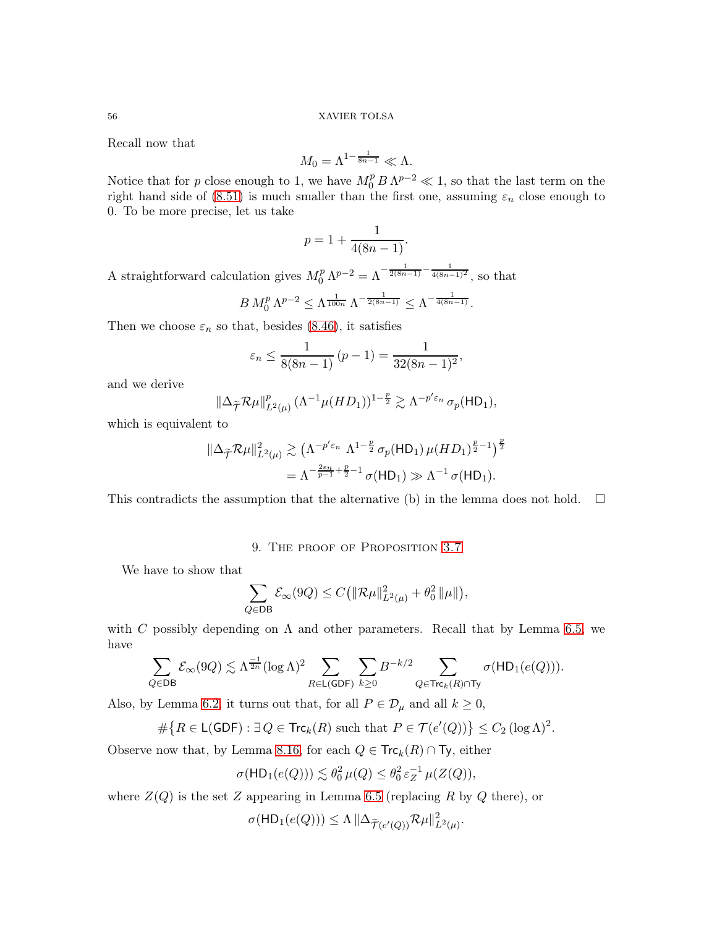Recall now that

$$
M_0 = \Lambda^{1-\frac{1}{8n-1}} \ll \Lambda.
$$

Notice that for p close enough to 1, we have  $M_0^p B \Lambda^{p-2} \ll 1$ , so that the last term on the right hand side of [\(8.51\)](#page-54-2) is much smaller than the first one, assuming  $\varepsilon_n$  close enough to 0. To be more precise, let us take

$$
p = 1 + \frac{1}{4(8n - 1)}.
$$

A straightforward calculation gives  $M_0^p \Lambda^{p-2} = \Lambda^{-\frac{1}{2(8n-1)} - \frac{1}{4(8n-1)^2}}$ , so that

$$
B M_0^p \Lambda^{p-2} \le \Lambda^{\frac{1}{100n}} \Lambda^{-\frac{1}{2(8n-1)}} \le \Lambda^{-\frac{1}{4(8n-1)}}.
$$

Then we choose  $\varepsilon_n$  so that, besides [\(8.46\)](#page-52-2), it satisfies

$$
\varepsilon_n \le \frac{1}{8(8n-1)} (p-1) = \frac{1}{32(8n-1)^2},
$$

and we derive

$$
\left\|\Delta_{\widetilde{\mathcal{T}}}\mathcal{R}\mu\right\|_{L^2(\mu)}^p(\Lambda^{-1}\mu(HD_1))^{1-\frac{p}{2}}\gtrsim \Lambda^{-p'\varepsilon_n}\sigma_p(\mathsf{HD}_1),
$$

which is equivalent to

$$
\|\Delta_{\widetilde{\mathcal{T}}}\mathcal{R}\mu\|_{L^2(\mu)}^2 \gtrsim \left(\Lambda^{-p'\varepsilon_n} \Lambda^{1-\frac{p}{2}} \sigma_p(\mathsf{HD}_1) \,\mu(HD_1)^{\frac{p}{2}-1}\right)^{\frac{p}{2}}
$$

$$
= \Lambda^{-\frac{2\varepsilon_n}{p-1} + \frac{p}{2}-1} \,\sigma(\mathsf{HD}_1) \gg \Lambda^{-1} \,\sigma(\mathsf{HD}_1).
$$

<span id="page-55-0"></span>This contradicts the assumption that the alternative (b) in the lemma does not hold.  $\square$ 

# 9. THE PROOF OF PROPOSITION [3.7](#page-14-0)

We have to show that

$$
\sum_{Q \in \mathsf{DB}} \mathcal{E}_{\infty}(9Q) \leq C \left( \|\mathcal{R}\mu\|_{L^2(\mu)}^2 + \theta_0^2 \|\mu\| \right),\,
$$

with C possibly depending on  $\Lambda$  and other parameters. Recall that by Lemma [6.5,](#page-30-3) we have

$$
\sum_{Q\in \mathsf{DB}}\mathcal{E}_\infty(9Q)\lesssim \Lambda^{\frac{-1}{2n}}(\log\Lambda)^2\sum_{R\in \mathsf{L}(\mathsf{GDF})}\sum_{k\geq 0}B^{-k/2}\sum_{Q\in \mathsf{Trc}_k(R)\cap \mathsf{Ty}}\sigma(\mathsf{HD}_1(e(Q))).
$$

Also, by Lemma [6.2,](#page-27-2) it turns out that, for all  $P \in \mathcal{D}_{\mu}$  and all  $k \geq 0$ ,

$$
\#\big\{R\in\mathsf{L}(\mathsf{GDF}): \exists\,Q\in\mathsf{Trc}_k(R)\,\,\text{such that}\,\,P\in\mathcal{T}(e'(Q))\big\}\leq C_2\,(\log\Lambda)^2.
$$

Observe now that, by Lemma [8.16,](#page-52-3) for each  $Q \in \mathsf{Trc}_k(R) \cap \mathsf{Ty}$ , either

$$
\sigma(\mathsf{HD}_1(e(Q))) \lesssim \theta_0^2 \,\mu(Q) \le \theta_0^2 \,\varepsilon_Z^{-1} \,\mu(Z(Q)),
$$

where  $Z(Q)$  is the set Z appearing in Lemma [6.5](#page-30-3) (replacing R by Q there), or

$$
\sigma(\mathsf{HD}_1(e(Q))) \leq \Lambda \|\Delta_{\widetilde{\mathcal{T}}(e'(Q))} \mathcal{R}\mu\|_{L^2(\mu)}^2.
$$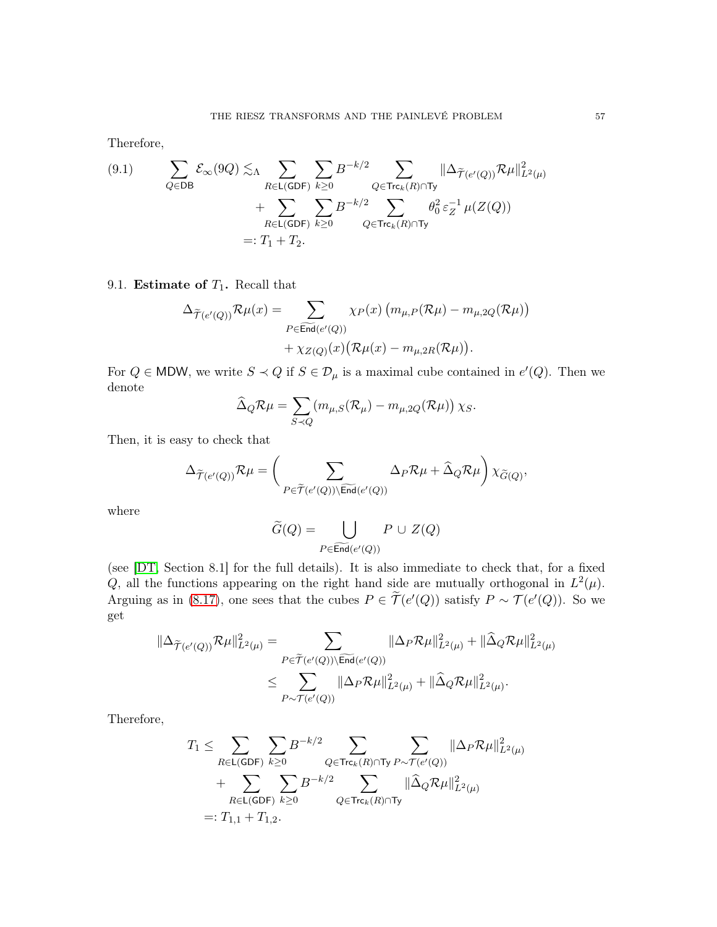Therefore,

(9.1) 
$$
\sum_{Q \in DB} \mathcal{E}_{\infty}(9Q) \lesssim_{\Lambda} \sum_{R \in \mathsf{L}(\mathsf{GDF})} \sum_{k \geq 0} B^{-k/2} \sum_{Q \in \mathsf{Trc}_k(R) \cap \mathsf{Ty}} ||\Delta_{\widetilde{\mathcal{T}}(e'(Q))} \mathcal{R} \mu||_{L^2(\mu)}^2 + \sum_{R \in \mathsf{L}(\mathsf{GDF})} \sum_{k \geq 0} B^{-k/2} \sum_{Q \in \mathsf{Trc}_k(R) \cap \mathsf{Ty}} \theta_0^2 \varepsilon_Z^{-1} \mu(Z(Q))
$$
  
=:  $T_1 + T_2$ .

# <span id="page-56-0"></span>9.1. Estimate of  $T_1$ . Recall that

$$
\Delta_{\widetilde{\mathcal{T}}(e'(Q))} \mathcal{R}\mu(x) = \sum_{P \in \widetilde{\text{End}}(e'(Q))} \chi_P(x) \left( m_{\mu,P}(\mathcal{R}\mu) - m_{\mu,2Q}(\mathcal{R}\mu) \right) + \chi_{Z(Q)}(x) \left( \mathcal{R}\mu(x) - m_{\mu,2R}(\mathcal{R}\mu) \right).
$$

For  $Q \in \text{MDW}$ , we write  $S \prec Q$  if  $S \in \mathcal{D}_{\mu}$  is a maximal cube contained in  $e'(Q)$ . Then we denote

$$
\widehat{\Delta}_{Q} \mathcal{R} \mu = \sum_{S \prec Q} (m_{\mu,S} (\mathcal{R}_{\mu}) - m_{\mu,2Q} (\mathcal{R} \mu)) \chi_{S}.
$$

Then, it is easy to check that

$$
\Delta_{\widetilde{\mathcal{T}}(e'(Q))}\mathcal{R}\mu=\bigg(\sum_{P\in \widetilde{\mathcal{T}}(e'(Q))\backslash \widetilde{\operatorname{End}}(e'(Q))}\Delta_P\mathcal{R}\mu+\widehat{\Delta}_Q\mathcal{R}\mu\bigg)\,\chi_{\widetilde{G}(Q)},
$$

where

$$
\widetilde{G}(Q) = \bigcup_{P \in \widetilde{\operatorname{End}}(e'(Q))} P \cup Z(Q)
$$

(see [\[DT,](#page-58-0) Section 8.1] for the full details). It is also immediate to check that, for a fixed Q, all the functions appearing on the right hand side are mutually orthogonal in  $L^2(\mu)$ . Arguing as in [\(8.17\)](#page-38-4), one sees that the cubes  $P \in \widetilde{\mathcal{T}}(e'(Q))$  satisfy  $P \sim \mathcal{T}(e'(Q))$ . So we get

$$
\begin{aligned} \|\Delta_{\widetilde{\mathcal{T}}(e'(Q))}\mathcal{R}\mu\|^2_{L^2(\mu)}&=\sum_{P\in \widetilde{\mathcal{T}}(e'(Q))\backslash\widetilde{\operatorname{End}}(e'(Q))}\|\Delta_P\mathcal{R}\mu\|^2_{L^2(\mu)}+\|\widehat{\Delta}_Q\mathcal{R}\mu\|^2_{L^2(\mu)}\\ &\leq \sum_{P\sim \mathcal{T}(e'(Q))}\|\Delta_P\mathcal{R}\mu\|^2_{L^2(\mu)}+\|\widehat{\Delta}_Q\mathcal{R}\mu\|^2_{L^2(\mu)}. \end{aligned}
$$

Therefore,

$$
\begin{aligned} T_1 & \leq \sum_{R \in \mathsf{L}(\mathsf{GDF})} \sum_{k \geq 0} B^{-k/2} \sum_{Q \in \mathsf{Trc}_k(R) \cap \mathsf{Ty}} \sum_{P \sim \mathcal{T}(e'(Q))} \|\Delta_P \mathcal{R}\mu\|_{L^2(\mu)}^2 \\ & + \sum_{R \in \mathsf{L}(\mathsf{GDF})} \sum_{k \geq 0} B^{-k/2} \sum_{Q \in \mathsf{Trc}_k(R) \cap \mathsf{Ty}} \|\widehat{\Delta}_Q \mathcal{R}\mu\|_{L^2(\mu)}^2 \\ & =: T_{1,1} + T_{1,2}. \end{aligned}
$$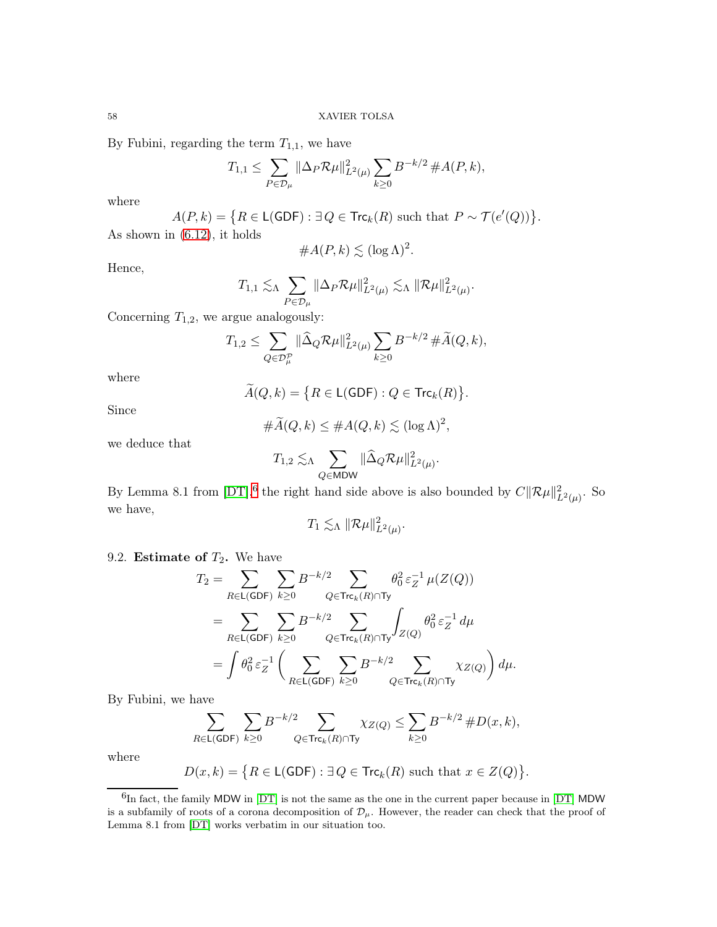By Fubini, regarding the term  $T_{1,1}$ , we have

$$
T_{1,1} \leq \sum_{P \in \mathcal{D}_{\mu}} ||\Delta_P \mathcal{R}_{\mu}||_{L^2(\mu)}^2 \sum_{k \geq 0} B^{-k/2} \, \#A(P,k),
$$

where

$$
A(P,k) = \{ R \in \mathsf{L}(\mathsf{GDF}) : \exists Q \in \mathsf{Trc}_k(R) \text{ such that } P \sim \mathcal{T}(e'(Q)) \}.
$$
 As shown in (6.12), it holds

Hence,

$$
\#A(P,k) \lesssim (\log \Lambda)^2.
$$
  

$$
\lesssim \sum_{k=1}^{\infty} \frac{\|\Delta_P \mathcal{R}_k\|^2_{\mathcal{L}(k)}}{\|\Delta_P \mathcal{R}_k\|^2_{\mathcal{L}(k)}} \lesssim \frac{\|\mathcal{R}_k\|^2_{\mathcal{L}(k)}}{\|\mathcal{R}_k\|^2_{\mathcal{L}(k)}}.
$$

$$
T_{1,1} \lesssim_{\Lambda} \sum_{P \in \mathcal{D}_{\mu}} \|\Delta_P \mathcal{R}\mu\|_{L^2(\mu)}^2 \lesssim_{\Lambda} \|\mathcal{R}\mu\|_{L^2(\mu)}^2.
$$

Concerning  $T_{1,2}$ , we argue analogously:

$$
T_{1,2} \leq \sum_{Q \in \mathcal{D}_{\mu}^{\mathcal{P}}} \|\widehat{\Delta}_Q \mathcal{R}\mu\|_{L^2(\mu)}^2 \sum_{k \geq 0} B^{-k/2} \#\widetilde{A}(Q,k),
$$

where

$$
\widetilde{A}(Q,k) = \big\{ R \in \mathsf{L}(\mathsf{GDF}) : Q \in \mathsf{Trc}_k(R) \big\}.
$$

Since

$$
\#\widetilde{A}(Q,k) \leq \#A(Q,k) \lesssim (\log \Lambda)^2,
$$

we deduce that

$$
T_{1,2} \lesssim_{\Lambda} \sum_{Q \in \mathsf{MDW}} \|\widehat\Delta_Q \mathcal{R}\mu\|_{L^2(\mu)}^2.
$$

By Lemma 8.1 from  $[DT]$ , <sup>[6](#page-57-1)</sup> the right hand side above is also bounded by  $C\|\mathcal{R}\mu\|_{L^2(\mu)}^2$ . So we have,

$$
T_1 \lesssim_{\Lambda} \|\mathcal{R}\mu\|_{L^2(\mu)}^2.
$$

# <span id="page-57-0"></span>9.2. **Estimate of**  $T_2$ **.** We have

$$
T_2 = \sum_{R \in \mathsf{L}(\mathsf{GDF})} \sum_{k \ge 0} B^{-k/2} \sum_{Q \in \mathsf{Trc}_k(R) \cap \mathsf{Ty}} \theta_0^2 \varepsilon_Z^{-1} \mu(Z(Q))
$$
  
= 
$$
\sum_{R \in \mathsf{L}(\mathsf{GDF})} \sum_{k \ge 0} B^{-k/2} \sum_{Q \in \mathsf{Trc}_k(R) \cap \mathsf{Ty}} \int_{Z(Q)} \theta_0^2 \varepsilon_Z^{-1} d\mu
$$
  
= 
$$
\int \theta_0^2 \varepsilon_Z^{-1} \left( \sum_{R \in \mathsf{L}(\mathsf{GDF})} \sum_{k \ge 0} B^{-k/2} \sum_{Q \in \mathsf{Trc}_k(R) \cap \mathsf{Ty}} \chi_{Z(Q)} \right) d\mu.
$$

By Fubini, we have

$$
\sum_{R \in \mathsf{L}(\mathsf{GDF})} \sum_{k \ge 0} B^{-k/2} \sum_{Q \in \mathsf{Trc}_k(R) \cap \mathsf{Ty}} \chi_{Z(Q)} \le \sum_{k \ge 0} B^{-k/2} \, \# D(x, k),
$$

where

$$
D(x,k) = \big\{ R \in \mathsf{L}(\mathsf{GDF}) : \exists Q \in \mathsf{Trc}_k(R) \text{ such that } x \in Z(Q) \big\}.
$$

<span id="page-57-1"></span> ${}^{6}$ In fact, the family MDW in [\[DT\]](#page-58-0) is not the same as the one in the current paper because in [DT] MDW is a subfamily of roots of a corona decomposition of  $\mathcal{D}_{\mu}$ . However, the reader can check that the proof of Lemma 8.1 from [\[DT\]](#page-58-0) works verbatim in our situation too.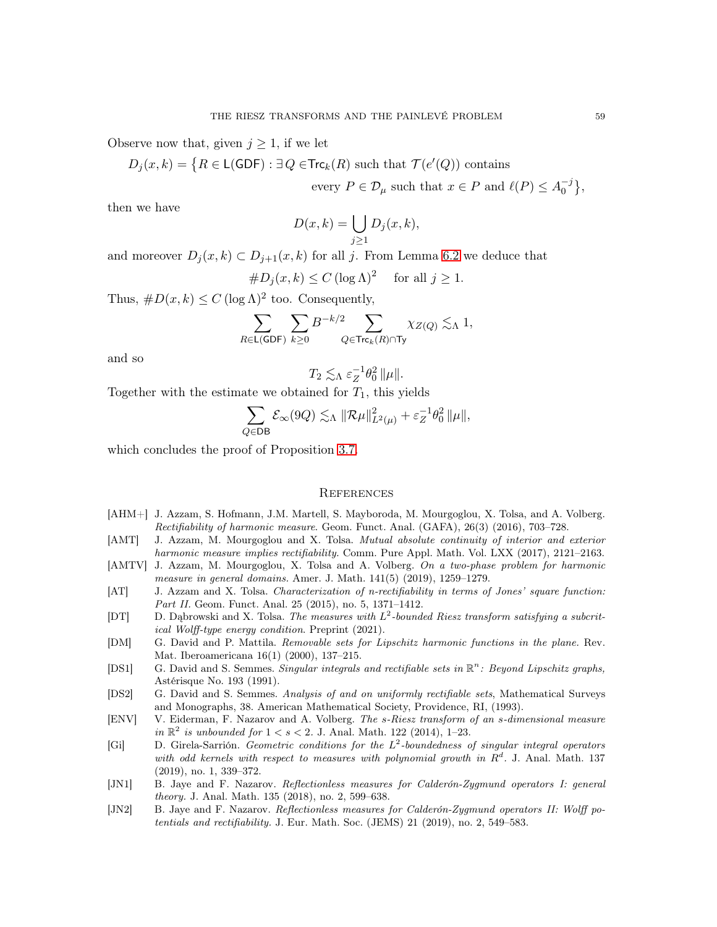Observe now that, given  $j \geq 1$ , if we let

$$
D_j(x,k) = \big\{ R \in \mathsf{L}(\mathsf{GDF}) : \exists Q \in \mathsf{Trc}_k(R) \text{ such that } \mathcal{T}(e'(Q)) \text{ contains }
$$

every  $P \in \mathcal{D}_{\mu}$  such that  $x \in P$  and  $\ell(P) \leq A_0^{-j}$  $\begin{bmatrix} -j \\ 0 \end{bmatrix}$ 

then we have

$$
D(x,k) = \bigcup_{j\geq 1} D_j(x,k),
$$

and moreover  $D_j(x, k) \subset D_{j+1}(x, k)$  for all j. From Lemma [6.2](#page-27-2) we deduce that

$$
\#D_j(x,k) \le C (\log \Lambda)^2 \quad \text{ for all } j \ge 1.
$$

Thus,  $\#D(x,k) \leq C (\log \Lambda)^2$  too. Consequently,

$$
\sum_{R\in \mathsf{L}(\mathsf{GDF})}\sum_{k\geq 0} B^{-k/2}\sum_{Q\in \mathsf{Trc}_k(R)\cap \mathsf{Ty}}\chi_{Z(Q)}\lesssim_\Lambda 1,
$$

and so

$$
T_2 \lesssim_{\Lambda} \varepsilon_Z^{-1} \theta_0^2 \|\mu\|.
$$

Together with the estimate we obtained for  $T_1$ , this yields

$$
\sum_{Q \in \mathsf{DB}} \mathcal{E}_{\infty}(9Q) \lesssim_{\Lambda} \|\mathcal{R}\mu\|_{L^2(\mu)}^2 + \varepsilon_Z^{-1}\theta_0^2 \|\mu\|,
$$

which concludes the proof of Proposition [3.7.](#page-14-0)

### <span id="page-58-1"></span>**REFERENCES**

- <span id="page-58-2"></span>[AHM+] J. Azzam, S. Hofmann, J.M. Martell, S. Mayboroda, M. Mourgoglou, X. Tolsa, and A. Volberg. Rectifiability of harmonic measure. Geom. Funct. Anal. (GAFA), 26(3) (2016), 703–728.
- <span id="page-58-3"></span>[AMT] J. Azzam, M. Mourgoglou and X. Tolsa. Mutual absolute continuity of interior and exterior harmonic measure implies rectifiability. Comm. Pure Appl. Math. Vol. LXX (2017), 2121–2163.
- <span id="page-58-4"></span>[AMTV] J. Azzam, M. Mourgoglou, X. Tolsa and A. Volberg. On a two-phase problem for harmonic measure in general domains. Amer. J. Math. 141(5) (2019), 1259–1279.
- <span id="page-58-7"></span>[AT] J. Azzam and X. Tolsa. Characterization of n-rectifiability in terms of Jones' square function: Part II. Geom. Funct. Anal. 25 (2015), no. 5, 1371–1412.
- <span id="page-58-0"></span>[DT] D. Dąbrowski and X. Tolsa. The measures with  $L^2$ -bounded Riesz transform satisfying a subcritical Wolff-type energy condition. Preprint (2021).
- <span id="page-58-11"></span>[DM] G. David and P. Mattila. Removable sets for Lipschitz harmonic functions in the plane. Rev. Mat. Iberoamericana 16(1) (2000), 137–215.
- <span id="page-58-5"></span>[DS1] G. David and S. Semmes. Singular integrals and rectifiable sets in  $\mathbb{R}^n$ : Beyond Lipschitz graphs, Astérisque No. 193 (1991).
- <span id="page-58-6"></span>[DS2] G. David and S. Semmes. Analysis of and on uniformly rectifiable sets, Mathematical Surveys and Monographs, 38. American Mathematical Society, Providence, RI, (1993).
- <span id="page-58-12"></span>[ENV] V. Eiderman, F. Nazarov and A. Volberg. The s-Riesz transform of an s-dimensional measure in  $\mathbb{R}^2$  is unbounded for  $1 < s < 2$ . J. Anal. Math. 122 (2014), 1-23.
- <span id="page-58-8"></span> $[Gi]$  D. Girela-Sarrión. Geometric conditions for the  $L^2$ -boundedness of singular integral operators with odd kernels with respect to measures with polynomial growth in  $R<sup>d</sup>$ . J. Anal. Math. 137 (2019), no. 1, 339–372.
- <span id="page-58-9"></span>[JN1] B. Jaye and F. Nazarov. Reflectionless measures for Calderón-Zygmund operators I: general theory. J. Anal. Math. 135 (2018), no. 2, 599–638.
- <span id="page-58-10"></span>[JN2] B. Jaye and F. Nazarov. Reflectionless measures for Calderón-Zygmund operators II: Wolff potentials and rectifiability. J. Eur. Math. Soc. (JEMS) 21 (2019), no. 2, 549–583.